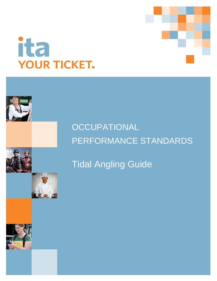



### **OCCUPATIONAL** PERFORMANCE STANDARDS

### Tidal Angling Guide

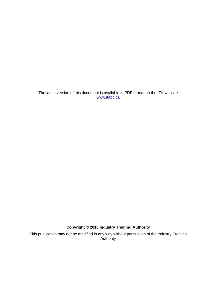The latest version of this document is available in PDF format on the ITA website www.itabc.ca

### **Copyright © 2010 Industry Training Authority**

This publication may not be modified in any way without permission of the Industry Training Authority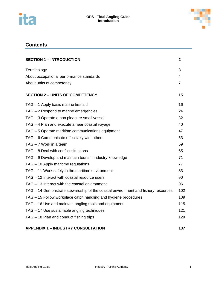



### **Contents**

| <b>SECTION 1 - INTRODUCTION</b>                                                   | $\mathbf{2}$   |
|-----------------------------------------------------------------------------------|----------------|
| Terminology                                                                       | 3              |
| About occupational performance standards                                          | 4              |
| About units of competency                                                         | $\overline{7}$ |
| <b>SECTION 2 - UNITS OF COMPETENCY</b>                                            | 15             |
| TAG - 1 Apply basic marine first aid                                              | 16             |
| TAG - 2 Respond to marine emergencies                                             | 24             |
| TAG – 3 Operate a non pleasure small vessel                                       | 32             |
| TAG – 4 Plan and execute a near coastal voyage                                    | 40             |
| TAG - 5 Operate maritime communications equipment                                 | 47             |
| TAG – 6 Communicate effectively with others                                       | 53             |
| TAG - 7 Work in a team                                                            | 59             |
| $TAG - 8$ Deal with conflict situations                                           | 65             |
| TAG – 9 Develop and maintain tourism industry knowledge                           | 71             |
| TAG - 10 Apply maritime regulations                                               | 77             |
| $TAG - 11$ Work safely in the maritime environment                                | 83             |
| TAG - 12 Interact with coastal resource users                                     | 90             |
| TAG - 13 Interact with the coastal environment                                    | 96             |
| TAG – 14 Demonstrate stewardship of the coastal environment and fishery resources | 102            |
| TAG – 15 Follow workplace catch handling and hygiene procedures                   | 109            |
| TAG – 16 Use and maintain angling tools and equipment                             | 115            |
| TAG - 17 Use sustainable angling techniques                                       | 121            |
| TAG – 18 Plan and conduct fishing trips                                           | 129            |
| <b>APPENDIX 1 - INDUSTRY CONSULTATION</b>                                         | 137            |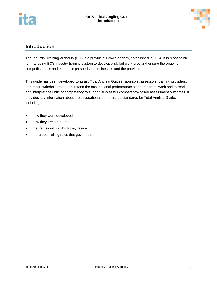

### **Introduction**

The Industry Training Authority (ITA) is a provincial Crown agency, established in 2004. It is responsible for managing BC's industry training system to develop a skilled workforce and ensure the ongoing competitiveness and economic prosperity of businesses and the province.

This guide has been developed to assist Tidal Angling Guides, sponsors, assessors, training providers, and other stakeholders to understand the occupational performance standards framework and to read and interpret the units of competency to support successful competency-based assessment outcomes. It provides key information about the occupational performance standards for Tidal Angling Guide, including:

- how they were developed
- how they are structured
- the framework in which they reside
- the credentialling rules that govern them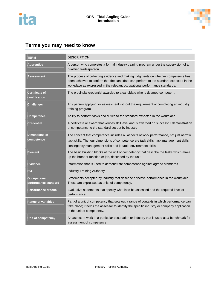



### **Terms you may need to know**

| <b>TERM</b>                                 | <b>DESCRIPTION</b>                                                                                                                                                                                                                                         |  |  |
|---------------------------------------------|------------------------------------------------------------------------------------------------------------------------------------------------------------------------------------------------------------------------------------------------------------|--|--|
| <b>Apprentice</b>                           | A person who completes a formal industry training program under the supervision of a<br>qualified tradesperson                                                                                                                                             |  |  |
| <b>Assessment</b>                           | The process of collecting evidence and making judgments on whether competence has<br>been achieved to confirm that the candidate can perform to the standard expected in the<br>workplace as expressed in the relevant occupational performance standards. |  |  |
| <b>Certificate of</b><br>qualification      | The provincial credential awarded to a candidate who is deemed competent.                                                                                                                                                                                  |  |  |
| <b>Challenger</b>                           | Any person applying for assessment without the requirement of completing an industry<br>training program.                                                                                                                                                  |  |  |
| <b>Competence</b>                           | Ability to perform tasks and duties to the standard expected in the workplace.                                                                                                                                                                             |  |  |
| <b>Credential</b>                           | A certificate or award that verifies skill level and is awarded on successful demonstration<br>of competence to the standard set out by industry.                                                                                                          |  |  |
| <b>Dimensions of</b><br>competence          | The concept that competence includes all aspects of work performance, not just narrow<br>task skills. The four dimensions of competence are task skills, task management skills,<br>contingency management skills and job/role environment skills.         |  |  |
| <b>Element</b>                              | The basic building blocks of the unit of competency that describe the tasks which make<br>up the broader function or job, described by the unit.                                                                                                           |  |  |
| <b>Evidence</b>                             | Information that is used to demonstrate competence against agreed standards.                                                                                                                                                                               |  |  |
| <b>ITA</b>                                  | Industry Training Authority.                                                                                                                                                                                                                               |  |  |
| <b>Occupational</b><br>performance standard | Statements accepted by industry that describe effective performance in the workplace.<br>These are expressed as units of competency.                                                                                                                       |  |  |
| Performance criteria                        | Evaluative statements that specify what is to be assessed and the required level of<br>performance.                                                                                                                                                        |  |  |
| <b>Range of variables</b>                   | Part of a unit of competency that sets out a range of contexts in which performance can<br>take place; it helps the assessor to identify the specific industry or company application<br>of the unit of competency.                                        |  |  |
| Unit of competency                          | An aspect of work in a particular occupation or industry that is used as a benchmark for<br>assessment of competence.                                                                                                                                      |  |  |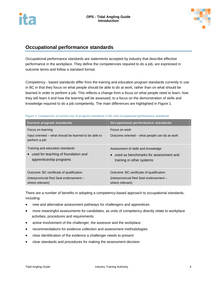



### **Occupational performance standards**

Occupational performance standards are statements accepted by industry that describe effective performance in the workplace. They define the competencies required to do a job, are expressed in outcome terms and follow a standard format.

Competency - based standards differ from the training and education program standards currently in use in BC in that they focus on what people should be able to do at work, rather than on what should be learned in order to perform a job. This reflects a change from a focus on what people need to learn, how they will learn it and how the learning will be assessed, to a focus on the demonstration of skills and knowledge required to do a job competently. The main differences are highlighted in Figure 1.

### **Figure 1: Comparison of current use of program standards in BC and occupational performance standards**

| <b>Current program standards</b>                                                            | Occupational performance standards                             |
|---------------------------------------------------------------------------------------------|----------------------------------------------------------------|
| Focus on learning<br>Input oriented – what should be learned to be able to<br>perform a job | Focus on work<br>Outcome oriented – what people can do at work |
| Training and education standards                                                            | Assessment of skills and knowledge                             |
| • used for teaching of foundation and                                                       | • used as benchmarks for assessment and                        |
| apprenticeship programs                                                                     | training in other systems                                      |
| Outcome: BC certificate of qualification                                                    | Outcome: BC certificate of qualification                       |
| (interprovincial Red Seal endorsement -                                                     | (interprovincial Red Seal endorsement -                        |
| where relevant)                                                                             | where relevant)                                                |

There are a number of benefits in adopting a competency-based approach to occupational standards, including:

- new and alternative assessment pathways for challengers and apprentices
- more meaningful assessments for candidates, as units of competency directly relate to workplace activities, procedures and requirements
- active involvement of the challenger, the assessor and the workplace
- recommendations for evidence collection and assessment methodologies
- clear identification of the evidence a challenger needs to present
- clear standards and procedures for making the assessment decision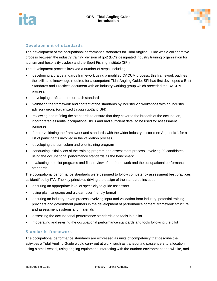



### **Development of standards**

The development of the occupational performance standards for Tidal Angling Guide was a collaborative process between the industry training division of go2 (BC's designated industry training organization for tourism and hospitality trades) and the Sport Fishing Institute (SFI).

The development process involved a number of steps, including:

- developing a draft standards framework using a modified DACUM process; this framework outlines the skills and knowledge required for a competent Tidal Angling Guide. SFI had first developed a Best Standards and Practices document with an industry working group which preceded the DACUM process.
- developing draft content for each standard
- validating the framework and content of the standards by industry via workshops with an industry advisory group (organized through go2and SFI)
- reviewing and refining the standards to ensure that they covered the breadth of the occupation, incorporated essential occupational skills and had sufficient detail to be used for assessment purposes
- further validating the framework and standards with the wider industry sector (see Appendix 1 for a list of participants involved in the validation process)
- developing the curriculum and pilot training program
- conducting initial pilots of the training program and assessment process, involving 20 candidates, using the occupational performance standards as the benchmark
- evaluating the pilot programs and final review of the framework and the occupational performance standards

The occupational performance standards were designed to follow competency assessment best practices as identified by ITA. The key principles driving the design of the standards included:

- ensuring an appropriate level of specificity to guide assessors
- using plain language and a clear, user-friendly format
- ensuring an industry-driven process involving input and validation from industry, potential training providers and government partners in the development of performance content, framework structure, and assessment systems and materials
- assessing the occupational performance standards and tools in a pilot
- moderating and revising the occupational performance standards and tools following the pilot

### **Standards framework**

The occupational performance standards are expressed as units of competency that describe the activities a Tidal Angling Guide would carry out at work, such as transporting passengers to a location using a small vessel, using angling equipment, interacting with the outdoor environment and wildlife, and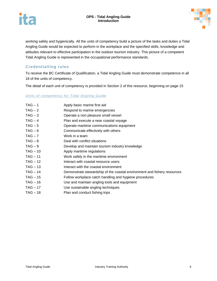



working safely and hygienically. All the units of competency build a picture of the tasks and duties a Tidal Angling Guide would be expected to perform in the workplace and the specified skills, knowledge and attitudes relevant to effective participation in the outdoor tourism industry. This picture of a competent Tidal Angling Guide is represented in the occupational performance standards.

### **Credentialling rules**

To receive the BC Certificate of Qualification, a Tidal Angling Guide must demonstrate competence in all 18 of the units of competency.

The detail of each unit of competency is provided in Section 2 of this resource, beginning on page 15

### *Units of competency for Tidal Angling Guide*

| $TAG - 1$  | Apply basic marine first aid                                             |
|------------|--------------------------------------------------------------------------|
| $TAG - 2$  | Respond to marine emergencies                                            |
| $TAG-3$    | Operate a non pleasure small vessel                                      |
| $TAG - 4$  | Plan and execute a near coastal voyage                                   |
| $TAG - 5$  | Operate maritime communications equipment                                |
| $TAG - 6$  | Communicate effectively with others                                      |
| $TAG - 7$  | Work in a team                                                           |
| $TAG - 8$  | Deal with conflict situations                                            |
| $TAG - 9$  | Develop and maintain tourism industry knowledge                          |
| $TAG - 10$ | Apply maritime regulations                                               |
| $TAG - 11$ | Work safely in the maritime environment                                  |
| $TAG - 12$ | Interact with coastal resource users                                     |
| $TAG - 13$ | Interact with the coastal environment                                    |
| $TAG - 14$ | Demonstrate stewardship of the coastal environment and fishery resources |
| $TAG - 15$ | Follow workplace catch handling and hygiene procedures                   |
| $TAG - 16$ | Use and maintain angling tools and equipment                             |
| $TAG - 17$ | Use sustainable angling techniques                                       |
| $TAG - 18$ | Plan and conduct fishing trips                                           |
|            |                                                                          |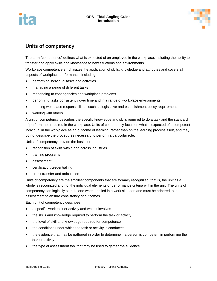



### **Units of competency**

The term "competence" defines what is expected of an employee in the workplace, including the ability to transfer and apply skills and knowledge to new situations and environments.

Workplace competence emphasizes the application of skills, knowledge and attributes and covers all aspects of workplace performance, including:

- performing individual tasks and activities
- managing a range of different tasks
- responding to contingencies and workplace problems
- performing tasks consistently over time and in a range of workplace environments
- meeting workplace responsibilities, such as legislative and establishment policy requirements
- working with others

A unit of competency describes the specific knowledge and skills required to do a task and the standard of performance required in the workplace. Units of competency focus on what is expected of a competent individual in the workplace as an outcome of learning, rather than on the learning process itself, and they do not describe the procedures necessary to perform a particular role.

Units of competency provide the basis for:

- recognition of skills within and across industries
- training programs
- assessment
- certification/credentialling
- credit transfer and articulation

Units of competency are the smallest components that are formally recognized; that is, the unit as a whole is recognized and not the individual elements or performance criteria within the unit. The units of competency can logically stand alone when applied in a work situation and must be adhered to in assessment to ensure consistency of outcomes.

Each unit of competency describes:

- a specific work task or activity and what it involves
- the skills and knowledge required to perform the task or activity
- the level of skill and knowledge required for competence
- the conditions under which the task or activity is conducted
- the evidence that may be gathered in order to determine if a person is competent in performing the task or activity
- the type of assessment tool that may be used to gather the evidence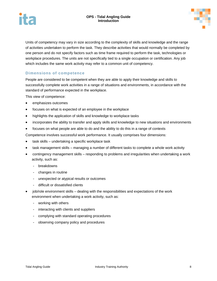





Units of competency may vary in size according to the complexity of skills and knowledge and the range of activities undertaken to perform the task. They describe activities that would normally be completed by one person and do not specify factors such as time frame required to perform the task, technologies or workplace procedures. The units are not specifically tied to a single occupation or certification. Any job which includes the same work activity may refer to a common unit of competency.

### **Dimensions of competence**

People are considered to be competent when they are able to apply their knowledge and skills to successfully complete work activities in a range of situations and environments, in accordance with the standard of performance expected in the workplace.

This view of competence:

- emphasizes outcomes
- focuses on what is expected of an employee in the workplace
- highlights the application of skills and knowledge to workplace tasks
- incorporates the ability to transfer and apply skills and knowledge to new situations and environments
- focuses on what people are able to do and the ability to do this in a range of contexts

Competence involves successful work performance. It usually comprises four dimensions:

- task skills undertaking a specific workplace task
- task management skills managing a number of different tasks to complete a whole work activity
- contingency management skills responding to problems and irregularities when undertaking a work activity, such as:
	- breakdowns
	- changes in routine
	- unexpected or atypical results or outcomes
	- difficult or dissatisfied clients
- job/role environment skills dealing with the responsibilities and expectations of the work environment when undertaking a work activity, such as:
	- working with others
	- interacting with clients and suppliers
	- complying with standard operating procedures
	- observing company policy and procedures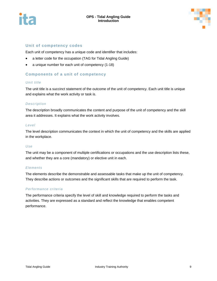



### **Unit of competency codes**

Each unit of competency has a unique code and identifier that includes:

- a letter code for the occupation (TAG for Tidal Angling Guide)
- a unique number for each unit of competency (1-18)

### **Components of a unit of competency**

### *Unit title*

The unit title is a succinct statement of the outcome of the unit of competency. Each unit title is unique and explains what the work activity or task is.

### *Description*

The description broadly communicates the content and purpose of the unit of competency and the skill area it addresses. It explains what the work activity involves.

### *Level*

The level description communicates the context in which the unit of competency and the skills are applied in the workplace.

### *Use*

The unit may be a component of multiple certifications or occupations and the use description lists these, and whether they are a core (mandatory) or elective unit in each.

### *Elements*

The elements describe the demonstrable and assessable tasks that make up the unit of competency. They describe actions or outcomes and the significant skills that are required to perform the task.

### *Performance criteria*

The performance criteria specify the level of skill and knowledge required to perform the tasks and activities. They are expressed as a standard and reflect the knowledge that enables competent performance.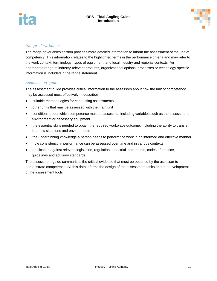

### *Range of variables*

The range of variables section provides more detailed information to inform the assessment of the unit of competency. This information relates to the highlighted terms in the performance criteria and may refer to the work context, terminology, types of equipment, and local industry and regional contexts. An appropriate range of industry-relevant products, organizational options, processes or technology-specific information is included in the range statement.

### *Assessment guide*

The assessment guide provides critical information to the assessors about how the unit of competency may be assessed most effectively. It describes:

- suitable methodologies for conducting assessments
- other units that may be assessed with the main unit
- conditions under which competence must be assessed, including variables such as the assessment environment or necessary equipment
- the essential skills needed to obtain the required workplace outcome, including the ability to transfer it to new situations and environments
- the underpinning knowledge a person needs to perform the work in an informed and effective manner
- how consistency in performance can be assessed over time and in various contexts
- application against relevant legislation, regulation, industrial instruments, codes of practice, guidelines and advisory standards

The assessment guide summarizes the critical evidence that must be obtained by the assessor to demonstrate competence. All this data informs the design of the assessment tasks and the development of the assessment tools.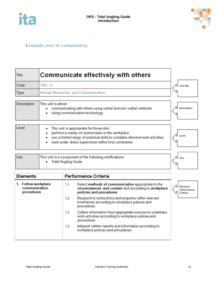



| Communicate effectively with others<br><b>Title</b>                                                                                                                                                                                                                  |                                                                                    |                                                                                                                                               |                                      |  |  |
|----------------------------------------------------------------------------------------------------------------------------------------------------------------------------------------------------------------------------------------------------------------------|------------------------------------------------------------------------------------|-----------------------------------------------------------------------------------------------------------------------------------------------|--------------------------------------|--|--|
| Code                                                                                                                                                                                                                                                                 | $TAG - 6$                                                                          | Unit title                                                                                                                                    |                                      |  |  |
| <b>Type</b>                                                                                                                                                                                                                                                          |                                                                                    | Human Resources and Communication                                                                                                             |                                      |  |  |
| This unit is about:<br>Description<br>communicating with others using verbal and non verbal methods<br>۰<br>using communication technology<br>۰                                                                                                                      |                                                                                    |                                                                                                                                               |                                      |  |  |
| Level<br>This unit is appropriate for those who:<br>۰<br>perform a variety of routine tasks in the workplace<br>۰<br>use a limited range of practical skills to complete directed work activities<br>۰<br>work under direct supervision within time constraints<br>۰ |                                                                                    |                                                                                                                                               |                                      |  |  |
| Use                                                                                                                                                                                                                                                                  | This unit is a component of the following certifications:<br>• Tidal Angling Guide |                                                                                                                                               |                                      |  |  |
| <b>Elements</b>                                                                                                                                                                                                                                                      |                                                                                    | <b>Performance Criteria</b>                                                                                                                   |                                      |  |  |
| 1. Follow workplace<br>communication<br>procedures                                                                                                                                                                                                                   |                                                                                    | 1.1.<br>Select methods of communication appropriate to the<br>circumstances and context and according to workplace<br>policies and procedures | Element /<br>Performance<br>Criteria |  |  |
|                                                                                                                                                                                                                                                                      |                                                                                    | 1.2.<br>Respond to instructions and enquiries within relevant<br>timeframes according to workplace policies and<br>procedures                 |                                      |  |  |
|                                                                                                                                                                                                                                                                      |                                                                                    | Collect information from appropriate sources to undertake<br>1.3.<br>work activities according to workplace policies and<br>procedures        |                                      |  |  |
|                                                                                                                                                                                                                                                                      |                                                                                    | Interpret written reports and information according to<br>14<br>workplace policies and procedures                                             |                                      |  |  |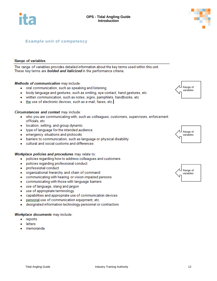



### **Range of variables**

The range of variables provides detailed information about the key terms used within this unit. These key terms are **bolded and italicized** in the performance criteria.

### **Methods of communication may include:**

- oral communication, such as speaking and listening
- body language and gestures, such as smiling, eye contact, hand gestures, etc
- written communication, such as notes, signs, pamphlets, handbooks, etc.
- the use of electronic devices, such as e-mail, faxes, etc.

### Circumstances and context may include:

- who you are communicating with, such as colleagues, customers, supervisors, enforcement officials, etc
- location, setting, and group dynamic
- type of language for the intended audience
- emergency situations and protocols
- barriers to communication, such as language or physical disability
- cultural and social customs and differences

#### Workplace policies and procedures may relate to:

- policies regarding how to address colleagues and customers
- policies regarding professional conduct
- professional conduct
- organizational hierarchy and chain of command
- communicating with hearing or vision impaired persons
- communicating with those with language barriers
- use of language, slang and jargon  $\bullet$
- use of appropriate terminology
- capabilities and appropriate use of communication devices
- personal use of communication equipment, etc.
- designated information technology personnel or contractors

#### Workplace documents may include:

- $\bullet$  reports
- letters
- memoranda





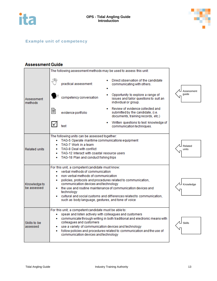



### **Assessment Guide**

|                             | The following assessment methods may be used to assess this unit:                                                                                                                                                                                                                                                                                                                                                                                                        |                     |  |
|-----------------------------|--------------------------------------------------------------------------------------------------------------------------------------------------------------------------------------------------------------------------------------------------------------------------------------------------------------------------------------------------------------------------------------------------------------------------------------------------------------------------|---------------------|--|
| Assessment<br>methods       | NW<br>Direct observation of the candidate<br>practical assessment:<br>communicating with others.                                                                                                                                                                                                                                                                                                                                                                         |                     |  |
|                             | Opportunity to explore a range of<br>competency conversation<br>issues and tailor questions to suit an<br>individual or group.                                                                                                                                                                                                                                                                                                                                           | Assessment<br>quide |  |
|                             | Review of evidence collected and<br>圁<br>submitted by the candidate, (i.e.<br>evidence portfolio<br>documents, training records, etc.)                                                                                                                                                                                                                                                                                                                                   |                     |  |
|                             | Written questions to test knowledge of<br>test<br>communication techniques.                                                                                                                                                                                                                                                                                                                                                                                              |                     |  |
| <b>Related units</b>        | The following units can be assessed together:<br>TAG-5 Operate maritime communications equipment<br>TAG-7 Work in a team<br>Related<br><b>TAG-8 Deal with conflict</b><br>units<br>TAG-12 Interact with coastal resource users<br>TAG-18 Plan and conduct fishing trips                                                                                                                                                                                                  |                     |  |
| Knowledge to<br>be assessed | For this unit, a competent candidate must know:<br>verbal methods of communication<br>$\bullet$<br>non verbal methods of communication<br>policies, protocols and procedures related to communication,<br>communication devices and technology<br>Knowledge<br>the use and routine maintenance of communication devices and<br>technology<br>cultural and social customs and differences related to communication,<br>such as body language, gestures, and tone of voice |                     |  |
| Skills to be<br>assessed    | For this unit, a competent candidate must be able to:<br>speak and listen actively with colleagues and customers<br>communicate through writing in both traditional and electronic means with<br>colleagues and customers<br>use a variety of communication devices and technology<br>follow policies and procedures related to communication and the use of<br>٠<br>communication devices and technology                                                                |                     |  |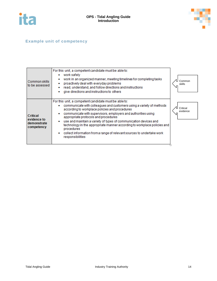



| Common skills<br>to be assessed                      | For this unit, a competent candidate must be able to:<br>work safely<br>work in an organized manner, meeting timelines for completing tasks<br>proactively deal with everyday problems<br>read, understand, and follow directions and instructions<br>give directions and instructions to others                                                                                                                                                                                                                                                     | Common<br>skills     |
|------------------------------------------------------|------------------------------------------------------------------------------------------------------------------------------------------------------------------------------------------------------------------------------------------------------------------------------------------------------------------------------------------------------------------------------------------------------------------------------------------------------------------------------------------------------------------------------------------------------|----------------------|
| Critical<br>evidence to<br>demonstrate<br>competency | For this unit, a competent candidate must be able to:<br>communicate with colleagues and customers using a variety of methods<br>according to workplace policies and procedures<br>communicate with supervisors, employers and authorities using<br>appropriate protocols and procedures<br>use and maintain a variety of types of communication devices and<br>technology in the appropriate manner according to workplace policies and<br>procedures<br>collect information from a range of relevant sources to undertake work<br>responsibilities | Critical<br>evidence |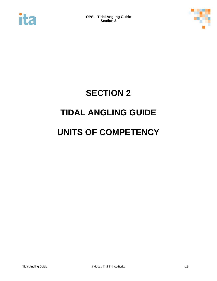



# **SECTION 2**

### **TIDAL ANGLING GUIDE**

### **UNITS OF COMPETENCY**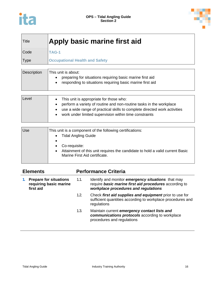



| <b>Title</b> | <b>Apply basic marine first aid</b>   |  |
|--------------|---------------------------------------|--|
| Code         | <b>TAG-1</b>                          |  |
| Type         | <b>Occupational Health and Safety</b> |  |

| <b>Description</b> | This unit is about:<br>preparing for situations requiring basic marine first aid<br>responding to situations requiring basic marine first aid |
|--------------------|-----------------------------------------------------------------------------------------------------------------------------------------------|
|                    |                                                                                                                                               |

| Level | • This unit is appropriate for those who:<br>perform a variety of routine and non-routine tasks in the workplace<br>use a wide range of practical skills to complete directed work activities<br>work under limited supervision within time constraints |
|-------|---------------------------------------------------------------------------------------------------------------------------------------------------------------------------------------------------------------------------------------------------------|
|-------|---------------------------------------------------------------------------------------------------------------------------------------------------------------------------------------------------------------------------------------------------------|

| Use | This unit is a component of the following certifications:<br><b>Tidal Angling Guide</b>                                        |
|-----|--------------------------------------------------------------------------------------------------------------------------------|
|     | Co-requisite:<br>Attainment of this unit requires the candidate to hold a valid current Basic<br>Marine First Aid certificate. |

| <b>Elements</b> |                                                                      | <b>Performance Criteria</b> |                                                                                                                                                             |  |
|-----------------|----------------------------------------------------------------------|-----------------------------|-------------------------------------------------------------------------------------------------------------------------------------------------------------|--|
|                 | <b>Prepare for situations</b><br>requiring basic marine<br>first aid | 1.1.                        | Identify and monitor <b>emergency situations</b> that may<br>require basic marine first aid procedures according to<br>workplace procedures and regulations |  |
|                 |                                                                      | 1.2.                        | Check first aid supplies and equipment prior to use for<br>sufficient quantities according to workplace procedures and<br>regulations                       |  |
|                 |                                                                      | 1.3.                        | Maintain current emergency contact lists and<br>communications protocols according to workplace<br>procedures and regulations                               |  |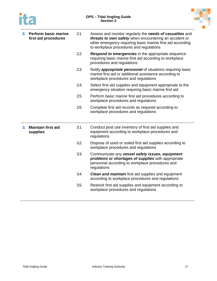



| 2. | <b>Perform basic marine</b><br>first aid procedures | 2.1. | Assess and monitor regularly the needs of casualties and<br>threats to own safety when encountering an accident or<br>other emergency requiring basic marine first aid according<br>to workplace procedures and regulations |
|----|-----------------------------------------------------|------|-----------------------------------------------------------------------------------------------------------------------------------------------------------------------------------------------------------------------------|
|    |                                                     | 2.2. | <b>Respond to emergencies</b> in the appropriate sequence<br>requiring basic marine first aid according to workplace<br>procedures and regulations                                                                          |
|    |                                                     | 2.3. | Notify <i>appropriate personnel</i> of situations requiring basic<br>marine first aid or additional assistance according to<br>workplace procedures and regulations                                                         |
|    |                                                     | 2.4. | Select first aid supplies and equipment appropriate to the<br>emergency situation requiring basic marine first aid                                                                                                          |
|    |                                                     | 2.5. | Perform basic marine first aid procedures according to<br>workplace procedures and regulations                                                                                                                              |
|    |                                                     | 2.6. | Complete first aid records as required according to<br>workplace procedures and regulations                                                                                                                                 |
| 3. | <b>Maintain first aid</b><br>supplies               | 3.1. | Conduct post use inventory of first aid supplies and<br>equipment according to workplace procedures and<br>regulations                                                                                                      |
|    |                                                     | 3.2. | Dispose of used or soiled first aid supplies according to<br>workplace procedures and regulations                                                                                                                           |
|    |                                                     | 3.3. | Communicate any vessel safety issues, equipment                                                                                                                                                                             |
|    |                                                     |      | problems or shortages of supplies with appropriate<br>personnel according to workplace procedures and<br>regulations                                                                                                        |
|    |                                                     | 3.4. | <b>Clean and maintain</b> first aid supplies and equipment<br>according to workplace procedures and regulations                                                                                                             |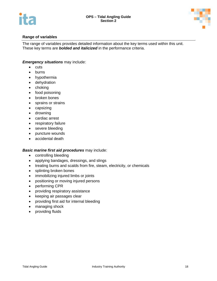



### **Range of variables**

The range of variables provides detailed information about the key terms used within this unit. These key terms are *bolded and italicized* in the performance criteria.

### *Emergency situations* may include:

- $\bullet$  cuts
- burns
- hypothermia
- dehydration
- choking
- food poisoning
- broken bones
- sprains or strains
- capsizing
- drowning
- cardiac arrest
- respiratory failure
- severe bleeding
- puncture wounds
- accidental death

### *Basic marine first aid procedures* may include:

- controlling bleeding
- applying bandages, dressings, and slings
- treating burns and scalds from fire, steam, electricity, or chemicals
- splinting broken bones
- immobilizing injured limbs or joints
- positioning or moving injured persons
- performing CPR
- providing respiratory assistance
- keeping air passages clear
- providing first aid for internal bleeding
- managing shock
- providing fluids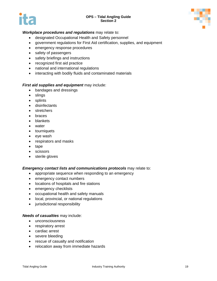### **OPS – Tidal Angling Guide Section 2**





### *Workplace procedures and regulations* may relate to:

- designated Occupational Health and Safety personnel
- government regulations for First Aid certification, supplies, and equipment
- emergency response procedures
- safety of passengers
- safety briefings and instructions
- recognized first aid practice
- national and international regulations
- interacting with bodily fluids and contaminated materials

### *First aid supplies and equipment* may include:

- bandages and dressings
- slings
- splints
- disinfectants
- stretchers
- braces
- blankets
- water
- tourniquets
- eye wash
- respirators and masks
- tape
- scissors
- sterile gloves

### *Emergency contact lists and communications protocols* may relate to:

- appropriate sequence when responding to an emergency
- emergency contact numbers
- locations of hospitals and fire stations
- emergency checklists
- occupational health and safety manuals
- local, provincial, or national regulations
- jurisdictional responsibility

### *Needs of casualties* may include:

- unconsciousness
- respiratory arrest
- cardiac arrest
- severe bleeding
- rescue of casualty and notification
- relocation away from immediate hazards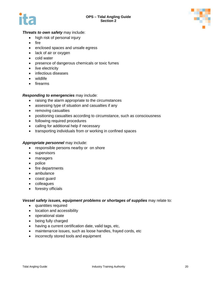



### *Threats to own safety* may include:

- high risk of personal injury
- $\bullet$  fire
- enclosed spaces and unsafe egress
- lack of air or oxygen
- cold water
- presence of dangerous chemicals or toxic fumes
- live electricity
- infectious diseases
- wildlife
- firearms

### *Responding to emergencies* may include:

- raising the alarm appropriate to the circumstances
- assessing type of situation and casualties if any
- removing casualties
- positioning casualties according to circumstance, such as consciousness
- following required procedures
- calling for additional help if necessary
- transporting individuals from or working in confined spaces

### *Appropriate personnel* may include:

- responsible persons nearby or on shore
- supervisors
- managers
- police
- fire departments
- ambulance
- coast guard
- colleagues
- forestry officials

### *Vessel safety issues, equipment problems or shortages of supplies* may relate to:

- quantities required
- location and accessibility
- operational state
- being fully charged
- having a current certification date, valid tags, etc,
- maintenance issues, such as loose handles, frayed cords, etc
- incorrectly stored tools and equipment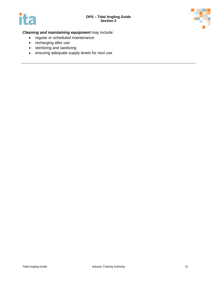





### *Cleaning and maintaining equipment* may include:

- regular or scheduled maintenance
- recharging after use
- sterilizing and sanitizing
- ensuring adequate supply levels for next use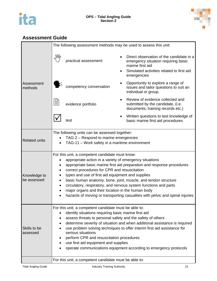



### **Assessment Guide**

|                             | The following assessment methods may be used to assess this unit:                                                                                                                                                                                                                                                                                                                                                                                                                                                                                                    |                                                                                                                                                                 |  |  |
|-----------------------------|----------------------------------------------------------------------------------------------------------------------------------------------------------------------------------------------------------------------------------------------------------------------------------------------------------------------------------------------------------------------------------------------------------------------------------------------------------------------------------------------------------------------------------------------------------------------|-----------------------------------------------------------------------------------------------------------------------------------------------------------------|--|--|
|                             | NW<br>practical assessment:                                                                                                                                                                                                                                                                                                                                                                                                                                                                                                                                          | Direct observation of the candidate in a<br>emergency situation requiring basic<br>marine first aid<br>Simulated activities related to first aid<br>emergencies |  |  |
| Assessment<br>methods       | competency conversation                                                                                                                                                                                                                                                                                                                                                                                                                                                                                                                                              | Opportunity to explore a range of<br>issues and tailor questions to suit an<br>individual or group.                                                             |  |  |
|                             | evidence portfolio                                                                                                                                                                                                                                                                                                                                                                                                                                                                                                                                                   | Review of evidence collected and<br>submitted by the candidate, (i.e.<br>documents, training records etc.)                                                      |  |  |
|                             | test                                                                                                                                                                                                                                                                                                                                                                                                                                                                                                                                                                 | Written questions to test knowledge of<br>basic marine first aid procedures                                                                                     |  |  |
| <b>Related units</b>        | The following units can be assessed together:<br>TAG-2 – Respond to marine emergencies<br>TAG-11 - Work safely in a maritime environment                                                                                                                                                                                                                                                                                                                                                                                                                             |                                                                                                                                                                 |  |  |
| Knowledge to<br>be assessed | For this unit, a competent candidate must know:<br>appropriate action in a variety of emergency situations<br>appropriate basic marine first aid preparation and response procedures<br>correct procedures for CPR and resuscitation<br>types and use of first aid equipment and supplies<br>basic human anatomy, bone, joint, muscle, and tendon structure<br>circulatory, respiratory, and nervous system functions and parts<br>major organs and their location in the human body<br>hazards of moving or transporting casualties with pelvic and spinal injuries |                                                                                                                                                                 |  |  |
| Skills to be<br>assessed    | For this unit, a competent candidate must be able to:<br>identify situations requiring basic marine first aid<br>assess threats to personal safety and the safety of others<br>determine severity of situation and when additional assistance is required<br>use problem solving techniques to offer interim first aid assistance for<br>serious situations<br>perform CPR and resuscitation procedures<br>use first aid equipment and supplies<br>operate communications equipment according to emergency protocols                                                 |                                                                                                                                                                 |  |  |
|                             | For this unit, a competent candidate must be able to:                                                                                                                                                                                                                                                                                                                                                                                                                                                                                                                |                                                                                                                                                                 |  |  |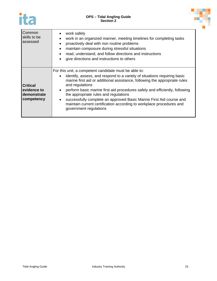## ita

**OPS – Tidal Angling Guide Section 2**



| Common<br>skills to be<br>assessed                          | work safely<br>work in an organized manner, meeting timelines for completing tasks<br>proactively deal with non routine problems<br>maintain composure during stressful situations<br>read, understand, and follow directions and instructions<br>give directions and instructions to others                                                                                                                                                                                                                                        |
|-------------------------------------------------------------|-------------------------------------------------------------------------------------------------------------------------------------------------------------------------------------------------------------------------------------------------------------------------------------------------------------------------------------------------------------------------------------------------------------------------------------------------------------------------------------------------------------------------------------|
| <b>Critical</b><br>evidence to<br>demonstrate<br>competency | For this unit, a competent candidate must be able to:<br>identify, assess, and respond to a variety of situations requiring basic<br>marine first aid or additional assistance, following the appropriate rules<br>and regulations<br>perform basic marine first aid procedures safely and efficiently, following<br>the appropriate rules and regulations<br>successfully complete an approved Basic Marine First Aid course and<br>maintain current certification according to workplace procedures and<br>government regulations |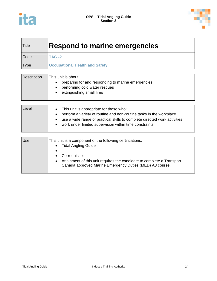



| Title | <b>Respond to marine emergencies</b>  |
|-------|---------------------------------------|
| Code  | <b>TAG -2</b>                         |
| Type  | <b>Occupational Health and Safety</b> |

| <b>Description</b> | This unit is about:                                |
|--------------------|----------------------------------------------------|
|                    | preparing for and responding to marine emergencies |
|                    | performing cold water rescues                      |
|                    | extinguishing small fires                          |
|                    |                                                    |

| Level | This unit is appropriate for those who:<br>perform a variety of routine and non-routine tasks in the workplace<br>use a wide range of practical skills to complete directed work activities<br>work under limited supervision within time constraints |
|-------|-------------------------------------------------------------------------------------------------------------------------------------------------------------------------------------------------------------------------------------------------------|
| Use   | This unit is a component of the following certifications:<br><b>Tidal Angling Guide</b><br>Co-requisite:<br>Attainment of this unit requires the candidate to complete a Transport<br>Canada approved Marine Emergency Duties (MED) A3 course.        |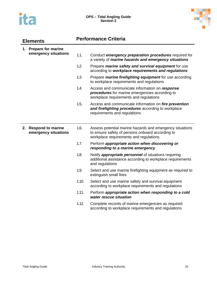



| <b>Elements</b> |                                               | <b>Performance Criteria</b> |                                                                                                                                                        |  |
|-----------------|-----------------------------------------------|-----------------------------|--------------------------------------------------------------------------------------------------------------------------------------------------------|--|
|                 | 1. Prepare for marine<br>emergency situations |                             |                                                                                                                                                        |  |
|                 |                                               | 1.1.                        | Conduct emergency preparation procedures required for<br>a variety of marine hazards and emergency situations                                          |  |
|                 |                                               | 1.2.                        | Prepare marine safety and survival equipment for use<br>according to workplace requirements and regulations                                            |  |
|                 |                                               | 1.3.                        | Prepare marine firefighting equipment for use according<br>to workplace requirements and regulations                                                   |  |
|                 |                                               | 1.4.                        | Access and communicate information on response<br>procedures for marine emergencies according to<br>workplace requirements and regulations             |  |
|                 |                                               | 1.5.                        | Access and communicate information on fire prevention<br>and firefighting procedures according to workplace<br>requirements and regulations            |  |
|                 | 2. Respond to marine<br>emergency situations  | 1.6.                        | Assess potential marine hazards and emergency situations<br>to ensure safety of persons onboard according to<br>workplace requirements and regulations |  |
|                 |                                               | 1.7.                        | Perform appropriate action when discovering or<br>responding to a marine emergency                                                                     |  |
|                 |                                               | 1.8.                        | Notify <i>appropriate personnel</i> of situations requiring<br>additional assistance according to workplace requirements<br>and regulations            |  |
|                 |                                               | 1.9.                        | Select and use marine firefighting equipment as required to<br>extinguish small fires                                                                  |  |
|                 |                                               | 1.10.                       | Select and use marine safety and survival equipment<br>according to workplace requirements and regulations                                             |  |
|                 |                                               | 1.11.                       | Perform appropriate action when responding to a cold<br>water rescue situation                                                                         |  |
|                 |                                               | 1.12.                       | Complete records of marine emergencies as required<br>according to workplace requirements and regulations                                              |  |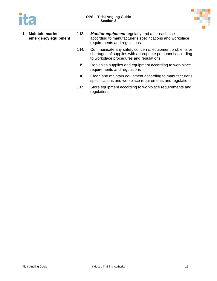



| <b>Maintain marine</b><br>emergency equipment | 1.13. | <b>Monitor equipment</b> regularly and after each use<br>according to manufacturer's specifications and workplace<br>requirements and regulations               |
|-----------------------------------------------|-------|-----------------------------------------------------------------------------------------------------------------------------------------------------------------|
|                                               | 1.14. | Communicate any safety concerns, equipment problems or<br>shortages of supplies with appropriate personnel according<br>to workplace procedures and regulations |
|                                               | 1.15. | Replenish supplies and equipment according to workplace<br>requirements and regulations                                                                         |
|                                               | 1.16. | Clean and maintain equipment according to manufacturer's<br>specifications and workplace requirements and regulations                                           |
|                                               | 1.17. | Store equipment according to workplace requirements and<br>regulations                                                                                          |
|                                               |       |                                                                                                                                                                 |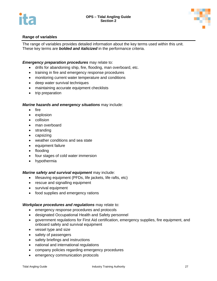



### **Range of variables**

The range of variables provides detailed information about the key terms used within this unit. These key terms are *bolded and italicized* in the performance criteria.

### *Emergency preparation procedures* may relate to:

- drills for abandoning ship, fire, flooding, man overboard, etc.
- training in fire and emergency response procedures
- monitoring current water temperature and conditions
- deep water survival techniques
- maintaining accurate equipment checklists
- trip preparation

### *Marine hazards and emergency situations* may include:

- $\bullet$  fire
- explosion
- collision
- man overboard
- stranding
- capsizing
- weather conditions and sea state
- equipment failure
- flooding
- four stages of cold water immersion
- hypothermia

### *Marine safety and survival equipment* may include:

- lifesaving equipment (PFDs, life jackets, life rafts, etc)
- rescue and signalling equipment
- survival equipment
- food supplies and emergency rations

### *Workplace procedures and regulations* may relate to:

- emergency response procedures and protocols
- designated Occupational Health and Safety personnel
- government regulations for First Aid certification, emergency supplies, fire equipment, and onboard safety and survival equipment
- vessel type and size
- safety of passengers
- safety briefings and instructions
- national and international regulations
- company policies regarding emergency procedures
- emergency communication protocols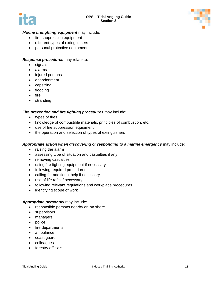



### *Marine firefighting equipment* may include:

- fire suppression equipment
- different types of extinguishers
- personal protective equipment

### *Response procedures* may relate to:

- signals
- alarms
- injured persons
- abandonment
- capsizing
- flooding
- $\bullet$  fire
- stranding

### *Fire prevention and fire fighting procedures may include:*

- types of fires
- knowledge of combustible materials, principles of combustion, etc.
- use of fire suppression equipment
- the operation and selection of types of extinguishers

### *Appropriate action when discovering or responding to a marine emergency* may include:

- raising the alarm
- assessing type of situation and casualties if any
- removing casualties
- using fire fighting equipment if necessary
- following required procedures
- calling for additional help if necessary
- use of life rafts if necessary
- following relevant regulations and workplace procedures
- identifying scope of work

### *Appropriate personnel* may include:

- responsible persons nearby or on shore
- supervisors
- managers
- police
- fire departments
- ambulance
- coast guard
- colleagues
- forestry officials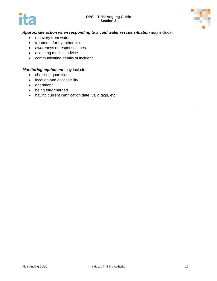### **OPS – Tidal Angling Guide Section 2**





### *Appropriate action when responding to a cold water rescue situation* may include:

- recovery from water
- treatment for hypothermia
- awareness of response times
- acquiring medical advice
- communicating details of incident

### *Monitoring equipment* may include:

- checking quantities
- location and accessibility
- operational
- being fully charged
- having current certification date, valid tags, etc.,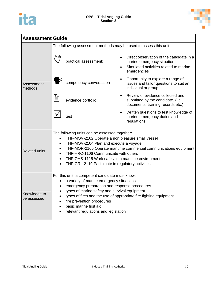



| <b>Assessment Guide</b>     |                                                                                                                                                                                                                                                                                                                                                                                  |                         |  |                                                                                                                                 |  |  |
|-----------------------------|----------------------------------------------------------------------------------------------------------------------------------------------------------------------------------------------------------------------------------------------------------------------------------------------------------------------------------------------------------------------------------|-------------------------|--|---------------------------------------------------------------------------------------------------------------------------------|--|--|
|                             | The following assessment methods may be used to assess this unit:                                                                                                                                                                                                                                                                                                                |                         |  |                                                                                                                                 |  |  |
|                             | NW                                                                                                                                                                                                                                                                                                                                                                               | practical assessment:   |  | Direct observation of the candidate in a<br>marine emergency situation<br>Simulated activities related to marine<br>emergencies |  |  |
| Assessment<br>methods       |                                                                                                                                                                                                                                                                                                                                                                                  | competency conversation |  | Opportunity to explore a range of<br>issues and tailor questions to suit an<br>individual or group.                             |  |  |
|                             |                                                                                                                                                                                                                                                                                                                                                                                  | evidence portfolio      |  | Review of evidence collected and<br>submitted by the candidate, (i.e.<br>documents, training records etc.)                      |  |  |
|                             |                                                                                                                                                                                                                                                                                                                                                                                  | test                    |  | Written questions to test knowledge of<br>marine emergency duties and<br>regulations                                            |  |  |
| <b>Related units</b>        | The following units can be assessed together:<br>THF-MOV-2102 Operate a non pleasure small vessel<br>THF-MOV-2104 Plan and execute a voyage<br>THF-MOR-2105 Operate maritime commercial communications equipment<br>THF-HRC-1106 Communicate with others<br>THF-OHS-1115 Work safely in a maritime environment<br>$\bullet$<br>THF-GRL-2110 Participate in regulatory activities |                         |  |                                                                                                                                 |  |  |
| Knowledge to<br>be assessed | For this unit, a competent candidate must know:<br>a variety of marine emergency situations<br>emergency preparation and response procedures<br>types of marine safety and survival equipment<br>types of fires and the use of appropriate fire fighting equipment<br>fire prevention procedures<br>basic marine first aid<br>relevant regulations and legislation               |                         |  |                                                                                                                                 |  |  |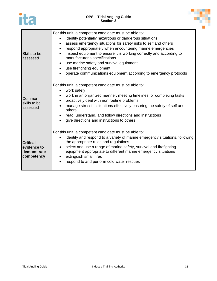



| Skills to be<br>assessed                                    | For this unit, a competent candidate must be able to:<br>identify potentially hazardous or dangerous situations<br>assess emergency situations for safety risks to self and others<br>respond appropriately when encountering marine emergencies<br>$\bullet$<br>inspect equipment to ensure it is working correctly and according to<br>manufacturer's specifications<br>use marine safety and survival equipment<br>$\bullet$<br>use firefighting equipment<br>٠<br>operate communications equipment according to emergency protocols |
|-------------------------------------------------------------|-----------------------------------------------------------------------------------------------------------------------------------------------------------------------------------------------------------------------------------------------------------------------------------------------------------------------------------------------------------------------------------------------------------------------------------------------------------------------------------------------------------------------------------------|
| Common<br>skills to be<br>assessed                          | For this unit, a competent candidate must be able to:<br>work safely<br>$\bullet$<br>work in an organized manner, meeting timelines for completing tasks<br>proactively deal with non routine problems<br>manage stressful situations effectively ensuring the safety of self and<br>others<br>read, understand, and follow directions and instructions<br>give directions and instructions to others<br>$\bullet$                                                                                                                      |
| <b>Critical</b><br>evidence to<br>demonstrate<br>competency | For this unit, a competent candidate must be able to:<br>identify and respond to a variety of marine emergency situations, following<br>$\bullet$<br>the appropriate rules and regulations<br>select and use a range of marine safety, survival and firefighting<br>$\bullet$<br>equipment appropriate to different marine emergency situations<br>extinguish small fires<br>respond to and perform cold water rescues                                                                                                                  |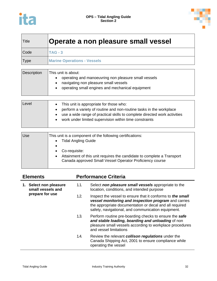

| Title | Operate a non pleasure small vessel |
|-------|-------------------------------------|
| Code  | $TAG - 3$                           |
| Type  | <b>Marine Operations - Vessels</b>  |

| Description | This unit is about:<br>operating and manoeuvring non pleasure small vessels<br>navigating non pleasure small vessels<br>operating small engines and mechanical equipment |
|-------------|--------------------------------------------------------------------------------------------------------------------------------------------------------------------------|
|             |                                                                                                                                                                          |

| Level | • This unit is appropriate for those who:<br>perform a variety of routine and non-routine tasks in the workplace<br>use a wide range of practical skills to complete directed work activities<br>work under limited supervision within time constraints |
|-------|---------------------------------------------------------------------------------------------------------------------------------------------------------------------------------------------------------------------------------------------------------|
|-------|---------------------------------------------------------------------------------------------------------------------------------------------------------------------------------------------------------------------------------------------------------|

| <b>Use</b> | This unit is a component of the following certifications:<br><b>Tidal Angling Guide</b>                                                             |  |
|------------|-----------------------------------------------------------------------------------------------------------------------------------------------------|--|
|            | Co-requisite:<br>Attainment of this unit requires the candidate to complete a Transport<br>Canada approved Small Vessel Operator Proficiency course |  |

| <b>Elements</b> |                                                                | <b>Performance Criteria</b> |                                                                                                                                                                                                                                            |  |
|-----------------|----------------------------------------------------------------|-----------------------------|--------------------------------------------------------------------------------------------------------------------------------------------------------------------------------------------------------------------------------------------|--|
|                 | 1. Select non pleasure<br>small vessels and<br>prepare for use | 1.1.                        | Select non pleasure small vessels appropriate to the<br>location, conditions, and intended purpose                                                                                                                                         |  |
|                 |                                                                | 1.2.                        | Inspect the vessel to ensure that it conforms to <i>the small</i><br>vessel monitoring and inspection program and carries<br>the appropriate documentation or decal and all required<br>safety, navigational, and communication equipment. |  |
|                 |                                                                | 1.3.                        | Perform routine pre-boarding checks to ensure the safe<br>and stable loading, boarding and unloading of non<br>pleasure small vessels according to workplace procedures<br>and vessel limitations                                          |  |
|                 |                                                                | 1.4.                        | Review the relevant collison regulations under the<br>Canada Shipping Act, 2001 to ensure compliance while<br>operating the vessel                                                                                                         |  |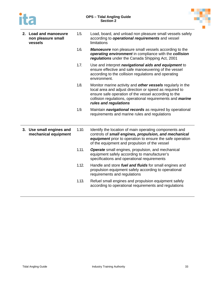



| 2. Load and manoeuvre<br>non pleasure small<br>vessels | 1.5.  | Load, board, and unload non pleasure small vessels safely<br>according to <i>operational requirements</i> and vessel<br>limitations                                                                                                                                                |
|--------------------------------------------------------|-------|------------------------------------------------------------------------------------------------------------------------------------------------------------------------------------------------------------------------------------------------------------------------------------|
|                                                        | 1.6.  | Manoeuvre non pleasure small vessels according to the<br>operating environment in compliance with the collision<br>regulations under the Canada Shipping Act, 2001                                                                                                                 |
|                                                        | 1.7.  | Use and interpret navigational aids and equipment to<br>ensure effective and safe manoeuvering of the vessel<br>according to the collision regulations and operating<br>environment.                                                                                               |
|                                                        | 1.8.  | Monitor marine activity and <b>other vessels</b> regularly in the<br>local area and adjust direction or speed as required to<br>ensure safe operation of the vessel according to the<br>collision regulations, operational requirements and <i>marine</i><br>rules and regulations |
|                                                        | 1.9.  | Maintain navigational records as required by operational<br>requirements and marine rules and regulations                                                                                                                                                                          |
| 3. Use small engines and<br>mechanical equipment       | 1.10. | Identify the location of main operating components and<br>controls of small engines, propulsion, and mechanical<br>equipment prior to operation to ensure the safe operation<br>of the equipment and propulsion of the vessel                                                      |
|                                                        | 1.11. | <b>Operate</b> small engines, propulsion, and mechanical<br>equipment safely according to manufacturer's<br>specifications and operational requirements                                                                                                                            |
|                                                        | 1.12. | Handle and store fuel and fluids for small engines and<br>propulsion equipment safely according to operational                                                                                                                                                                     |
|                                                        |       | requirements and regulations                                                                                                                                                                                                                                                       |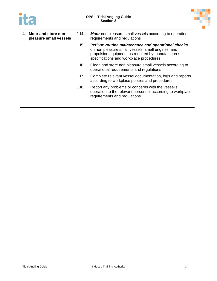



| 4. Moor and store non<br>pleasure small vessels | 1.14. | <b>Moor</b> non pleasure small vessels according to operational<br>requirements and regulations                                                                                                          |
|-------------------------------------------------|-------|----------------------------------------------------------------------------------------------------------------------------------------------------------------------------------------------------------|
|                                                 | 1.15. | Perform routine maintenance and operational checks<br>on non pleasure small vessels, small engines, and<br>propulsion equipment as required by manufacturer's<br>specifications and workplace procedures |
|                                                 | 1.16. | Clean and store non pleasure small vessels according to<br>operational requirements and regulations                                                                                                      |
|                                                 | 1.17. | Complete relevant vessel documentation, logs and reports<br>according to workplace policies and procedures                                                                                               |
|                                                 | 1.18. | Report any problems or concerns with the vessel's<br>operation to the relevant personnel according to workplace<br>requirements and regulations                                                          |
|                                                 |       |                                                                                                                                                                                                          |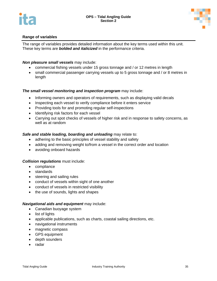

The range of variables provides detailed information about the key terms used within this unit. These key terms are *bolded and italicized* in the performance criteria.

#### *Non pleasure small vessels* may include:

- commercial fishing vessels under 15 gross tonnage and / or 12 metres in length
- small commercial passenger carrying vessels up to 5 gross tonnage and / or 8 metres in length

#### *The small vessel monitoring and inspection program may include:*

- Informing owners and operators of requirements, such as displaying valid decals
- Inspecting each vessel to verify compliance before it enters service
- Providing tools for and promoting regular self-inspections
- Identifying risk factors for each vessel
- Carrying out spot checks of vessels of higher risk and in response to safety concerns, as well as at random

#### *Safe and stable loading, boarding and unloading* may relate to:

- adhering to the basic principles of vessel stability and safety
- adding and removing weight to/from a vessel in the correct order and location
- avoiding onboard hazards

#### *Collision regulations* must include:

- compliance
- standards
- steering and sailing rules
- conduct of vessels within sight of one another
- conduct of vessels in restricted visibility
- the use of sounds, lights and shapes

#### *Navigational aids and equipment* may include:

- Canadian buoyage system
- list of lights
- applicable publications, such as charts, coastal sailing directions, etc.
- navigational instruments
- magnetic compass
- GPS equipment
- depth sounders
- radar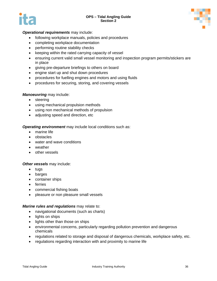



# *Operational requirements* may include:

- following workplace manuals, policies and procedures
- completing workplace documentation
- performing routine stability checks
- keeping within the rated carrying capacity of vessel
- ensuring current valid small vessel monitoring and inspection program permits/stickers are in place
- giving pre-departure briefings to others on board
- engine start up and shut down procedures
- procedures for fuelling engines and motors and using fluids
- procedures for securing, storing, and covering vessels

#### *Manoeuvring* may include:

- steering
- using mechanical propulsion methods
- using non mechanical methods of propulsion
- adjusting speed and direction, etc

*Operating environment* may include local conditions such as:

- marine life
- obstacles
- water and wave conditions
- weather
- other vessels

#### *Other vessels* may include:

- tugs
- barges
- container ships
- ferries
- commercial fishing boats
- pleasure or non pleasure small vessels

#### *Marine rules and regulations* may relate to:

- navigational documents (such as charts)
- lights on ships
- lights other than those on ships
- environmental concerns, particularly regarding pollution prevention and dangerous chemicals
- regulations related to storage and disposal of dangerous chemicals, workplace safety, etc.
- regulations regarding interaction with and proximity to marine life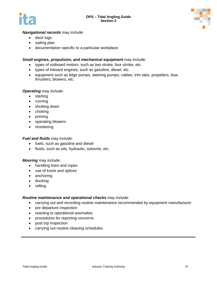



# *Navigational records* may include:

- deck logs
- sailing plan
- documentation specific to a particular workplace

# *Small engines, propulsion, and mechanical equipment* may include:

- types of outboard motors, such as two stroke, four stroke, etc.
- types of inboard engines, such as gasoline, diesel, etc.
- equipment such as bilge pumps, steering pumps, cables, trim tabs, propellers, bow thrusters, blowers, etc.

## *Operating* may include:

- starting
- running
- shutting down
- $\bullet$  choking
- priming
- operating blowers
- monitoring

## *Fuel and fluids* may include:

- fuels, such as gasoline and diesel
- fluids, such as oils, hydraulic, solvents, etc.

#### *Mooring* may include:

- handling lines and ropes
- use of knots and splices
- anchoring
- docking
- rafting

#### *Routine maintenance and operational checks* may include:

- carrying out and recording routine maintenance recommended by equipment manufacturer
- pre departure inspection
- reacting to operational anomalies
- procedures for reporting concerns
- post trip inspection
- carrying out routine cleaning schedules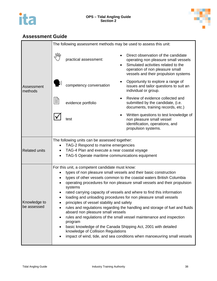



|                             |                                                                                                                                                                                                                                                                                                                                                                                                                                                                                                                                                                                                                                                                                                                                                                                                                                                                       | The following assessment methods may be used to assess this unit:                   |  |                                                                                                                                                                                               |
|-----------------------------|-----------------------------------------------------------------------------------------------------------------------------------------------------------------------------------------------------------------------------------------------------------------------------------------------------------------------------------------------------------------------------------------------------------------------------------------------------------------------------------------------------------------------------------------------------------------------------------------------------------------------------------------------------------------------------------------------------------------------------------------------------------------------------------------------------------------------------------------------------------------------|-------------------------------------------------------------------------------------|--|-----------------------------------------------------------------------------------------------------------------------------------------------------------------------------------------------|
|                             | $\mathbb{M}_{\ell}$                                                                                                                                                                                                                                                                                                                                                                                                                                                                                                                                                                                                                                                                                                                                                                                                                                                   | practical assessment:                                                               |  | Direct observation of the candidate<br>operating non pleasure small vessels<br>Simulated activities related to the<br>operation of non pleasure small<br>vessels and their propulsion systems |
| Assessment<br>methods       |                                                                                                                                                                                                                                                                                                                                                                                                                                                                                                                                                                                                                                                                                                                                                                                                                                                                       | competency conversation                                                             |  | Opportunity to explore a range of<br>issues and tailor questions to suit an<br>individual or group.                                                                                           |
|                             |                                                                                                                                                                                                                                                                                                                                                                                                                                                                                                                                                                                                                                                                                                                                                                                                                                                                       | evidence portfolio                                                                  |  | Review of evidence collected and<br>submitted by the candidate, (i.e.<br>documents, training records, etc.)                                                                                   |
|                             |                                                                                                                                                                                                                                                                                                                                                                                                                                                                                                                                                                                                                                                                                                                                                                                                                                                                       | test                                                                                |  | Written questions to test knowledge of<br>non pleasure small vessel<br>identification, operations, and<br>propulsion systems.                                                                 |
|                             |                                                                                                                                                                                                                                                                                                                                                                                                                                                                                                                                                                                                                                                                                                                                                                                                                                                                       | The following units can be assessed together:                                       |  |                                                                                                                                                                                               |
| <b>Related units</b>        |                                                                                                                                                                                                                                                                                                                                                                                                                                                                                                                                                                                                                                                                                                                                                                                                                                                                       | TAG-2 Respond to marine emergencies<br>TAG-4 Plan and execute a near coastal voyage |  |                                                                                                                                                                                               |
|                             |                                                                                                                                                                                                                                                                                                                                                                                                                                                                                                                                                                                                                                                                                                                                                                                                                                                                       | TAG-5 Operate maritime communications equipment                                     |  |                                                                                                                                                                                               |
| Knowledge to<br>be assessed | For this unit, a competent candidate must know:<br>types of non pleasure small vessels and their basic construction<br>types of other vessels common to the coastal waters British Columbia<br>operating procedures for non pleasure small vessels and their propulsion<br>systems<br>rated carrying capacity of vessels and where to find this information<br>loading and unloading procedures for non pleasure small vessels<br>principles of vessel stability and safety<br>rules and regulations regarding the handling and storage of fuel and fluids<br>aboard non pleasure small vessels<br>rules and regulations of the small vessel maintenance and inspection<br>program<br>basic knowledge of the Canada Shipping Act, 2001 with detailed<br>knowledge of Collision Regulations<br>impact of wind, tide, and sea conditions when manoeuvring small vessels |                                                                                     |  |                                                                                                                                                                                               |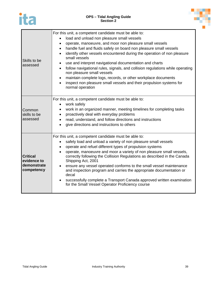# ita



| Skills to be<br>assessed                                    | For this unit, a competent candidate must be able to:<br>load and unload non pleasure small vessels<br>operate, manoeuvre, and moor non pleasure small vessels<br>handle fuel and fluids safely on board non pleasure small vessels<br>$\bullet$<br>identify other vessels encountered during the operation of non pleasure<br>small vessels<br>use and interpret navigational documentation and charts<br>follow navigational rules, signals, and collision regulations while operating<br>non pleasure small vessels<br>maintain complete logs, records, or other workplace documents<br>inspect non pleasure small vessels and their propulsion systems for<br>$\bullet$<br>normal operation |
|-------------------------------------------------------------|-------------------------------------------------------------------------------------------------------------------------------------------------------------------------------------------------------------------------------------------------------------------------------------------------------------------------------------------------------------------------------------------------------------------------------------------------------------------------------------------------------------------------------------------------------------------------------------------------------------------------------------------------------------------------------------------------|
| Common<br>skills to be<br>assessed                          | For this unit, a competent candidate must be able to:<br>work safely<br>$\bullet$<br>work in an organized manner, meeting timelines for completing tasks<br>proactively deal with everyday problems<br>read, understand, and follow directions and instructions<br>give directions and instructions to others                                                                                                                                                                                                                                                                                                                                                                                   |
| <b>Critical</b><br>evidence to<br>demonstrate<br>competency | For this unit, a competent candidate must be able to:<br>safely load and unload a variety of non pleasure small vessels<br>operate and refuel different types of propulsion systems<br>operate, manoeuvre and moor a variety of non pleasure small vessels,<br>$\bullet$<br>correctly following the Collision Regulations as described in the Canada<br>Shipping Act, 2001<br>ensure any vessel operated conforms to the small vessel maintenance<br>and inspection program and carries the appropriate documentation or<br>decal<br>successfully complete a Transport Canada approved written examination<br>$\bullet$<br>for the Small Vessel Operator Proficiency course                     |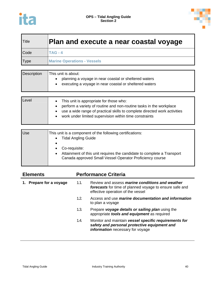



| <b>Title</b> | Plan and execute a near coastal voyage |
|--------------|----------------------------------------|
| <b>Code</b>  | $TAG - 4$                              |
| <b>Type</b>  | <b>Marine Operations - Vessels</b>     |

| <b>Description</b> | This unit is about:<br>planning a voyage in near coastal or sheltered waters<br>executing a voyage in near coastal or sheltered waters |
|--------------------|----------------------------------------------------------------------------------------------------------------------------------------|
|                    |                                                                                                                                        |

| Level<br>• This unit is appropriate for those who: | perform a variety of routine and non-routine tasks in the workplace<br>• use a wide range of practical skills to complete directed work activities<br>• work under limited supervision within time constraints |
|----------------------------------------------------|----------------------------------------------------------------------------------------------------------------------------------------------------------------------------------------------------------------|
|----------------------------------------------------|----------------------------------------------------------------------------------------------------------------------------------------------------------------------------------------------------------------|

| Use | This unit is a component of the following certifications:<br><b>Tidal Angling Guide</b>                                                             |
|-----|-----------------------------------------------------------------------------------------------------------------------------------------------------|
|     | Co-requisite:<br>Attainment of this unit requires the candidate to complete a Transport<br>Canada approved Small Vessel Operator Proficiency course |

| <b>Elements</b>      |      | <b>Performance Criteria</b>                                                                                                                     |  |  |
|----------------------|------|-------------------------------------------------------------------------------------------------------------------------------------------------|--|--|
| Prepare for a voyage | 1.1. | Review and assess marine conditions and weather<br>forecasts for time of planned voyage to ensure safe and<br>effective operation of the vessel |  |  |
|                      | 1.2. | Access and use marine documentation and information<br>to plan a voyage                                                                         |  |  |
|                      | 1.3. | Prepare voyage details or sailing plan using the<br>appropriate tools and equipment as required                                                 |  |  |
|                      | 1.4. | Monitor and maintain vessel specific requirements for<br>safety and personal protective equipment and<br>information necessary for voyage       |  |  |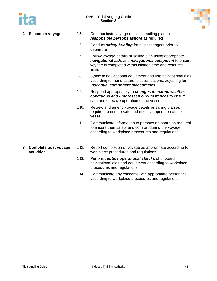# ita



| 2. Execute a voyage                   | 1.5.  | Communicate voyage details or sailing plan to<br>responsible persons ashore as required                                                                                              |
|---------------------------------------|-------|--------------------------------------------------------------------------------------------------------------------------------------------------------------------------------------|
|                                       | 1.6.  | Conduct safety briefing for all passengers prior to<br>departure                                                                                                                     |
|                                       | 1.7.  | Follow voyage details or sailing plan using appropriate<br>navigational aids and navigational equipment to ensure<br>voyage is completed within allotted time and resource<br>limits |
|                                       | 1.8.  | <b>Operate</b> navigational equipment and use navigational aids<br>according to manufacturer's specifications, adjusting for<br>individual component inaccuracies                    |
|                                       | 1.9.  | Respond appropriately to changes in marine weather<br>conditions and unforeseen circumstances to ensure<br>safe and effective operation of the vessel                                |
|                                       | 1.10. | Review and amend voyage details or sailing plan as<br>required to ensure safe and effective operation of the<br>vessel                                                               |
|                                       | 1.11. | Communicate information to persons on board as required<br>to ensure their safety and comfort during the voyage<br>according to workplace procedures and regulations                 |
| 3. Complete post voyage<br>activities | 1.12. | Report completion of voyage as appropriate according to<br>workplace procedures and regulations                                                                                      |
|                                       | 1.13. | Perform <i>routine</i> operational checks of onboard<br>navigational aids and equipment according to workplace<br>procedures and regulations                                         |
|                                       | 1.14. | Communicate any concerns with appropriate personnel<br>according to workplace procedures and regulations                                                                             |
|                                       |       |                                                                                                                                                                                      |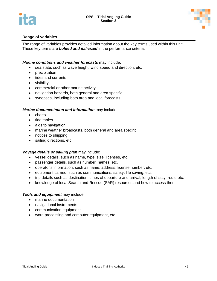



The range of variables provides detailed information about the key terms used within this unit. These key terms are *bolded and italicized* in the performance criteria.

#### *Marine conditions and weather forecasts* may include:

- sea state, such as wave height, wind speed and direction, etc.
- precipitation
- tides and currents
- visibility
- commercial or other marine activity
- navigation hazards, both general and area specific
- synopses, including both area and local forecasts

#### *Marine documentation and information* may include:

- charts
- tide tables
- aids to navigation
- marine weather broadcasts, both general and area specific
- notices to shipping
- sailing directions, etc.

#### *Voyage details or sailing plan* may include:

- vessel details, such as name, type, size, licenses, etc.
- passenger details, such as number, names, etc.
- operator's information, such as name, address, license number, etc.
- equipment carried, such as communications, safety, life saving, etc.
- trip details such as destination, times of departure and arrival, length of stay, route etc.
- knowledge of local Search and Rescue (SAR) resources and how to access them

#### *Tools and equipment* may include:

- marine documentation
- navigational instruments
- communication equipment
- word processing and computer equipment, etc.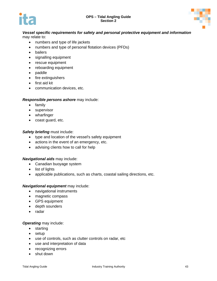



#### *Vessel specific requirements for safety and personal protective equipment and information* may relate to:

- numbers and type of life jackets
- numbers and type of personal flotation devices (PFDs)
- bailers
- signalling equipment
- rescue equipment
- reboarding equipment
- paddle
- fire extinguishers
- $\bullet$  first aid kit
- communication devices, etc.

## *Responsible persons ashore* may include:

- family
- supervisor
- wharfinger
- coast guard, etc.

## *Safety briefing* must include:

- type and location of the vessel's safety equipment
- actions in the event of an emergency, etc.
- advising clients how to call for help

#### *Navigational aids* may include:

- Canadian buoyage system
- list of lights
- applicable publications, such as charts, coastal sailing directions, etc.

#### *Navigational equipment* may include:

- navigational instruments
- magnetic compass
- GPS equipment
- depth sounders
- radar

#### *Operating* may include:

- starting
- setup
- use of controls, such as clutter controls on radar, etc
- use and interpretation of data
- recognizing errors
- shut down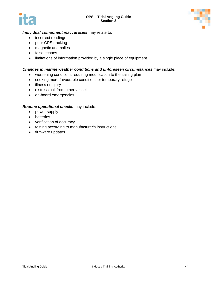#### **OPS – Tidal Angling Guide Section 2**





# *Individual component inaccuracies* may relate to:

- incorrect readings
- poor GPS tracking
- magnetic anomalies
- false echoes
- limitations of information provided by a single piece of equipment

## *Changes in marine weather conditions and unforeseen circumstances* may include:

- worsening conditions requiring modification to the sailing plan
- seeking more favourable conditions or temporary refuge
- illness or injury
- distress call from other vessel
- on-board emergencies

#### *Routine operational checks* may include:

- power supply
- batteries
- verification of accuracy
- testing according to manufacturer's instructions
- firmware updates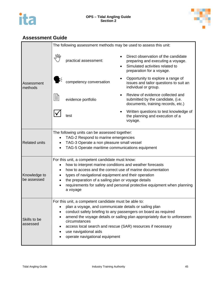



|                             |                                                                                                                                                                                      | The following assessment methods may be used to assess this unit:                                                                                                                                                                                                                                  |  |                                                                                                                                            |  |
|-----------------------------|--------------------------------------------------------------------------------------------------------------------------------------------------------------------------------------|----------------------------------------------------------------------------------------------------------------------------------------------------------------------------------------------------------------------------------------------------------------------------------------------------|--|--------------------------------------------------------------------------------------------------------------------------------------------|--|
|                             | M                                                                                                                                                                                    | practical assessment:                                                                                                                                                                                                                                                                              |  | Direct observation of the candidate<br>preparing and executing a voyage.<br>Simulated activities related to<br>preparation for a voyage.   |  |
| Assessment<br>methods       |                                                                                                                                                                                      | competency conversation                                                                                                                                                                                                                                                                            |  | Opportunity to explore a range of<br>issues and tailor questions to suit an<br>individual or group.                                        |  |
|                             |                                                                                                                                                                                      | evidence portfolio                                                                                                                                                                                                                                                                                 |  | Review of evidence collected and<br>submitted by the candidate, (i.e.<br>documents, training records, etc.)                                |  |
|                             |                                                                                                                                                                                      | test                                                                                                                                                                                                                                                                                               |  | Written questions to test knowledge of<br>the planning and execution of a<br>voyage.                                                       |  |
| <b>Related units</b>        | The following units can be assessed together:<br>TAG-2 Respond to marine emergencies<br>TAG-3 Operate a non pleasure small vessel<br>TAG-5 Operate maritime communications equipment |                                                                                                                                                                                                                                                                                                    |  |                                                                                                                                            |  |
| Knowledge to<br>be assessed |                                                                                                                                                                                      | For this unit, a competent candidate must know:<br>how to interpret marine conditions and weather forecasts<br>how to access and the correct use of marine documentation<br>types of navigational equipment and their operation<br>the preparation of a sailing plan or voyage details<br>a voyage |  | requirements for safety and personal protective equipment when planning                                                                    |  |
| Skills to be<br>assessed    |                                                                                                                                                                                      | For this unit, a competent candidate must be able to:<br>plan a voyage, and communicate details or sailing plan<br>circumstances<br>access local search and rescue (SAR) resources if necessary<br>use navigational aids<br>operate navigational equipment                                         |  | conduct safety briefing to any passengers on board as required<br>amend the voyage details or sailing plan appropriately due to unforeseen |  |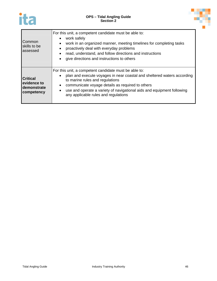



| Common<br>skills to be<br>assessed                                  | For this unit, a competent candidate must be able to:<br>work safely<br>٠<br>work in an organized manner, meeting timelines for completing tasks<br>$\bullet$<br>proactively deal with everyday problems<br>$\bullet$<br>read, understand, and follow directions and instructions<br>$\bullet$<br>give directions and instructions to others<br>$\bullet$           |
|---------------------------------------------------------------------|---------------------------------------------------------------------------------------------------------------------------------------------------------------------------------------------------------------------------------------------------------------------------------------------------------------------------------------------------------------------|
| <b>Critical</b><br><b>levidence to</b><br>demonstrate<br>competency | For this unit, a competent candidate must be able to:<br>plan and execute voyages in near coastal and sheltered waters according<br>to marine rules and regulations<br>communicate voyage details as required to others<br>$\bullet$<br>use and operate a variety of navigational aids and equipment following<br>$\bullet$<br>any applicable rules and regulations |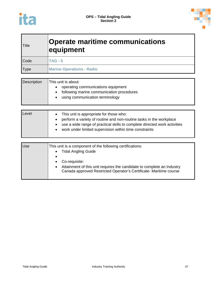

| <b>Title</b> | <b>Operate maritime communications</b><br>equipment |  |
|--------------|-----------------------------------------------------|--|
| Code         | <b>TAG - 5</b>                                      |  |
| Type         | <b>Marine Operations - Radio</b>                    |  |

| <b>Description</b> | This unit is about:                                                                                                |
|--------------------|--------------------------------------------------------------------------------------------------------------------|
|                    | operating communications equipment<br>following marine communication procedures<br>using communication terminology |

| Level | • This unit is appropriate for those who:<br>perform a variety of routine and non-routine tasks in the workplace<br>use a wide range of practical skills to complete directed work activities<br>work under limited supervision within time constraints |
|-------|---------------------------------------------------------------------------------------------------------------------------------------------------------------------------------------------------------------------------------------------------------|
|-------|---------------------------------------------------------------------------------------------------------------------------------------------------------------------------------------------------------------------------------------------------------|

| Use | This unit is a component of the following certifications:<br><b>Tidal Angling Guide</b><br>$\bullet$                                                                       |
|-----|----------------------------------------------------------------------------------------------------------------------------------------------------------------------------|
|     | Co-requisite:<br>Attainment of this unit requires the candidate to complete an Industry<br>$\bullet$<br>Canada approved Restricted Operator's Certificate- Maritime course |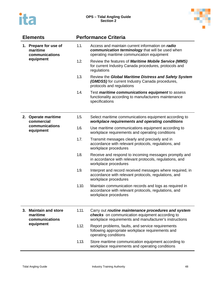



| <b>Elements</b> |                                                     | <b>Performance Criteria</b> |                                                                                                                                                                 |  |  |
|-----------------|-----------------------------------------------------|-----------------------------|-----------------------------------------------------------------------------------------------------------------------------------------------------------------|--|--|
|                 | 1. Prepare for use of<br>maritime<br>communications | 1.1.                        | Access and maintain current information on radio<br>communication terminology that will be used when<br>operating maritime communcation equipment               |  |  |
|                 | equipment                                           | 1.2.                        | Review the features of Maritime Mobile Service (MMS)<br>for current Industry Canada procedures, protocols and<br>regulations                                    |  |  |
|                 |                                                     | 1.3.                        | Review the Global Maritime Distress and Safety System<br>(GMDSS) for current Industry Canada procedures,<br>protocols and regulations                           |  |  |
|                 |                                                     | 1.4.                        | Test maritime communications equipment to assess<br>functionality according to manufacturers maintenance<br>specifications                                      |  |  |
|                 | 2. Operate maritime<br>commercial                   | 1.5.                        | Select maritime communications equipment according to<br>workplace requirements and operating conditions                                                        |  |  |
|                 | communications<br>equipment                         | 1.6.                        | Use maritime communications equipment according to<br>workplace requirements and operating conditions                                                           |  |  |
|                 |                                                     | 1.7.                        | Transmit messages clearly and precisely and in<br>accordance with relevant protocols, regulations, and<br>workplace procedures                                  |  |  |
|                 |                                                     | 1.8.                        | Receive and respond to incoming messages promptly and<br>in accordance with relevant protocols, regulations, and<br>workplace procedures                        |  |  |
|                 |                                                     | 1.9.                        | Interpret and record received messages where required, in<br>accordance with relevant protocols, regulations, and<br>workplace procedures                       |  |  |
|                 |                                                     | 1.10.                       | Maintain communication records and logs as required in<br>accordance with relevant protocols, regulations, and<br>workplace procedures                          |  |  |
|                 | 3. Maintain and store<br>maritime<br>communications | 1.11.                       | Carry out routine maintenance procedures and system<br>checks on communication equipment according to<br>workplace requirements and manufacturer's instructions |  |  |
|                 | equipment                                           | 1.12.                       | Report problems, faults, and service requirements<br>following appropriate workplace requirements and<br>operating conditions                                   |  |  |
|                 |                                                     | 1.13.                       | Store maritime communication equipment according to<br>workplace requirements and operating conditions                                                          |  |  |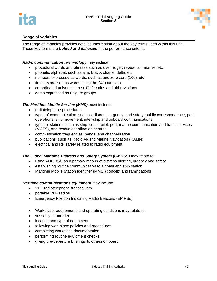

The range of variables provides detailed information about the key terms used within this unit. These key terms are *bolded and italicized* in the performance criteria.

# *Radio communication terminology* may include:

- procedural words and phrases such as over, roger, repeat, affirmative, etc.
- phonetic alphabet, such as alfa, bravo, charlie, delta, etc
- numbers expressed as words, such as one zero zero (100), etc
- times expressed as words using the 24 hour clock
- co-ordinated universal time (UTC) codes and abbreviations
- dates expressed as 6 figure groups

## *The Maritime Mobile Service (MMS)* must include:

- radiotelephone procedures
- types of communication, such as: distress, urgency, and safety; public correspondence; port operations; ship movement; inter-ship and onboard communications
- types of stations, such as ship, coast, pilot, port, marine communication and traffic services (MCTS), and rescue coordination centres
- communication frequencies, bands, and channelization
- publications, such as Radio Aids to Marine Navigation (RAMN)
- electrical and RF safety related to radio equipment

#### *The Global Maritime Distress and Safety System (GMDSS)* may relate to:

- using VHF/DSC as a primary means of distress alerting, urgency and safety
- establishing routine communication to a coast and ship station
- Maritime Mobile Station Identifier (MMSI) concept and ramifications

#### *Maritime communications equipment* may include:

- VHF radiotelephone transceivers
- portable VHF radios
- Emergency Position Indicating Radio Beacons (EPIRBs)
- Workplace requirements and operating conditions may relate to:
- vessel type and size
- location and type of equipment
- following workplace policies and procedures
- completing workplace documentation
- performing routine equipment checks
- giving pre-departure briefings to others on board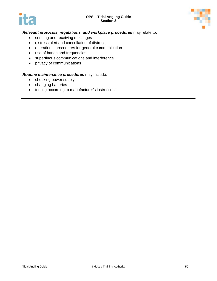#### **OPS – Tidal Angling Guide Section 2**





## *Relevant protocols, regulations, and workplace procedures* may relate to:

- sending and receiving messages
- distress alert and cancellation of distress
- operational procedures for general communication
- use of bands and frequencies
- superfluous communications and interference
- privacy of communications

# *Routine maintenance procedures* may include:

- checking power supply
- changing batteries
- testing according to manufacturer's instructions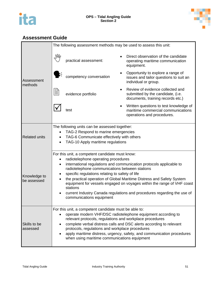



|                             | The following assessment methods may be used to assess this unit:                                                                                                                                                                                                                                                                                                                                                                                  |                                                                                                                                                                                                                                                                                                                                                                                                                                                                                                                                          |  |                                                                                                            |  |  |
|-----------------------------|----------------------------------------------------------------------------------------------------------------------------------------------------------------------------------------------------------------------------------------------------------------------------------------------------------------------------------------------------------------------------------------------------------------------------------------------------|------------------------------------------------------------------------------------------------------------------------------------------------------------------------------------------------------------------------------------------------------------------------------------------------------------------------------------------------------------------------------------------------------------------------------------------------------------------------------------------------------------------------------------------|--|------------------------------------------------------------------------------------------------------------|--|--|
|                             | $\mathbb{W}_{\ell}$<br>practical assessment:                                                                                                                                                                                                                                                                                                                                                                                                       |                                                                                                                                                                                                                                                                                                                                                                                                                                                                                                                                          |  | Direct observation of the candidate<br>operating maritime communication<br>equipment.                      |  |  |
| Assessment<br>methods       |                                                                                                                                                                                                                                                                                                                                                                                                                                                    | competency conversation                                                                                                                                                                                                                                                                                                                                                                                                                                                                                                                  |  | Opportunity to explore a range of<br>issues and tailor questions to suit an<br>individual or group.        |  |  |
|                             | 兰                                                                                                                                                                                                                                                                                                                                                                                                                                                  | evidence portfolio                                                                                                                                                                                                                                                                                                                                                                                                                                                                                                                       |  | Review of evidence collected and<br>submitted by the candidate, (i.e.<br>documents, training records etc.) |  |  |
|                             |                                                                                                                                                                                                                                                                                                                                                                                                                                                    | test                                                                                                                                                                                                                                                                                                                                                                                                                                                                                                                                     |  | Written questions to test knowledge of<br>maritime commercial communications<br>operations and procedures. |  |  |
| <b>Related units</b>        | The following units can be assessed together:<br>TAG-2 Respond to marine emergencies<br>$\bullet$<br>TAG-6 Communicate effectively with others<br>TAG-10 Apply maritime regulations                                                                                                                                                                                                                                                                |                                                                                                                                                                                                                                                                                                                                                                                                                                                                                                                                          |  |                                                                                                            |  |  |
| Knowledge to<br>be assessed | $\bullet$<br>٠                                                                                                                                                                                                                                                                                                                                                                                                                                     | For this unit, a competent candidate must know:<br>radiotelephone operating procedures<br>international regulations and communication protocols applicable to<br>radiotelephone communications between stations<br>specific regulations relating to safety of life<br>the practical operation of Global Maritime Distress and Safety System<br>equipment for vessels engaged on voyages within the range of VHF coast<br>stations<br>current Industry Canada regulations and procedures regarding the use of<br>communications equipment |  |                                                                                                            |  |  |
| Skills to be<br>assessed    | For this unit, a competent candidate must be able to:<br>operate modern VHF/DSC radiotelephone equipment according to<br>$\bullet$<br>relevant protocols, regulations and workplace procedures<br>complete verbal distress calls and DSC alerts according to relevant<br>protocols, regulations and workplace procedures<br>apply maritime distress, urgency, safety, and communication procedures<br>when using maritime communications equipment |                                                                                                                                                                                                                                                                                                                                                                                                                                                                                                                                          |  |                                                                                                            |  |  |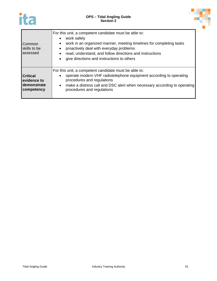



| Common<br>skills to be<br>assessed                          | For this unit, a competent candidate must be able to:<br>work safely<br>$\bullet$<br>work in an organized manner, meeting timelines for completing tasks<br>$\bullet$<br>proactively deal with everyday problems<br>$\bullet$<br>read, understand, and follow directions and instructions<br>$\bullet$<br>give directions and instructions to others<br>$\bullet$ |
|-------------------------------------------------------------|-------------------------------------------------------------------------------------------------------------------------------------------------------------------------------------------------------------------------------------------------------------------------------------------------------------------------------------------------------------------|
| <b>Critical</b><br>evidence to<br>demonstrate<br>competency | For this unit, a competent candidate must be able to:<br>operate modern VHF radiotelephone equipment according to operating<br>$\bullet$<br>procedures and regulations<br>make a distress call and DSC alert when necessary according to operating<br>$\bullet$<br>procedures and regulations                                                                     |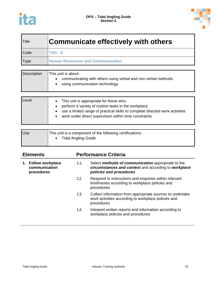

| <b>Title</b> | <b>Communicate effectively with others</b> |
|--------------|--------------------------------------------|
| Code         | $TAG - 6$                                  |
| <b>Type</b>  | <b>Human Resources and Communication</b>   |

| <b>Description</b> | This unit is about:<br>communicating with others using verbal and non verbal methods<br>$\bullet$<br>using communication technology |
|--------------------|-------------------------------------------------------------------------------------------------------------------------------------|
|                    |                                                                                                                                     |
| Level              | This unit is appropriate for those who:                                                                                             |

| l Level | • This unit is appropriate for those who:                                    |
|---------|------------------------------------------------------------------------------|
|         | perform a variety of routine tasks in the workplace                          |
|         | use a limited range of practical skills to complete directed work activities |
|         | work under direct supervision within time constraints                        |
|         |                                                                              |
|         |                                                                              |

| Use | This unit is a component of the following certifications: |
|-----|-----------------------------------------------------------|
|     | <b>Tidal Angling Guide</b>                                |
|     |                                                           |

| <b>Elements</b> |                                                    | <b>Performance Criteria</b> |                                                                                                                                       |  |  |
|-----------------|----------------------------------------------------|-----------------------------|---------------------------------------------------------------------------------------------------------------------------------------|--|--|
|                 | 1. Follow workplace<br>communication<br>procedures | 1.1.                        | Select methods of communication appropriate to the<br>circumstances and context and according to workplace<br>policies and procedures |  |  |
|                 |                                                    | 1.2.                        | Respond to instructions and enquiries within relevant<br>timeframes according to workplace policies and<br>procedures                 |  |  |
|                 |                                                    | 1.3.                        | Collect information from appropriate sources to undertake<br>work activities according to workplace policies and<br>procedures        |  |  |
|                 |                                                    | 1.4.                        | Interpret written reports and information according to<br>workplace policies and procedures                                           |  |  |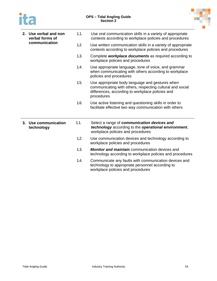



| 2. Use verbal and non<br>verbal forms of | 1.1. | Use oral communication skills in a variety of appropriate<br>contexts according to workplace policies and procedures<br>Use written communication skills in a variety of appropriate<br>contexts according to workplace policies and procedures<br>Complete workplace documents as required according to<br>workplace policies and procedures |  |  |  |  |
|------------------------------------------|------|-----------------------------------------------------------------------------------------------------------------------------------------------------------------------------------------------------------------------------------------------------------------------------------------------------------------------------------------------|--|--|--|--|
| communication                            | 1.2. |                                                                                                                                                                                                                                                                                                                                               |  |  |  |  |
|                                          | 1.3. |                                                                                                                                                                                                                                                                                                                                               |  |  |  |  |
|                                          | 1.4. | Use appropriate language, tone of voice, and grammar<br>when communicating with others according to workplace<br>policies and procedures                                                                                                                                                                                                      |  |  |  |  |
|                                          | 1.5. | Use appropriate body language and gestures when<br>communicating with others, respecting cultural and social<br>differences, according to workplace policies and<br>procedures                                                                                                                                                                |  |  |  |  |
|                                          | 1.6. | Use active listening and questioning skills in order to<br>facilitate effective two way communication with others                                                                                                                                                                                                                             |  |  |  |  |
| 3. Use communication<br>technology       | 1.1. | Select a range of communication devices and<br>technology according to the operational environment,<br>workplace policies and procedures                                                                                                                                                                                                      |  |  |  |  |
|                                          | 1.2. | Use communication devices and technology according to<br>workplace policies and procedures                                                                                                                                                                                                                                                    |  |  |  |  |
|                                          | 1.3. | <b>Monitor and maintain</b> communication devices and<br>technology according to workplace policies and procedures                                                                                                                                                                                                                            |  |  |  |  |
|                                          | 1.4. | Communicate any faults with communication devices and<br>technology to appropriate personnel according to<br>workplace policies and procedures                                                                                                                                                                                                |  |  |  |  |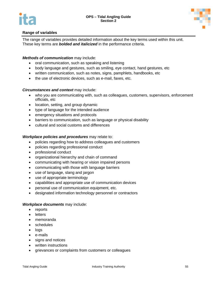



The range of variables provides detailed information about the key terms used within this unit. These key terms are *bolded and italicized* in the performance criteria.

#### *Methods of communication* may include:

- oral communication, such as speaking and listening
- body language and gestures, such as smiling, eye contact, hand gestures, etc
- written communication, such as notes, signs, pamphlets, handbooks, etc
- the use of electronic devices, such as e-mail, faxes, etc.

#### *Circumstances and context* may include:

- who you are communicating with, such as colleagues, customers, supervisors, enforcement officials, etc
- location, setting, and group dynamic
- type of language for the intended audience
- **e** emergency situations and protocols
- barriers to communication, such as language or physical disability
- cultural and social customs and differences

#### *Workplace policies and procedures* may relate to:

- policies regarding how to address colleagues and customers
- policies regarding professional conduct
- professional conduct
- organizational hierarchy and chain of command
- communicating with hearing or vision impaired persons
- communicating with those with language barriers
- use of language, slang and jargon
- use of appropriate terminology
- capabilities and appropriate use of communication devices
- personal use of communication equipment, etc.
- designated information technology personnel or contractors

#### *Workplace documents* may include:

- reports
- **•** letters
- memoranda
- schedules
- logs
- e-mails
- signs and notices
- written instructions
- grievances or complaints from customers or colleagues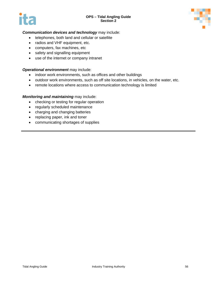#### **OPS – Tidal Angling Guide Section 2**





# *Communication devices and technology* may include:

- telephones, both land and cellular or satellite
- radios and VHF equipment, etc.
- computers, fax machines, etc
- safety and signalling equipment
- use of the internet or company intranet

#### *Operational environment* may include:

- indoor work environments, such as offices and other buildings
- outdoor work environments, such as off site locations, in vehicles, on the water, etc.
- remote locations where access to communication technology is limited

#### *Monitoring and maintaining* may include:

- checking or testing for regular operation
- regularly scheduled maintenance
- charging and changing batteries
- replacing paper, ink and toner
- communicating shortages of supplies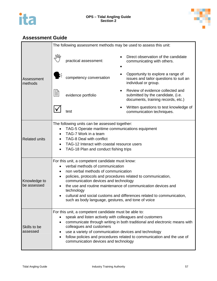



|                             | The following assessment methods may be used to assess this unit:                                                                                                                                                                                                                                                                                                                                                                              |                         |                                                                     |                                                                                                             |  |  |  |
|-----------------------------|------------------------------------------------------------------------------------------------------------------------------------------------------------------------------------------------------------------------------------------------------------------------------------------------------------------------------------------------------------------------------------------------------------------------------------------------|-------------------------|---------------------------------------------------------------------|-------------------------------------------------------------------------------------------------------------|--|--|--|
|                             | $\mathbb{M}_{\ell}$                                                                                                                                                                                                                                                                                                                                                                                                                            | practical assessment:   |                                                                     | Direct observation of the candidate<br>communicating with others.                                           |  |  |  |
| Assessment<br>methods       |                                                                                                                                                                                                                                                                                                                                                                                                                                                | competency conversation |                                                                     | Opportunity to explore a range of<br>issues and tailor questions to suit an<br>individual or group.         |  |  |  |
|                             |                                                                                                                                                                                                                                                                                                                                                                                                                                                | evidence portfolio      |                                                                     | Review of evidence collected and<br>submitted by the candidate, (i.e.<br>documents, training records, etc.) |  |  |  |
|                             |                                                                                                                                                                                                                                                                                                                                                                                                                                                | test                    | Written questions to test knowledge of<br>communication techniques. |                                                                                                             |  |  |  |
| <b>Related units</b>        | The following units can be assessed together:<br>TAG-5 Operate maritime communications equipment<br>TAG-7 Work in a team<br><b>TAG-8 Deal with conflict</b><br>TAG-12 Interact with coastal resource users<br>TAG-18 Plan and conduct fishing trips                                                                                                                                                                                            |                         |                                                                     |                                                                                                             |  |  |  |
| Knowledge to<br>be assessed | For this unit, a competent candidate must know:<br>verbal methods of communication<br>non verbal methods of communication<br>policies, protocols and procedures related to communication,<br>communication devices and technology<br>the use and routine maintenance of communication devices and<br>technology<br>cultural and social customs and differences related to communication,<br>such as body language, gestures, and tone of voice |                         |                                                                     |                                                                                                             |  |  |  |
| Skills to be<br>assessed    | For this unit, a competent candidate must be able to:<br>speak and listen actively with colleagues and customers<br>communicate through writing in both traditional and electronic means with<br>colleagues and customers<br>use a variety of communication devices and technology<br>follow policies and procedures related to communication and the use of<br>communication devices and technology                                           |                         |                                                                     |                                                                                                             |  |  |  |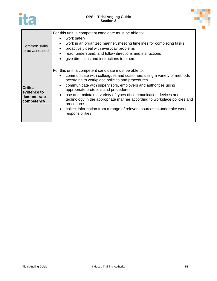



| Common skills<br>to be assessed                             | For this unit, a competent candidate must be able to:<br>work safely<br>work in an organized manner, meeting timelines for completing tasks<br>proactively deal with everyday problems<br>$\bullet$<br>read, understand, and follow directions and instructions<br>give directions and instructions to others<br>$\bullet$                                                                                                                                                                                                                                                                               |
|-------------------------------------------------------------|----------------------------------------------------------------------------------------------------------------------------------------------------------------------------------------------------------------------------------------------------------------------------------------------------------------------------------------------------------------------------------------------------------------------------------------------------------------------------------------------------------------------------------------------------------------------------------------------------------|
| <b>Critical</b><br>evidence to<br>demonstrate<br>competency | For this unit, a competent candidate must be able to:<br>communicate with colleagues and customers using a variety of methods<br>$\bullet$<br>according to workplace policies and procedures<br>communicate with supervisors, employers and authorities using<br>$\bullet$<br>appropriate protocols and procedures<br>use and maintain a variety of types of communication devices and<br>$\bullet$<br>technology in the appropriate manner according to workplace policies and<br>procedures<br>collect information from a range of relevant sources to undertake work<br>$\bullet$<br>responsibilities |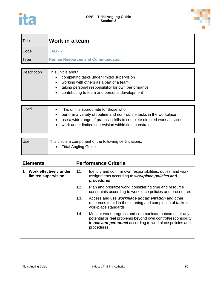



| Title | Work in a team                           |
|-------|------------------------------------------|
| Code  | <b>TAG - 7</b>                           |
| Type  | <b>Human Resources and Communication</b> |

| <b>Description</b> | This unit is about:                                |
|--------------------|----------------------------------------------------|
|                    | completing tasks under limited supervision         |
|                    | working with others as a part of a team            |
|                    | taking personal responsibility for own performance |
|                    | contributing to team and personal development      |
|                    |                                                    |

| Level | • This unit is appropriate for those who:<br>perform a variety of routine and non-routine tasks in the workplace<br>use a wide range of practical skills to complete directed work activities<br>work under limited supervision within time constraints |
|-------|---------------------------------------------------------------------------------------------------------------------------------------------------------------------------------------------------------------------------------------------------------|
|-------|---------------------------------------------------------------------------------------------------------------------------------------------------------------------------------------------------------------------------------------------------------|

| <b>Use</b> | This unit is a component of the following certifications: |
|------------|-----------------------------------------------------------|
|            | <b>Tidal Angling Guide</b>                                |
|            |                                                           |

| <b>Elements</b> |                                                  | <b>Performance Criteria</b> |                                                                                                                                                                                                  |  |
|-----------------|--------------------------------------------------|-----------------------------|--------------------------------------------------------------------------------------------------------------------------------------------------------------------------------------------------|--|
|                 | 1. Work effectively under<br>limited supervision | 1.1.                        | Identify and confirm own responsibilities, duties, and work<br>assignments according to workplace policies and<br>procedures                                                                     |  |
|                 |                                                  | 1.2.                        | Plan and prioritize work, considering time and resource<br>constraints according to workplace policies and procedures                                                                            |  |
|                 |                                                  | 1.3.                        | Access and use workplace documentation and other<br>resources to aid in the planning and completion of tasks to<br>workplace standards                                                           |  |
|                 |                                                  | 1.4.                        | Monitor work progress and communicate outcomes or any<br>potential or real problems beyond own control/responsibility<br>to relevant personnel according to workplace policies and<br>procedures |  |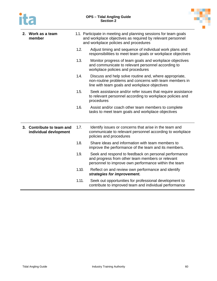# ita



| 2. Work as a team<br>member                        |       | 1.1. Participate in meeting and planning sessions for team goals<br>and workplace objectives as required by relevant personnel<br>and workplace policies and procedures |
|----------------------------------------------------|-------|-------------------------------------------------------------------------------------------------------------------------------------------------------------------------|
|                                                    | 1.2.  | Adjust timing and sequence of individual work plans and<br>responsibilities to meet team goals or workplace objectives                                                  |
|                                                    | 1.3.  | Monitor progress of team goals and workplace objectives<br>and communicate to relevant personnel according to<br>workplace policies and procedures                      |
|                                                    | 1.4.  | Discuss and help solve routine and, where appropriate,<br>non-routine problems and concerns with team members in<br>line with team goals and workplace objectives       |
|                                                    | 1.5.  | Seek assistance and/or refer issues that require assistance<br>to relevant personnel according to workplace policies and<br>procedures                                  |
|                                                    | 1.6.  | Assist and/or coach other team members to complete<br>tasks to meet team goals and workplace objectives                                                                 |
| 3. Contribute to team and<br>individual devlopment | 1.7.  | Identify issues or concerns that arise in the team and<br>communicate to relevant personnel according to workplace<br>policies and procedures                           |
|                                                    | 1.8.  | Share ideas and information with team members to<br>improve the performance of the team and its members.                                                                |
|                                                    | 1.9.  | Seek and respond to feedback on personal performance<br>and progress from other team members or relevant<br>personnel to improve own performance within the team        |
|                                                    | 1.10. | Reflect on and review own performance and identify<br>strategies for improvement.                                                                                       |
|                                                    | 1.11. | Seek out opportunities for professional development to<br>contribute to improved team and individual performance                                                        |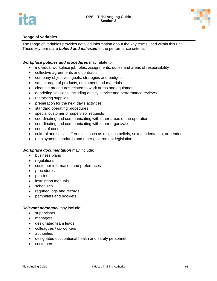



The range of variables provides detailed information about the key terms used within this unit. These key terms are *bolded and italicized* in the performance criteria.

## *Workplace policies and procedures* may relate to:

- individual workplace job roles, assignments, duties and areas of responsibility
- collective agreements and contracts
- company objectives, goals, strategies and budgets
- safe storage of products, equipment and materials
- cleaning procedures related to work areas and equipment
- debriefing sessions, including quality service and performance reviews
- restocking supplies
- preparation for the next day's activities
- standard operating procedures
- special customer or supervisor requests
- coordinating and communicating with other areas of the operation
- coordinating and communicating with other organizations
- codes of conduct
- cultural and social differences, such as religious beliefs, sexual orientation, or gender
- employment standards and other government legislation

#### *Workplace documentation* may include:

- business plans
- regulations
- customer information and preferences
- procedures
- policies
- instruction manuals
- schedules
- required logs and records
- pamphlets and booklets

#### *Relevant personnel* may include:

- supervisors
- managers
- designated team leads
- colleagues / co-workers
- authorities
- designated occupational health and safety personnel
- customers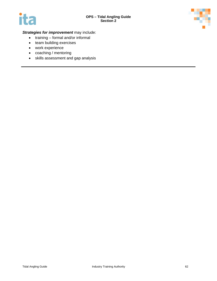

# *Strategies for improvement* may include:

- training formal and/or informal
- team building exercises
- work experience
- coaching / mentoring
- skills assessment and gap analysis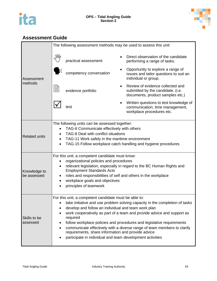



|                             |                                                                                                                                                                                                                                                                                                                                                                                                                                                                                                                                                          | The following assessment methods may be used to assess this unit: |  |                                                                                                           |  |
|-----------------------------|----------------------------------------------------------------------------------------------------------------------------------------------------------------------------------------------------------------------------------------------------------------------------------------------------------------------------------------------------------------------------------------------------------------------------------------------------------------------------------------------------------------------------------------------------------|-------------------------------------------------------------------|--|-----------------------------------------------------------------------------------------------------------|--|
|                             | $\mathbb{W}_{\varphi}$                                                                                                                                                                                                                                                                                                                                                                                                                                                                                                                                   | practical assessment:                                             |  | Direct observation of the candidate<br>performing a range of tasks.                                       |  |
| Assessment                  |                                                                                                                                                                                                                                                                                                                                                                                                                                                                                                                                                          | competency conversation                                           |  | Opportunity to explore a range of<br>issues and tailor questions to suit an<br>individual or group.       |  |
| methods                     | ≣                                                                                                                                                                                                                                                                                                                                                                                                                                                                                                                                                        | evidence portfolio                                                |  | Review of evidence collected and<br>submitted by the candidate, (i.e.<br>documents, product samples etc.) |  |
|                             |                                                                                                                                                                                                                                                                                                                                                                                                                                                                                                                                                          | test                                                              |  | Written questions to test knowledge of<br>communication, time management,<br>workplace procedures etc.    |  |
| <b>Related units</b>        | The following units can be assessed together:<br>TAG-6 Communicate effectively with others<br>TAG-8 Deal with conflict situations<br>TAG-11 Work safely in the maritime environment<br>TAG-15 Follow workplace catch handling and hygiene procedures                                                                                                                                                                                                                                                                                                     |                                                                   |  |                                                                                                           |  |
| Knowledge to<br>be assessed | For this unit, a competent candidate must know:<br>organizational policies and procedures<br>relevant legislation, especially in regard to the BC Human Rights and<br><b>Employment Standards Acts</b><br>roles and responsibilities of self and others in the workplace<br>workplace goals and objectives<br>principles of teamwork                                                                                                                                                                                                                     |                                                                   |  |                                                                                                           |  |
| Skills to be<br>assessed    | For this unit, a competent candidate must be able to:<br>take initiative and use problem solving capacity in the completion of tasks<br>develop and follow an individual and team work plan<br>work cooperatively as part of a team and provide advice and support as<br>required<br>follow workplace policies and procedures and legislative requirements<br>communicate effectively with a diverse range of team members to clarify<br>requirements, share information and provide advice<br>participate in individual and team development activities |                                                                   |  |                                                                                                           |  |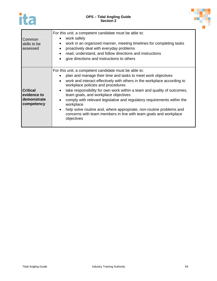



| <b>Common</b><br>skills to be<br>assessed                   | For this unit, a competent candidate must be able to:<br>work safely<br>$\bullet$<br>work in an organized manner, meeting timelines for completing tasks<br>proactively deal with everyday problems<br>read, understand, and follow directions and instructions<br>give directions and instructions to others                                                                                                                                                                                                                                                                                                          |
|-------------------------------------------------------------|------------------------------------------------------------------------------------------------------------------------------------------------------------------------------------------------------------------------------------------------------------------------------------------------------------------------------------------------------------------------------------------------------------------------------------------------------------------------------------------------------------------------------------------------------------------------------------------------------------------------|
| <b>Critical</b><br>evidence to<br>demonstrate<br>competency | For this unit, a competent candidate must be able to:<br>plan and manage their time and tasks to meet work objectives<br>work and interact effectively with others in the workplace according to<br>workplace policies and procedures<br>take responsibility for own work within a team and quality of outcomes,<br>team goals, and workplace objectives<br>comply with relevant legislative and regulatory requirements within the<br>workplace<br>help solve routine and, where appropriate, non-routine problems and<br>$\bullet$<br>concerns with team members in line with team goals and workplace<br>objectives |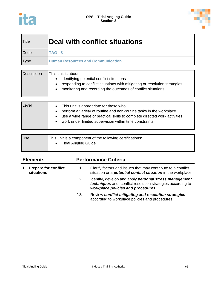

| Title | Deal with conflict situations            |
|-------|------------------------------------------|
| Code  | $TAG - 8$                                |
| Type  | <b>Human Resources and Communication</b> |

| <b>Description</b> | This unit is about:<br>identifying potential conflict situations<br>responding to conflict situations with mitigating or resolution strategies<br>monitoring and recording the outcomes of conflict situations |
|--------------------|----------------------------------------------------------------------------------------------------------------------------------------------------------------------------------------------------------------|
|--------------------|----------------------------------------------------------------------------------------------------------------------------------------------------------------------------------------------------------------|

| Level | • This unit is appropriate for those who:<br>perform a variety of routine and non-routine tasks in the workplace<br>use a wide range of practical skills to complete directed work activities<br>work under limited supervision within time constraints |
|-------|---------------------------------------------------------------------------------------------------------------------------------------------------------------------------------------------------------------------------------------------------------|
|-------|---------------------------------------------------------------------------------------------------------------------------------------------------------------------------------------------------------------------------------------------------------|

| <b>Use</b> | This unit is a component of the following certifications: |
|------------|-----------------------------------------------------------|
|            | <b>Tidal Angling Guide</b>                                |
|            |                                                           |

| <b>Elements</b>                           | <b>Performance Criteria</b> |                                                                                                                                                           |  |  |
|-------------------------------------------|-----------------------------|-----------------------------------------------------------------------------------------------------------------------------------------------------------|--|--|
| <b>Prepare for conflict</b><br>situations | 1.1.                        | Clarify factors and issues that may contribute to a conflict<br>situation or a <i>potential conflict situation</i> in the workplace                       |  |  |
|                                           | 1.2.                        | Identify, develop and apply personal stress management<br>techniques and conflict resolution strategies according to<br>workplace policies and procedures |  |  |
|                                           | 1.3.                        | Review conflict mitigating and resolution strategies<br>according to workplace policies and procedures                                                    |  |  |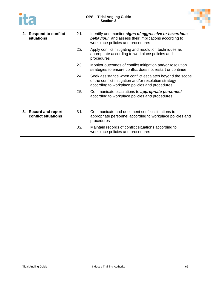# ita



|  | 2. Respond to conflict<br><b>situations</b> | 2.1. | Identify and monitor signs of aggressive or hazardous<br><b>behaviour</b> and assess their implications according to<br>workplace policies and procedures           |
|--|---------------------------------------------|------|---------------------------------------------------------------------------------------------------------------------------------------------------------------------|
|  |                                             | 2.2. | Apply conflict mitigating and resolution techniques as<br>appropriate according to workplace policies and<br>procedures                                             |
|  |                                             | 2.3. | Monitor outcomes of conflict mitigation and/or resolution<br>strategies to ensure conflict does not restart or continue                                             |
|  |                                             | 2.4. | Seek assistance when conflict escalates beyond the scope<br>of the conflict mitigation and/or resolution strategy<br>according to workplace policies and procedures |
|  |                                             | 2.5. | Communicate escalations to <i>appropriate personnel</i><br>according to workplace policies and procedures                                                           |
|  | 3. Record and report<br>conflict situations | 3.1. | Communicate and document conflict situations to<br>appropriate personnel according to workplace policies and<br>procedures                                          |
|  |                                             | 3.2. | Maintain records of conflict situations according to<br>workplace policies and procedures                                                                           |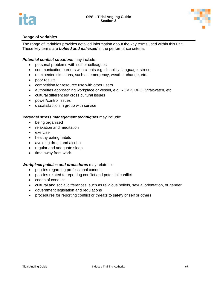



The range of variables provides detailed information about the key terms used within this unit. These key terms are *bolded and italicized* in the performance criteria.

#### *Potential conflict situations* may include:

- personal problems with self or colleagues
- communication barriers with clients e.g. disability, language, stress
- unexpected situations, such as emergency, weather change, etc.
- poor results
- competition for resource use with other users
- authorities approaching workplace or vessel, e.g. RCMP, DFO, Straitwatch, etc
- cultural differences/ cross cultural issues
- power/control issues
- dissatisfaction in group with service

#### *Personal stress management techniques* may include:

- being organized
- relaxation and meditation
- exercise
- healthy eating habits
- avoiding drugs and alcohol
- regular and adequate sleep
- time away from work

#### *Workplace policies and procedures* may relate to:

- policies regarding professional conduct
- policies related to reporting conflict and potential conflict
- codes of conduct
- cultural and social differences, such as religious beliefs, sexual orientation, or gender
- government legislation and regulations
- procedures for reporting conflict or threats to safety of self or others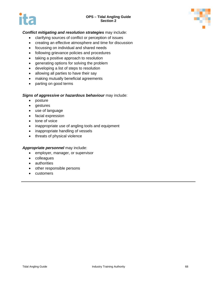#### **OPS – Tidal Angling Guide Section 2**





# *Conflict mitigating and resolution strategies* may include:

- clarifying sources of conflict or perception of issues
- creating an effective atmosphere and time for discussion
- focussing on individual and shared needs
- following grievance policies and procedures
- taking a positive approach to resolution
- generating options for solving the problem
- developing a list of steps to resolution
- allowing all parties to have their say
- making mutually beneficial agreements
- parting on good terms

#### *Signs of aggressive or hazardous behaviour* may include:

- posture
- gestures
- use of language
- facial expression
- tone of voice
- inappropriate use of angling tools and equipment
- inappropriate handling of vessels
- threats of physical violence

#### *Appropriate personnel* may include:

- employer, manager, or supervisor
- colleagues
- authorities
- other responsible persons
- customers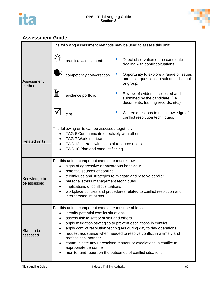



|                             | The following assessment methods may be used to assess this unit:                                                                                                                                                                                                                                                                                                                                                                                                                                                                         |  |  |  |  |
|-----------------------------|-------------------------------------------------------------------------------------------------------------------------------------------------------------------------------------------------------------------------------------------------------------------------------------------------------------------------------------------------------------------------------------------------------------------------------------------------------------------------------------------------------------------------------------------|--|--|--|--|
|                             | NW<br>Direct observation of the candidate<br>practical assessment:<br>dealing with conflict situations.                                                                                                                                                                                                                                                                                                                                                                                                                                   |  |  |  |  |
| Assessment<br>methods       | competency conversation<br>Opportunity to explore a range of issues<br>and tailor questions to suit an individual<br>or group.                                                                                                                                                                                                                                                                                                                                                                                                            |  |  |  |  |
|                             | Review of evidence collected and<br>evidence portfolio<br>submitted by the candidate, (i.e.<br>documents, training records, etc.)                                                                                                                                                                                                                                                                                                                                                                                                         |  |  |  |  |
|                             | Written questions to test knowledge of<br>test<br>conflict resolution techniques.                                                                                                                                                                                                                                                                                                                                                                                                                                                         |  |  |  |  |
| <b>Related units</b>        | The following units can be assessed together:<br>TAG-6 Communicate effectively with others<br>TAG-7 Work in a team<br>TAG-12 Interact with coastal resource users<br>TAG-18 Plan and conduct fishing                                                                                                                                                                                                                                                                                                                                      |  |  |  |  |
| Knowledge to<br>be assessed | For this unit, a competent candidate must know:<br>signs of aggressive or hazardous behaviour<br>potential sources of conflict<br>techniques and strategies to mitigate and resolve conflict<br>personal stress management techniques<br>implications of conflict situations<br>workplace policies and procedures related to conflict resolution and<br>interpersonal relations                                                                                                                                                           |  |  |  |  |
| Skills to be<br>assessed    | For this unit, a competent candidate must be able to:<br>identify potential conflict situations<br>assess risk to safety of self and others<br>apply mitigation strategies to prevent escalations in conflict<br>apply conflict resolution techniques during day to day operations<br>request assistance when needed to resolve conflict in a timely and<br>professional manner<br>communicate any unresolved matters or escalations in conflict to<br>appropriate personnel<br>monitor and report on the outcomes of conflict situations |  |  |  |  |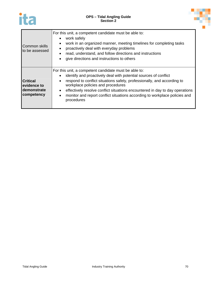



| Common skills<br>to be assessed                             | For this unit, a competent candidate must be able to:<br>work safely<br>$\bullet$<br>work in an organized manner, meeting timelines for completing tasks<br>$\bullet$<br>proactively deal with everyday problems<br>$\bullet$<br>read, understand, and follow directions and instructions<br>٠<br>give directions and instructions to others<br>$\bullet$                                                                                                    |
|-------------------------------------------------------------|--------------------------------------------------------------------------------------------------------------------------------------------------------------------------------------------------------------------------------------------------------------------------------------------------------------------------------------------------------------------------------------------------------------------------------------------------------------|
| <b>Critical</b><br>evidence to<br>demonstrate<br>competency | For this unit, a competent candidate must be able to:<br>identify and proactively deal with potential sources of conflict<br>respond to conflict situations safely, professionally, and according to<br>$\bullet$<br>workplace policies and procedures<br>effectively resolve conflict situations encountered in day to day operations<br>$\bullet$<br>monitor and report conflict situations according to workplace policies and<br>$\bullet$<br>procedures |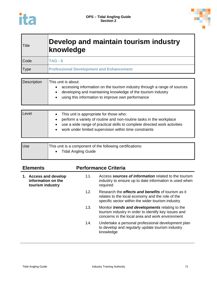



| <b>Title</b> | Develop and maintain tourism industry<br>knowledge |
|--------------|----------------------------------------------------|
| Code         | <b>TAG - 9</b>                                     |
| Type         | <b>Professional Development and Enhancement</b>    |

| <b>Description</b> | This unit is about:                                                                                                                                                                           |  |  |  |
|--------------------|-----------------------------------------------------------------------------------------------------------------------------------------------------------------------------------------------|--|--|--|
|                    | accessing information on the tourism industry through a range of sources<br>developing and maintaining knowledge of the tourism industry<br>using this information to improve own performance |  |  |  |

| Level | • This unit is appropriate for those who:<br>perform a variety of routine and non-routine tasks in the workplace<br>use a wide range of practical skills to complete directed work activities<br>work under limited supervision within time constraints |
|-------|---------------------------------------------------------------------------------------------------------------------------------------------------------------------------------------------------------------------------------------------------------|
|-------|---------------------------------------------------------------------------------------------------------------------------------------------------------------------------------------------------------------------------------------------------------|

| <b>Use</b> | This unit is a component of the following certifications: |
|------------|-----------------------------------------------------------|
|            | <b>Tidal Angling Guide</b>                                |
|            |                                                           |

| <b>Elements</b>                                                 |      | <b>Performance Criteria</b>                                                                                                                                        |
|-----------------------------------------------------------------|------|--------------------------------------------------------------------------------------------------------------------------------------------------------------------|
| 1. Access and develop<br>information on the<br>tourism industry | 1.1. | Access sources of information related to the tourism<br>industry to ensure up to date information is used when<br>required                                         |
|                                                                 | 1.2. | Research the <b>effects and benefits</b> of tourism as it<br>relates to the local economy and the role of the<br>specific sector within the wider tourism industry |
|                                                                 | 1.3. | Monitor <i>trends and developments</i> relating to the<br>tourism industry in order to identify key issues and<br>concerns in the local area and work environment  |
|                                                                 | 1.4. | Undertake a personal professional development plan<br>to develop and regularly update tourism industry<br>knowledge                                                |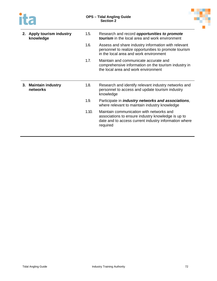# ita



| 2. Apply tourism industry<br>knowledge | 1.5. | Research and record opportunities to promote<br><b>tourism</b> in the local area and work environment                                                  |
|----------------------------------------|------|--------------------------------------------------------------------------------------------------------------------------------------------------------|
|                                        | 1.6. | Assess and share industry information with relevant<br>personnel to realize opportunities to promote tourism<br>in the local area and work environment |
|                                        | 1.7. | Maintain and communicate accurate and<br>comprehensive information on the tourism industry in<br>the local area and work environment                   |
| 3. Maintain industry<br>networks       | 1.8. | Research and identify relevant industry networks and<br>personnel to access and update tourism industry                                                |
|                                        |      | knowledge                                                                                                                                              |
|                                        | 1.9. | Participate in <i>industry networks and associations</i> ,<br>where relevant to maintain industry knowledge                                            |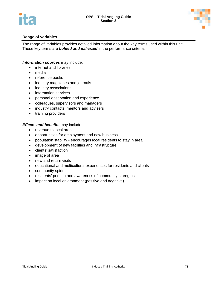



The range of variables provides detailed information about the key terms used within this unit. These key terms are *bolded and italicized* in the performance criteria.

*Information sources* may include:

- internet and libraries
- media
- reference books
- industry magazines and journals
- industry associations
- information services
- personal observation and experience
- colleagues, supervisors and managers
- industry contacts, mentors and advisers
- training providers

*Effects and benefits* may include:

- revenue to local area
- opportunities for employment and new business
- population stability encourages local residents to stay in area
- development of new facilities and infrastructure
- clients' satisfaction
- image of area
- new and return visits
- educational and multicultural experiences for residents and clients
- community spirit
- residents' pride in and awareness of community strengths
- impact on local environment (positive and negative)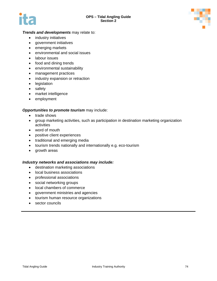



### *Trends and developments* may relate to:

- industry initiatives
- government initiatives
- emerging markets
- environmental and social issues
- labour issues
- food and dining trends
- environmental sustainability
- management practices
- industry expansion or retraction
- legislation
- safety
- market intelligence
- employment

#### *Opportunities to promote tourism* may include:

- trade shows
- group marketing activities, such as participation in destination marketing organization activities
- word of mouth
- positive client experiences
- traditional and emerging media
- tourism trends nationally and internationally e.g. eco-tourism
- growth areas

#### *Industry networks and associations may include:*

- destination marketing associations
- local business associations
- professional associations
- social networking groups
- local chambers of commerce
- government ministries and agencies
- tourism human resource organizations
- sector councils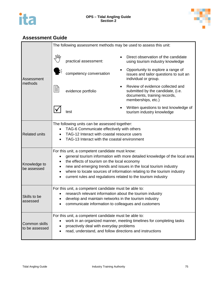



|                                 | The following assessment methods may be used to assess this unit:                                                                                                                                                                                                                                                                                                                                 |                         |           |                                                                                                                             |
|---------------------------------|---------------------------------------------------------------------------------------------------------------------------------------------------------------------------------------------------------------------------------------------------------------------------------------------------------------------------------------------------------------------------------------------------|-------------------------|-----------|-----------------------------------------------------------------------------------------------------------------------------|
|                                 | $\mathbb{W}_{\varphi}$                                                                                                                                                                                                                                                                                                                                                                            | practical assessment:   |           | Direct observation of the candidate<br>using tourism industry knowledge                                                     |
| Assessment                      |                                                                                                                                                                                                                                                                                                                                                                                                   | competency conversation | $\bullet$ | Opportunity to explore a range of<br>issues and tailor questions to suit an<br>individual or group.                         |
| methods                         | 三<br>三                                                                                                                                                                                                                                                                                                                                                                                            | evidence portfolio      |           | Review of evidence collected and<br>submitted by the candidate, (i.e.<br>documents, training records,<br>memberships, etc.) |
|                                 |                                                                                                                                                                                                                                                                                                                                                                                                   | test                    | ٠         | Written questions to test knowledge of<br>tourism industry knowledge                                                        |
| <b>Related units</b>            | The following units can be assessed together:<br>TAG-6 Communicate effectively with others<br>TAG-12 Interact with coastal resource users<br>TAG-13 Interact with the coastal environment                                                                                                                                                                                                         |                         |           |                                                                                                                             |
| Knowledge to<br>be assessed     | For this unit, a competent candidate must know:<br>general tourism information with more detailed knowledge of the local area<br>٠<br>the effects of tourism on the local economy<br>new and emerging trends and issues in the local tourism industry<br>where to locate sources of information relating to the tourism industry<br>current rules and regulations related to the tourism industry |                         |           |                                                                                                                             |
| Skills to be<br>assessed        | For this unit, a competent candidate must be able to:<br>research relevant information about the tourism industry<br>develop and maintain networks in the tourism industry<br>communicate information to colleagues and customers                                                                                                                                                                 |                         |           |                                                                                                                             |
| Common skills<br>to be assessed | For this unit, a competent candidate must be able to:<br>work in an organized manner, meeting timelines for completing tasks<br>proactively deal with everyday problems<br>read, understand, and follow directions and instructions                                                                                                                                                               |                         |           |                                                                                                                             |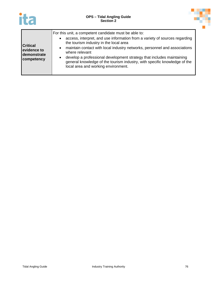



| <b>Critical</b><br>evidence to<br>demonstrate<br>competency | For this unit, a competent candidate must be able to:<br>access, interpret, and use information from a variety of sources regarding<br>$\bullet$<br>the tourism industry in the local area<br>maintain contact with local industry networks, personnel and associations<br>$\bullet$<br>where relevant<br>develop a professional development strategy that includes maintaining<br>$\bullet$<br>general knowledge of the tourism industry, with specific knowledge of the<br>local area and working environment. |
|-------------------------------------------------------------|------------------------------------------------------------------------------------------------------------------------------------------------------------------------------------------------------------------------------------------------------------------------------------------------------------------------------------------------------------------------------------------------------------------------------------------------------------------------------------------------------------------|
|-------------------------------------------------------------|------------------------------------------------------------------------------------------------------------------------------------------------------------------------------------------------------------------------------------------------------------------------------------------------------------------------------------------------------------------------------------------------------------------------------------------------------------------------------------------------------------------|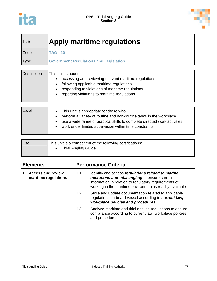



| Title       | <b>Apply maritime regulations</b>             |
|-------------|-----------------------------------------------|
| Code        | <b>TAG - 10</b>                               |
| <b>Type</b> | <b>Government Regulations and Legislation</b> |

| <b>Description</b> | This unit is about:                                                                                                                                                                                    |
|--------------------|--------------------------------------------------------------------------------------------------------------------------------------------------------------------------------------------------------|
|                    | accessing and reviewing relevant maritime regulations<br>following applicable maritime regulations<br>responding to violations of maritime regulations<br>reporting violations to maritime regulations |

| Level | This unit is appropriate for those who:<br>perform a variety of routine and non-routine tasks in the workplace<br>use a wide range of practical skills to complete directed work activities<br>work under limited supervision within time constraints |
|-------|-------------------------------------------------------------------------------------------------------------------------------------------------------------------------------------------------------------------------------------------------------|
|-------|-------------------------------------------------------------------------------------------------------------------------------------------------------------------------------------------------------------------------------------------------------|

| <b>Use</b> | This unit is a component of the following certifications: |
|------------|-----------------------------------------------------------|
|            | <b>Tidal Angling Guide</b>                                |
|            |                                                           |

| <b>Elements</b> |                                                  | <b>Performance Criteria</b> |                                                                                                                                                                                                                          |
|-----------------|--------------------------------------------------|-----------------------------|--------------------------------------------------------------------------------------------------------------------------------------------------------------------------------------------------------------------------|
|                 | <b>Access and review</b><br>maritime regulations | 1.1.                        | Identify and access regulations related to marine<br>operations and tidal angling to ensure current<br>information in relation to regulatory requirements of<br>working in the maritime environment is readily available |
|                 |                                                  | 1.2.                        | Store and update documentation related to applicable<br>regulations on board vessel according to current law,<br>workplace policies and procedures                                                                       |
|                 |                                                  | 1.3.                        | Analyze maritime and tidal angling regulations to ensure<br>compliance according to current law, workplace policies<br>and procedures                                                                                    |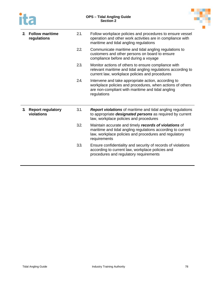



| <b>Follow maritime</b><br>2 <sub>1</sub><br>regulations |                                        | 2.1. | Follow workplace policies and procedures to ensure vessel<br>operation and other work activities are in compliance with<br>maritime and tidal angling regulations                             |
|---------------------------------------------------------|----------------------------------------|------|-----------------------------------------------------------------------------------------------------------------------------------------------------------------------------------------------|
|                                                         |                                        | 2.2. | Communicate maritime and tidal angling regulations to<br>customers and other persons on board to ensure<br>compliance before and during a voyage                                              |
|                                                         |                                        | 2.3. | Monitor actions of others to ensure compliance with<br>relevant maritime and tidal angling regulations according to<br>current law, workplace policies and procedures                         |
|                                                         |                                        | 2.4. | Intervene and take appropriate action, according to<br>workplace policies and procedures, when actions of others<br>are non-compliant with maritime and tidal angling<br>regulations          |
|                                                         |                                        |      |                                                                                                                                                                                               |
| 3.                                                      | <b>Report regulatory</b><br>violations | 3.1. | <b>Report violations</b> of maritime and tidal angling regulations<br>to appropriate designated persons as required by current<br>law, workplace policies and procedures                      |
|                                                         |                                        | 3.2. | Maintain accurate and timely records of violations of<br>maritime and tidal angling regulations according to current<br>law, workplace policies and procedures and regulatory<br>requirements |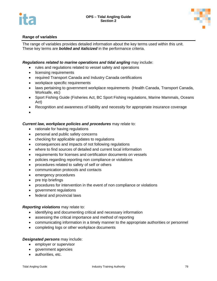



The range of variables provides detailed information about the key terms used within this unit. These key terms are *bolded and italicized* in the performance criteria.

### **Regulations related to marine operations and tidal angling may include:**

- rules and regulations related to vessel safety and operations
- licensing requirements
- required Transport Canada and Industry Canada certifications
- workplace specific requirements
- laws pertaining to government workplace requirements (Health Canada, Transport Canada, Worksafe, etc)
- Sport Fishing Guide (Fisheries Act, BC Sport Fishing regulations, Marine Mammals, Oceans Act)
- Recognition and awareness of liability and necessity for appropriate insurance coverage

 $\bullet$ 

### *Current law, workplace policies and procedures* may relate to:

- rationale for having regulations
- personal and public safety concerns
- checking for applicable updates to regulations
- consequences and impacts of not following regulations
- where to find sources of detailed and current local information
- requirements for licenses and certification documents on vessels
- policies regarding reporting non compliance or violations
- procedures related to safety of self or others
- communication protocols and contacts
- emergency procedures
- pre trip briefings
- procedures for intervention in the event of non compliance or violations
- government regulations
- federal and provincial laws

#### *Reporting violations* may relate to:

- identifying and documenting critical and necessary information
- assessing the critical importance and method of reporting
- communicating information in a timely manner to the appropriate authorities or personnel
- completing logs or other workplace documents

#### *Designated persons* may include:

- employer or supervisor
- government agencies
- authorities, etc.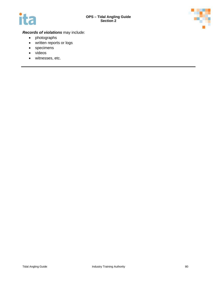



### *Records of violations* may include:

- photographs
- written reports or logs
- specimens
- videos
- witnesses, etc.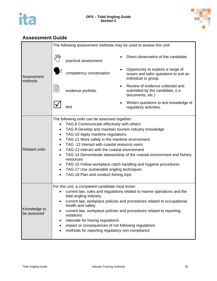



|                             | The following assessment methods may be used to assess this unit:                                                                                                                                                                                                                                                                                                                                                                                                                                                                                                                                    |                         |                                                                                                     |  |  |
|-----------------------------|------------------------------------------------------------------------------------------------------------------------------------------------------------------------------------------------------------------------------------------------------------------------------------------------------------------------------------------------------------------------------------------------------------------------------------------------------------------------------------------------------------------------------------------------------------------------------------------------------|-------------------------|-----------------------------------------------------------------------------------------------------|--|--|
|                             | $\mathbb{W}_{\varphi}$                                                                                                                                                                                                                                                                                                                                                                                                                                                                                                                                                                               | practical assessment:   | Direct observation of the candidate.                                                                |  |  |
| Assessment<br>methods       |                                                                                                                                                                                                                                                                                                                                                                                                                                                                                                                                                                                                      | competency conversation | Opportunity to explore a range of<br>issues and tailor questions to suit an<br>individual or group. |  |  |
|                             |                                                                                                                                                                                                                                                                                                                                                                                                                                                                                                                                                                                                      | evidence portfolio      | Review of evidence collected and<br>submitted by the candidate, (i.e.<br>documents, etc.)           |  |  |
|                             |                                                                                                                                                                                                                                                                                                                                                                                                                                                                                                                                                                                                      | test                    | Written questions to test knowledge of<br>regulatory activities.                                    |  |  |
| <b>Related units</b>        | The following units can be assessed together:<br>TAG-6 Communicate effectively with others<br>TAG-9 Develop and maintain tourism industry knowledge<br>TAG-10 Apply maritime regulations<br>TAG-11 Work safely in the maritime environment<br>TAG -12 Interact with coastal resource users<br>TAG-13 Interact with the coastal environment<br>TAG-14 Demonstrate stewardship of the coastal environment and fishery<br>resources<br>TAG-15 Follow workplace catch handling and hygiene procedures<br>TAG-17 Use sustainable angling techniques<br>$\bullet$<br>TAG-18 Plan and conduct fishing trips |                         |                                                                                                     |  |  |
| Knowledge to<br>be assessed | For this unit, a competent candidate must know:<br>current law, rules and regulations related to marine operations and the<br>tidal angling industry<br>current law, workplace policies and procedures related to occupational<br>health and safety<br>current law, workplace policies and procedures related to reporting<br>violations<br>rationale for having regulations<br>impact or consequences of not following regulations<br>methods for reporting regulatory non-compliance                                                                                                               |                         |                                                                                                     |  |  |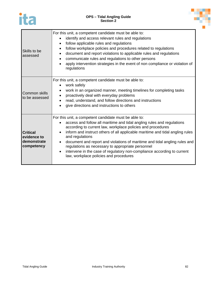



| Skills to be<br>assessed                                    | For this unit, a competent candidate must be able to:<br>identify and access relevant rules and regulations<br>$\bullet$<br>follow applicable rules and regulations<br>$\bullet$<br>follow workplace policies and procedures related to regulations<br>$\bullet$<br>document and report violations to applicable rules and regulations<br>communicate rules and regulations to other persons<br>$\bullet$<br>apply intervention strategies in the event of non compliance or violation of<br>$\bullet$<br>regulations                                                                             |
|-------------------------------------------------------------|---------------------------------------------------------------------------------------------------------------------------------------------------------------------------------------------------------------------------------------------------------------------------------------------------------------------------------------------------------------------------------------------------------------------------------------------------------------------------------------------------------------------------------------------------------------------------------------------------|
| <b>Common skills</b><br>to be assessed                      | For this unit, a competent candidate must be able to:<br>work safely<br>work in an organized manner, meeting timelines for completing tasks<br>proactively deal with everyday problems<br>٠<br>read, understand, and follow directions and instructions<br>give directions and instructions to others                                                                                                                                                                                                                                                                                             |
| <b>Critical</b><br>evidence to<br>demonstrate<br>competency | For this unit, a competent candidate must be able to:<br>access and follow all maritime and tidal angling rules and regulations<br>according to current law, workplace policies and procedures<br>inform and instruct others of all applicable maritime and tidal angling rules<br>$\bullet$<br>and regulations<br>document and report and violations of maritime and tidal angling rules and<br>$\bullet$<br>regulations as necessary to appropriate personnel<br>intervene in the case of regulatory non-compliance according to current<br>$\bullet$<br>law, workplace policies and procedures |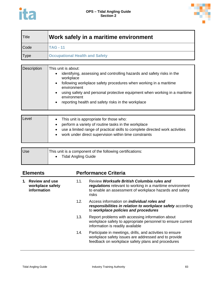

| Title | Work safely in a maritime environment |
|-------|---------------------------------------|
| Code  | <b>TAG - 11</b>                       |
| Type  | <b>Occupational Health and Safety</b> |

| Description | This unit is about:                                                                      |
|-------------|------------------------------------------------------------------------------------------|
|             | identifying, assessing and controlling hazards and safety risks in the<br>workplace      |
|             | following workplace safety procedures when working in a maritime<br>environment          |
|             | using safety and personal protective equipment when working in a maritime<br>environment |
|             | reporting health and safety risks in the workplace                                       |

| Level | This unit is appropriate for those who:<br>perform a variety of routine tasks in the workplace<br>use a limited range of practical skills to complete directed work activities<br>work under direct supervision within time constraints |
|-------|-----------------------------------------------------------------------------------------------------------------------------------------------------------------------------------------------------------------------------------------|
|-------|-----------------------------------------------------------------------------------------------------------------------------------------------------------------------------------------------------------------------------------------|

| Use | This unit is a component of the following certifications:<br><b>Tidal Angling Guide</b> |
|-----|-----------------------------------------------------------------------------------------|
|     |                                                                                         |

| <b>Elements</b> |                                                          |      | <b>Performance Criteria</b>                                                                                                                                                 |  |
|-----------------|----------------------------------------------------------|------|-----------------------------------------------------------------------------------------------------------------------------------------------------------------------------|--|
|                 | <b>Review and use</b><br>workplace safety<br>information | 1.1. | Review Worksafe British Columbia rules and<br>regulations relevant to working in a maritime environment<br>to enable an assessment of workplace hazards and safety<br>risks |  |
|                 |                                                          | 1.2. | Access information on <i>individual roles and</i><br>responsibilities in relation to workplace safety according<br>to workplace policies and procedures                     |  |
|                 |                                                          | 1.3. | Report problems with accessing information about<br>workplace safety to appropriate personnel to ensure current<br>information is readily available                         |  |
|                 |                                                          | 1.4. | Participate in meetings, drills, and activities to ensure<br>workplace safety issues are addressed and to provide<br>feedback on workplace safety plans and procedures      |  |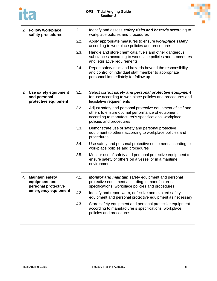

| 2. Follow workplace<br>safety procedures                        | 2.1. | Identify and assess safety risks and hazards according to<br>workplace policies and procedures                                                                                                       |
|-----------------------------------------------------------------|------|------------------------------------------------------------------------------------------------------------------------------------------------------------------------------------------------------|
|                                                                 | 2.2. | Apply appropriate measures to ensure workplace safety<br>according to workplace policies and procedures                                                                                              |
|                                                                 | 2.3. | Handle and store chemicals, fuels and other dangerous<br>substances according to workplace policies and procedures<br>and legislative requirements                                                   |
|                                                                 | 2.4. | Report safety risks and hazards beyond the responsibility<br>and control of individual staff member to appropriate<br>personnel immediately for follow up                                            |
| 3. Use safety equipment<br>and personal<br>protective equipment | 3.1. | Select correct safety and personal protective equipment<br>for use according to workplace policies and procedures and<br>legislative requirements                                                    |
|                                                                 | 3.2. | Adjust safety and personal protective equipment of self and<br>others to ensure optimal performance of equipment<br>according to manufacturer's specifications, workplace<br>policies and procedures |
|                                                                 | 3.3. | Demonstrate use of safety and personal protective<br>equipment to others according to workplace policies and<br>procedures                                                                           |
|                                                                 | 3.4. | Use safety and personal protective equipment according to<br>workplace policies and procedures                                                                                                       |
|                                                                 | 3.5. | Monitor use of safety and personal protective equipment to<br>ensure safety of others on a vessel or in a maritime<br>environment                                                                    |
| 4. Maintain safety<br>equipment and<br>personal protective      | 4.1. | Monitor and maintain safety equipment and personal<br>protective equipment according to manufacturer's<br>specifications, workplace policies and procedures                                          |
| emergency equipment                                             | 4.2. | Identify and report worn, defective and expired safety<br>equipment and personal protective equipment as necessary                                                                                   |
|                                                                 | 4.3. | Store safety equipment and personal protective equipment<br>according to manufacturer's specifications, workplace<br>policies and procedures                                                         |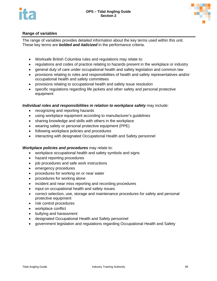



The range of variables provides detailed information about the key terms used within this unit. These key terms are *bolded and italicized* in the performance criteria.

- Worksafe British Columbia rules and regulations may relate to:
- regulations and codes of practice relating to hazards present in the workplace or industry
- general duty of care under occupational health and safety legislation and common law
- provisions relating to roles and responsibilities of health and safety representatives and/or occupational health and safety committees
- provisions relating to occupational health and safety issue resolution
- specific regulations regarding life jackets and other safety and personal protective equipment

### *Individual roles and responsibilities in relation to workplace safety* may include:

- recognizing and reporting hazards
- using workplace equipment according to manufacturer's guidelines
- sharing knowledge and skills with others in the workplace
- wearing safety or personal protective equipment (PPE)
- following workplace policies and procedures
- interacting with designated Occupational Health and Safety personnel

### *Workplace policies and procedures* may relate to:

- workplace occupational health and safety symbols and signs
- hazard reporting procedures
- job procedures and safe work instructions
- emergency procedures
- procedures for working on or near water
- procedures for working alone
- incident and near miss reporting and recording procedures
- input on occupational health and safety issues
- correct selection, use, storage and maintenance procedures for safety and personal protective equipment
- risk control procedures
- workplace conflict
- bullying and harassment
- designated Occupational Health and Safety personnel
- government legislation and regulations regarding Occupational Health and Safety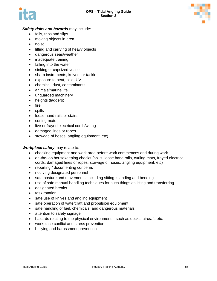



### *Safety risks and hazards* may include:

- falls, trips and slips
- moving objects in area
- noise
- lifting and carrying of heavy objects
- dangerous seas/weather
- inadequate training
- falling into the water
- sinking or capsized vessel
- sharp instruments, knives, or tackle
- exposure to heat, cold, UV
- chemical, dust, contaminants
- animals/marine life
- unguarded machinery
- heights (ladders)
- $\bullet$  fire
- spills
- loose hand rails or stairs
- curling mats
- live or frayed electrical cords/wiring
- damaged lines or ropes
- stowage of hoses, angling equipment, etc)

### *Workplace safety* may relate to:

- checking equipment and work area before work commences and during work
- on-the-job housekeeping checks (spills, loose hand rails, curling mats, frayed electrical cords, damaged lines or ropes, stowage of hoses, angling equipment, etc)
- reporting / documenting concerns
- notifying designated personnel
- safe posture and movements, including sitting, standing and bending
- use of safe manual handling techniques for such things as lifting and transferring
- designated breaks
- task rotation
- safe use of knives and angling equipment
- safe operation of watercraft and propulsion equipment
- safe handling of fuel, chemicals, and dangerous materials
- attention to safety signage
- hazards relating to the physical environment such as docks, aircraft, etc.
- workplace conflict and stress prevention
- bullying and harassment prevention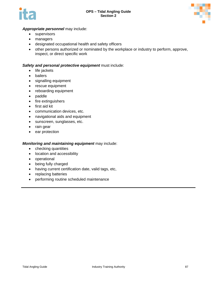

### *Appropriate personnel* may include:

- supervisors
- managers
- designated occupational health and safety officers
- other persons authorized or nominated by the workplace or industry to perform, approve, inspect, or direct specific work

### *Safety and personal protective equipment* must include:

- life jackets
- bailers
- signalling equipment
- rescue equipment
- reboarding equipment
- paddle
- fire extinguishers
- **•** first aid kit
- communication devices, etc.
- navigational aids and equipment
- sunscreen, sunglasses, etc.
- rain gear
- ear protection

### *Monitoring and maintaining equipment* may include:

- checking quantities
- location and accessibility
- operational
- being fully charged
- having current certification date, valid tags, etc,
- replacing batteries
- performing routine scheduled maintenance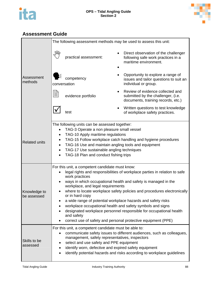



|                             | The following assessment methods may be used to assess this unit:                                                                                                                                                                                                                                                                                                                                                                                                                                                                                                                                                                       |                                                                                                                                                                                                          |  |  |  |  |
|-----------------------------|-----------------------------------------------------------------------------------------------------------------------------------------------------------------------------------------------------------------------------------------------------------------------------------------------------------------------------------------------------------------------------------------------------------------------------------------------------------------------------------------------------------------------------------------------------------------------------------------------------------------------------------------|----------------------------------------------------------------------------------------------------------------------------------------------------------------------------------------------------------|--|--|--|--|
|                             | ŅŴ<br>practical assessment:                                                                                                                                                                                                                                                                                                                                                                                                                                                                                                                                                                                                             | Direct observation of the challenger<br>following safe work practices in a<br>maritime environment.                                                                                                      |  |  |  |  |
| Assessment<br>methods       | competency<br>conversation                                                                                                                                                                                                                                                                                                                                                                                                                                                                                                                                                                                                              | Opportunity to explore a range of<br>issues and tailor questions to suit an<br>individual or group.                                                                                                      |  |  |  |  |
|                             | evidence portfolio                                                                                                                                                                                                                                                                                                                                                                                                                                                                                                                                                                                                                      | Review of evidence collected and<br>submitted by the challenger, (i.e.<br>documents, training records, etc.)                                                                                             |  |  |  |  |
|                             | test                                                                                                                                                                                                                                                                                                                                                                                                                                                                                                                                                                                                                                    | Written questions to test knowledge<br>of workplace safety practices.                                                                                                                                    |  |  |  |  |
| <b>Related units</b>        | The following units can be assessed together:<br>TAG-3 Operate a non pleasure small vessel<br>TAG-10 Apply maritime regulations<br>٠<br>$\bullet$<br>TAG-17 Use sustainable angling techniques<br>$\bullet$<br>TAG-18 Plan and conduct fishing trips                                                                                                                                                                                                                                                                                                                                                                                    | TAG-15 Follow workplace catch handling and hygiene procedures<br>TAG-16 Use and maintain angling tools and equipment                                                                                     |  |  |  |  |
| Knowledge to<br>be assessed | For this unit, a competent candidate must know:<br>legal rights and responsibilities of workplace parties in relation to safe<br>work practices<br>ways in which occupational health and safety is managed in the<br>workplace, and legal requirements<br>where to locate workplace safety policies and procedures electronically<br>or in hard copy<br>a wide range of potential workplace hazards and safety risks<br>workplace occupational health and safety symbols and signs<br>designated workplace personnel responsible for occupational health<br>and safety<br>correct use of safety and personal protective equipment (PPE) |                                                                                                                                                                                                          |  |  |  |  |
| Skills to be<br>assessed    | For this unit, a competent candidate must be able to:<br>$\bullet$<br>management, safety representatives, inspectors<br>select and use safety and PPE equipment                                                                                                                                                                                                                                                                                                                                                                                                                                                                         | communicate safety issues to different audiences, such as colleagues,<br>identify worn, defective and expired safety equipment<br>identify potential hazards and risks according to workplace guidelines |  |  |  |  |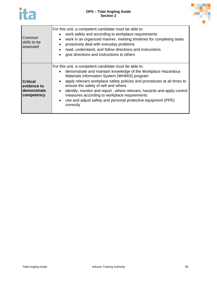

| Common<br>skills to be<br>assessed                          | For this unit, a competent candidate must be able to:<br>work safely and according to workplace requirements<br>work in an organized manner, meeting timelines for completing tasks<br>proactively deal with everyday problems<br>read, understand, and follow directions and instructions<br>give directions and instructions to others                                                                                                                                                           |
|-------------------------------------------------------------|----------------------------------------------------------------------------------------------------------------------------------------------------------------------------------------------------------------------------------------------------------------------------------------------------------------------------------------------------------------------------------------------------------------------------------------------------------------------------------------------------|
| <b>Critical</b><br>evidence to<br>demonstrate<br>competency | For this unit, a competent candidate must be able to:<br>demonstrate and maintain knowledge of the Workplace Hazardous<br>Materials Information System (WHMIS) program<br>apply relevant workplace safety policies and procedures at all times to<br>ensure the safety of self and others<br>identify, monitor and report, where relevant, hazards and apply control<br>measures according to workplace requirements<br>use and adjust safety and personal protective equipment (PPE)<br>correctly |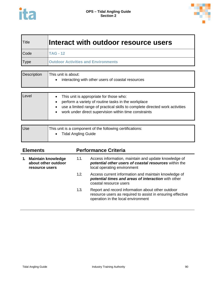

| Title | Interact with outdoor resource users       |
|-------|--------------------------------------------|
| Code  | <b>TAG - 12</b>                            |
| Type  | <b>Outdoor Activities and Environments</b> |

| <b>Description</b> | This unit is about:<br>interacting with other users of coastal resources |
|--------------------|--------------------------------------------------------------------------|
|--------------------|--------------------------------------------------------------------------|

| Level | • This unit is appropriate for those who:<br>perform a variety of routine tasks in the workplace<br>use a limited range of practical skills to complete directed work activities<br>work under direct supervision within time constraints |
|-------|-------------------------------------------------------------------------------------------------------------------------------------------------------------------------------------------------------------------------------------------|
|-------|-------------------------------------------------------------------------------------------------------------------------------------------------------------------------------------------------------------------------------------------|

| <b>Use</b> | This unit is a component of the following certifications: |
|------------|-----------------------------------------------------------|
|            | <b>Tidal Angling Guide</b>                                |
|            |                                                           |

| <b>Elements</b> |                                                                    | <b>Performance Criteria</b> |                                                                                                                                                       |  |
|-----------------|--------------------------------------------------------------------|-----------------------------|-------------------------------------------------------------------------------------------------------------------------------------------------------|--|
|                 | <b>Maintain knowledge</b><br>about other outdoor<br>resource users | 1.1.                        | Access information, maintain and update knowledge of<br>potential other users of coastal resources within the<br>local operating environment          |  |
|                 |                                                                    | 1.2.                        | Access current information and maintain knowledge of<br>potential times and areas of interaction with other<br>coastal resource users                 |  |
|                 |                                                                    | 1.3.                        | Report and record information about other outdoor<br>resource users as required to assist in ensuring effective<br>operation in the local environment |  |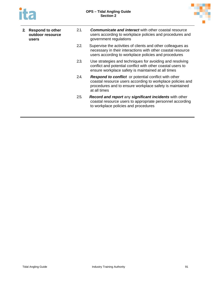

| 2. | <b>Respond to other</b><br>outdoor resource<br>users | 2.1. | <b>Communicate and interact</b> with other coastal resource<br>users according to workplace policies and procedures and<br>government regulations                                                    |
|----|------------------------------------------------------|------|------------------------------------------------------------------------------------------------------------------------------------------------------------------------------------------------------|
|    |                                                      | 2.2. | Supervise the activities of clients and other colleagues as<br>necessary in their interactions with other coastal resource<br>users according to workplace policies and procedures                   |
|    |                                                      | 2.3. | Use strategies and techniques for avoiding and resolving<br>conflict and potential conflict with other coastal users to<br>ensure workplace safety is maintained at all times                        |
|    |                                                      | 2.4. | <b>Respond to conflict</b> or potential conflict with other<br>coastal resource users according to workplace policies and<br>procedures and to ensure workplace safety is maintained<br>at all times |
|    |                                                      | 2.5. | Record and report any significant incidents with other<br>coastal resource users to appropriate personnel according<br>to workplace policies and procedures                                          |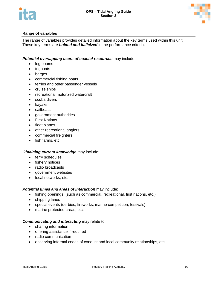



The range of variables provides detailed information about the key terms used within this unit. These key terms are *bolded and italicized* in the performance criteria.

### *Potential overlapping users of coastal resources* may include:

- log booms
- tugboats
- barges
- commercial fishing boats
- **•** ferries and other passenger vessels
- cruise ships
- recreational motorized watercraft
- scuba divers
- kayaks
- sailboats
- government authorities
- First Nations
- float planes
- other recreational anglers
- commercial freighters
- fish farms, etc.

### *Obtaining current knowledge* may include:

- ferry schedules
- fishery notices
- radio broadcasts
- government websites
- local networks, etc.

### *Potential times and areas of interaction* may include:

- fishing openings, (such as commercial, recreational, first nations, etc.)
- shipping lanes
- special events (derbies, fireworks, marine competition, festivals)
- marine protected areas, etc.

### *Communicating and interacting* may relate to:

- sharing information
- offering assistance if required
- radio communication
- observing informal codes of conduct and local community relationships, etc.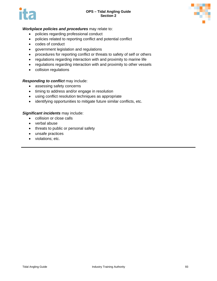



### *Workplace policies and procedures* may relate to:

- policies regarding professional conduct
- policies related to reporting conflict and potential conflict
- codes of conduct
- government legislation and regulations
- procedures for reporting conflict or threats to safety of self or others
- regulations regarding interaction with and proximity to marine life
- regulations regarding interaction with and proximity to other vessels
- collision regulations

### *Responding to conflict* may include:

- assessing safety concerns
- timing to address and/or engage in resolution
- using conflict resolution techniques as appropriate
- identifying opportunities to mitigate future similar conflicts, etc.

### *Significant incidents* may include:

- collision or close calls
- verbal abuse
- threats to public or personal safety
- unsafe practices
- violations; etc.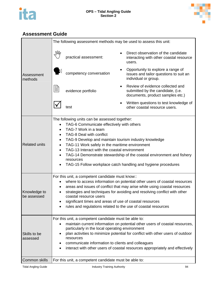



|                             | The following assessment methods may be used to assess this unit:                                                                                                                                                                                                                                                                                                                                                                                                       |                                                                                                                                                                                                                                                                                                                                                                                                                                              |  |                                                                                                           |  |  |
|-----------------------------|-------------------------------------------------------------------------------------------------------------------------------------------------------------------------------------------------------------------------------------------------------------------------------------------------------------------------------------------------------------------------------------------------------------------------------------------------------------------------|----------------------------------------------------------------------------------------------------------------------------------------------------------------------------------------------------------------------------------------------------------------------------------------------------------------------------------------------------------------------------------------------------------------------------------------------|--|-----------------------------------------------------------------------------------------------------------|--|--|
|                             | $\mathbb{M}_{\ell}$                                                                                                                                                                                                                                                                                                                                                                                                                                                     | practical assessment:                                                                                                                                                                                                                                                                                                                                                                                                                        |  | Direct observation of the candidate<br>interacting with other coastal resource<br>users.                  |  |  |
| Assessment<br>methods       |                                                                                                                                                                                                                                                                                                                                                                                                                                                                         | competency conversation                                                                                                                                                                                                                                                                                                                                                                                                                      |  | Opportunity to explore a range of<br>issues and tailor questions to suit an<br>individual or group.       |  |  |
|                             | Ë                                                                                                                                                                                                                                                                                                                                                                                                                                                                       | evidence portfolio                                                                                                                                                                                                                                                                                                                                                                                                                           |  | Review of evidence collected and<br>submitted by the candidate, (i.e.<br>documents, product samples etc.) |  |  |
|                             |                                                                                                                                                                                                                                                                                                                                                                                                                                                                         | test                                                                                                                                                                                                                                                                                                                                                                                                                                         |  | Written questions to test knowledge of<br>other coastal resource users.                                   |  |  |
| <b>Related units</b>        | The following units can be assessed together:<br>TAG-6 Communicate effectively with others<br>TAG-7 Work in a team<br><b>TAG-8 Deal with conflict</b><br>TAG-9 Develop and maintain tourism industry knowledge<br>TAG-11 Work safely in the maritime environment<br>TAG-13 Interact with the coastal environment<br>TAG-14 Demonstrate stewardship of the coastal environment and fishery<br>resources<br>TAG-15 Follow workplace catch handling and hygiene procedures |                                                                                                                                                                                                                                                                                                                                                                                                                                              |  |                                                                                                           |  |  |
| Knowledge to<br>be assessed |                                                                                                                                                                                                                                                                                                                                                                                                                                                                         | For this unit, a competent candidate must know::<br>where to access information on potential other users of coastal resources<br>areas and issues of conflict that may arise while using coastal resources<br>strategies and techniques for avoiding and resolving conflict with other<br>coastal resource users<br>significant times and areas of use of coastal resources<br>rules and regulations related to the use of coastal resources |  |                                                                                                           |  |  |
| Skills to be<br>assessed    | For this unit, a competent candidate must be able to:<br>maintain current information on potential other users of coastal resources,<br>particularly in the local operating environment<br>plan activities to minimize potential for conflict with other users of outdoor<br>resources<br>communicate information to clients and colleagues<br>interact with other users of coastal resources appropriately and effectively                                             |                                                                                                                                                                                                                                                                                                                                                                                                                                              |  |                                                                                                           |  |  |
| Common skills               | For this unit, a competent candidate must be able to:                                                                                                                                                                                                                                                                                                                                                                                                                   |                                                                                                                                                                                                                                                                                                                                                                                                                                              |  |                                                                                                           |  |  |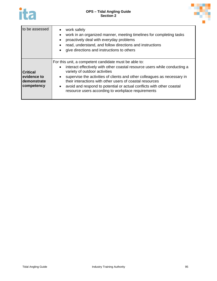



| to be assessed                                              | work safely<br>$\bullet$<br>work in an organized manner, meeting timelines for completing tasks<br>$\bullet$<br>proactively deal with everyday problems<br>$\bullet$<br>read, understand, and follow directions and instructions<br>$\bullet$<br>give directions and instructions to others                                                                                                                                                                                       |
|-------------------------------------------------------------|-----------------------------------------------------------------------------------------------------------------------------------------------------------------------------------------------------------------------------------------------------------------------------------------------------------------------------------------------------------------------------------------------------------------------------------------------------------------------------------|
| <b>Critical</b><br>evidence to<br>demonstrate<br>competency | For this unit, a competent candidate must be able to:<br>interact effectively with other coastal resource users while conducting a<br>$\bullet$<br>variety of outdoor activities<br>supervise the activities of clients and other colleagues as necessary in<br>$\bullet$<br>their interactions with other users of coastal resources<br>avoid and respond to potential or actual conflicts with other coastal<br>$\bullet$<br>resource users according to workplace requirements |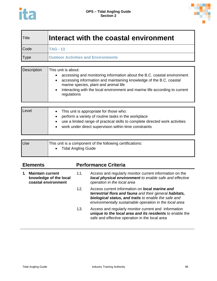

| <b>Title</b> | Interact with the coastal environment      |
|--------------|--------------------------------------------|
| Code         | <b>TAG - 13</b>                            |
| Type         | <b>Outdoor Activities and Environments</b> |

| Level | This unit is appropriate for those who:<br>perform a variety of routine tasks in the workplace<br>use a limited range of practical skills to complete directed work activities<br>work under direct supervision within time constraints |
|-------|-----------------------------------------------------------------------------------------------------------------------------------------------------------------------------------------------------------------------------------------|
|-------|-----------------------------------------------------------------------------------------------------------------------------------------------------------------------------------------------------------------------------------------|

| Use | This unit is a component of the following certifications: |
|-----|-----------------------------------------------------------|
|     | <b>Tidal Angling Guide</b>                                |
|     |                                                           |

| <b>Elements</b> |                                                                          | <b>Performance Criteria</b> |                                                                                                                                                                                                                                            |  |
|-----------------|--------------------------------------------------------------------------|-----------------------------|--------------------------------------------------------------------------------------------------------------------------------------------------------------------------------------------------------------------------------------------|--|
|                 | <b>Maintain current</b><br>knowledge of the local<br>coastal environment | 1.1.                        | Access and regularly monitor current information on the<br>local physical environment to enable safe and effective<br>operation in the local area                                                                                          |  |
|                 |                                                                          | 1.2.                        | Access current information on <b><i>local marine and</i></b><br>terrestrial flora and fauna and their general habitats,<br>biological status, and traits to enable the safe and<br>environmentally sustainable operation in the local area |  |
|                 |                                                                          | 1.3.                        | Access and regularly monitor current and information<br>unique to the local area and its residents to enable the<br>safe and effective operation in the local area                                                                         |  |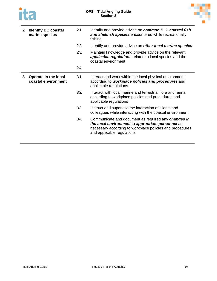

| 2. | <b>Identify BC coastal</b><br>marine species | 2.1. | Identify and provide advice on <b>common B.C. coastal fish</b><br>and shellfish species encountered while recreationally<br>fishing                                                                |
|----|----------------------------------------------|------|----------------------------------------------------------------------------------------------------------------------------------------------------------------------------------------------------|
|    |                                              | 2.2. | Identify and provide advice on <b>other local marine species</b>                                                                                                                                   |
|    |                                              | 2.3. | Maintain knowledge and provide advice on the relevant<br>applicable regulations related to local species and the<br>coastal environment                                                            |
|    |                                              | 2.4. |                                                                                                                                                                                                    |
| 3. | Operate in the local<br>coastal environment  | 3.1. | Interact and work within the local physical environment<br>according to workplace policies and procedures and<br>applicable regulations                                                            |
|    |                                              | 3.2. | Interact with local marine and terrestrial flora and fauna<br>according to workplace policies and procedures and<br>applicable regulations                                                         |
|    |                                              | 3.3. | Instruct and supervise the interaction of clients and<br>colleagues while interacting with the coastal environment                                                                                 |
|    |                                              | 3.4. | Communicate and document as required any changes in<br>the local environment to appropriate personnel as<br>necessary according to workplace policies and procedures<br>and applicable regulations |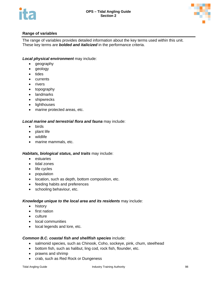



The range of variables provides detailed information about the key terms used within this unit. These key terms are *bolded and italicized* in the performance criteria.

### *Local physical environment* may include:

- geography
- geology
- tides
- currents
- rivers
- topography
- landmarks
- shipwrecks
- lighthouses
- marine protected areas, etc.

### *Local marine and terrestrial flora and fauna* may include:

- birds
- plant life
- wildlife
- marine mammals, etc.

### *Habitats, biological status, and traits* may include:

- estuaries
- tidal zones
- life cycles
- population
- location, such as depth, bottom composition, etc.
- feeding habits and preferences
- schooling behaviour, etc.

### *Knowledge unique to the local area and its residents* may include:

- history
- first nation
- culture
- local communities
- local legends and lore, etc.

### *Common B.C. coastal fish and shellfish species* include:

- salmonid species, such as Chinook, Coho, sockeye, pink, chum, steelhead
- bottom fish, such as halibut, ling cod, rock fish, flounder, etc.
- prawns and shrimp
- crab, such as Red Rock or Dungeness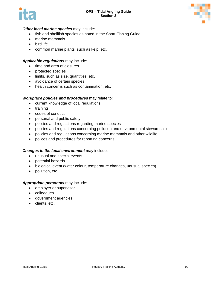



### *Other local marine species* may include:

- fish and shellfish species as noted in the Sport Fishing Guide
- marine mammals
- bird life
- common marine plants, such as kelp, etc.

### *Applicable regulations* may include:

- time and area of closures
- protected species
- limits, such as size, quantities, etc.
- avoidance of certain species
- health concerns such as contamination, etc.

### *Workplace policies and procedures* may relate to:

- current knowledge of local regulations
- training
- codes of conduct
- personal and public safety
- policies and regulations regarding marine species
- policies and regulations concerning pollution and environmental stewardship
- policies and regulations concerning marine mammals and other wildlife
- polices and procedures for reporting concerns

### *Changes in the local environment* may include:

- unusual and special events
- potential hazards
- biological event (water colour, temperature changes, unusual species)
- pollution, etc.

### *Appropriate personnel* may include:

- employer or supervisor
- colleagues
- government agencies
- clients, etc.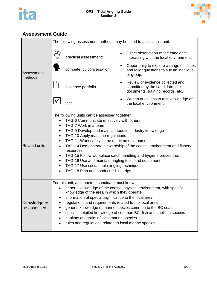



|                             |                                                                    | The following assessment methods may be used to assess this unit:                                                                                                                                                                                                                                                                                                                                                            |           |                                                                                                                                                                                                           |
|-----------------------------|--------------------------------------------------------------------|------------------------------------------------------------------------------------------------------------------------------------------------------------------------------------------------------------------------------------------------------------------------------------------------------------------------------------------------------------------------------------------------------------------------------|-----------|-----------------------------------------------------------------------------------------------------------------------------------------------------------------------------------------------------------|
|                             | $\mathbb{W}_{\varphi}$                                             | practical assessment:                                                                                                                                                                                                                                                                                                                                                                                                        |           | Direct observation of the candidate<br>interacting with the local environment.                                                                                                                            |
| Assessment<br>methods       |                                                                    | competency conversation                                                                                                                                                                                                                                                                                                                                                                                                      | $\bullet$ | Opportunity to explore a range of issues<br>and tailor questions to suit an individual<br>or group.                                                                                                       |
|                             | lli<br>III                                                         | evidence portfolio                                                                                                                                                                                                                                                                                                                                                                                                           |           | Review of evidence collected and<br>submitted by the candidate, (i.e.<br>documents, training records, etc.)                                                                                               |
|                             |                                                                    | test                                                                                                                                                                                                                                                                                                                                                                                                                         |           | Written questions to test knowledge of<br>the local environment.                                                                                                                                          |
| <b>Related units</b>        | $\bullet$<br>٠<br>$\bullet$<br>$\bullet$<br>$\bullet$<br>$\bullet$ | The following units can be assessed together:<br>TAG-6 Communicate effectively with others<br>TAG-7 Work in a team<br>TAG-9 Develop and maintain tourism industry knowledge<br>TAG-10 Apply maritime regulations<br>TAG-11 Work safely in the maritime environment<br>resources<br>TAG-16 Use and maintain angling tools and equipment<br>TAG-17 Use sustainable angling techniques<br>TAG-18 Plan and conduct fishing trips |           | TAG-14 Demonstrate stewardship of the coastal environment and fishery<br>TAG-15 Follow workplace catch handling and hygiene procedures                                                                    |
| Knowledge to<br>be assessed | $\bullet$                                                          | For this unit, a competent candidate must know:<br>knowledge of the area in which they operate<br>information of special significance to the local area<br>regulations and requirements related to the local area<br>habitats and traits of local marine species<br>rules and regulations related to local marine species                                                                                                    |           | general knowledge of the coastal physical environment, with specific<br>general knowledge of marine species common to the BC coast<br>specific detailed knowledge of common BC fish and shellfish species |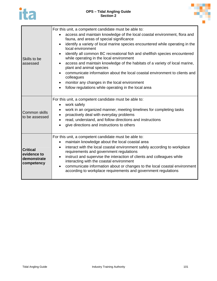

| Skills to be<br>assessed                                    | For this unit, a competent candidate must be able to:<br>access and maintain knowledge of the local coastal environment, flora and<br>$\bullet$<br>fauna, and areas of special significance<br>identify a variety of local marine species encountered while operating in the<br>$\bullet$<br>local environment<br>identify all common BC recreational fish and shellfish species encountered<br>while operating in the local environment<br>access and maintain knowledge of the habitats of a variety of local marine,<br>plant and animal species<br>communicate information about the local coastal environment to clients and<br>colleagues<br>monitor any changes in the local environment<br>$\bullet$<br>follow regulations while operating in the local area<br>$\bullet$ |
|-------------------------------------------------------------|-----------------------------------------------------------------------------------------------------------------------------------------------------------------------------------------------------------------------------------------------------------------------------------------------------------------------------------------------------------------------------------------------------------------------------------------------------------------------------------------------------------------------------------------------------------------------------------------------------------------------------------------------------------------------------------------------------------------------------------------------------------------------------------|
| <b>Common skills</b><br>to be assessed                      | For this unit, a competent candidate must be able to:<br>work safely<br>$\bullet$<br>work in an organized manner, meeting timelines for completing tasks<br>$\bullet$<br>proactively deal with everyday problems<br>$\bullet$<br>read, understand, and follow directions and instructions<br>$\bullet$<br>give directions and instructions to others<br>$\bullet$                                                                                                                                                                                                                                                                                                                                                                                                                 |
| <b>Critical</b><br>evidence to<br>demonstrate<br>competency | For this unit, a competent candidate must be able to:<br>maintain knowledge about the local coastal area<br>$\bullet$<br>interact with the local coastal environment safely according to workplace<br>requirements and government regulations<br>instruct and supervise the interaction of clients and colleagues while<br>$\bullet$<br>interacting with the coastal environment<br>communicate information about or changes to the local coastal environment<br>٠<br>according to workplace requirements and government regulations                                                                                                                                                                                                                                              |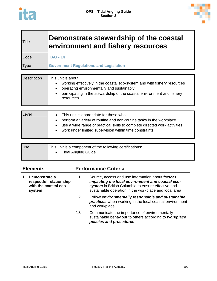

## **Title Demonstrate stewardship of the coastal environment and fishery resources**  Code **TAG - 14**  Type **Government Regulations and Legislation**

| <b>Description</b> | This unit is about:<br>working effectively in the coastal eco-system and with fishery resources<br>operating environmentally and sustainably |
|--------------------|----------------------------------------------------------------------------------------------------------------------------------------------|
|                    | participating in the stewardship of the coastal environment and fishery<br>resources                                                         |

| Level | This unit is appropriate for those who:<br>$\bullet$<br>perform a variety of routine and non-routine tasks in the workplace<br>use a wide range of practical skills to complete directed work activities<br>work under limited supervision within time constraints |  |
|-------|--------------------------------------------------------------------------------------------------------------------------------------------------------------------------------------------------------------------------------------------------------------------|--|
|-------|--------------------------------------------------------------------------------------------------------------------------------------------------------------------------------------------------------------------------------------------------------------------|--|

| <b>Use</b> | This unit is a component of the following certifications: |
|------------|-----------------------------------------------------------|
|            | <b>Tidal Angling Guide</b>                                |
|            |                                                           |

| <b>Elements</b> |                                                                             | <b>Performance Criteria</b> |                                                                                                                                                                                                                     |  |
|-----------------|-----------------------------------------------------------------------------|-----------------------------|---------------------------------------------------------------------------------------------------------------------------------------------------------------------------------------------------------------------|--|
|                 | Demonstrate a<br>respectful relationship<br>with the coastal eco-<br>system | 1.1.                        | Source, access and use information about factors<br>impacting the local environment and coastal eco-<br>system in British Columbia to ensure effective and<br>sustainable operation in the workplace and local area |  |
|                 |                                                                             | 1.2.                        | Follow environmentally responsible and sustainable<br><b>practices</b> when working in the local coastal environment<br>and workplace                                                                               |  |
|                 |                                                                             | 1.3.                        | Communicate the importance of environmentally<br>sustainable behaviour to others according to workplace<br>policies and procedures                                                                                  |  |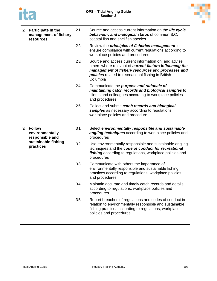



| 2. | Participate in the<br>management of fishery<br>resources | 2.1. | Source and access current information on the <i>life cycle</i> ,<br>behaviour, and biological status of common B.C.<br>coastal fish and shellfish species                                                                               |
|----|----------------------------------------------------------|------|-----------------------------------------------------------------------------------------------------------------------------------------------------------------------------------------------------------------------------------------|
|    |                                                          | 2.2. | Review the <i>principles of fisheries management</i> to<br>ensure compliance with current regulations according to<br>workplace policies and procedures                                                                                 |
|    |                                                          | 2.3. | Source and access current information on, and advise<br>others where relevant of current factors influencng the<br>management of fishery resources and processes and<br>policies related to recreational fishing in British<br>Columbia |
|    |                                                          | 2.4. | Communicate the <i>purpose and rationale of</i><br>maintaining catch records and biological samples to<br>clients and colleagues according to workplace policies<br>and procedures                                                      |
|    |                                                          | 2.5. | Collect and submit catch records and biological<br>samples as necessary according to regulations,<br>workplace policies and procedure                                                                                                   |
|    |                                                          |      |                                                                                                                                                                                                                                         |
| 3. | <b>Follow</b><br>environmentally<br>responsible and      | 3.1. | Select environmentally responsible and sustainable<br>angling techniques according to workplace policies and<br>procedures                                                                                                              |
|    | sustainable fishing<br>practices                         | 3.2. | Use environmentally responsible and sustainable angling<br>techniques and the code of conduct for recreational<br>fishing according to regulations, workplace policies and<br>procedures                                                |
|    |                                                          | 3.3. | Communicate with others the importance of<br>environmentally responsible and sustainable fishing<br>practices according to regulations, workplace policies<br>and procedures                                                            |
|    |                                                          | 3.4. | Maintain accurate and timely catch records and details<br>according to regulations, workplace policies and<br>procedures                                                                                                                |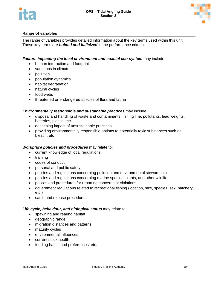



The range of variables provides detailed information about the key terms used within this unit. These key terms are *bolded and italicized* in the performance criteria.

### *Factors impacting the local environment and coastal eco-system* may include:

- human interaction and footprint
- variations in climate
- pollution
- population dynamics
- habitat degradation
- natural cycles
- food webs
- threatened or endangered species of flora and fauna

### *Environmentally responsible and sustainable practices* may include:

- disposal and handling of waste and contaminants, fishing line, pollutants, lead weights, batteries, plastic, etc.
- describing impact of unsustainable practices
- providing environmentally responsible options to potentially toxic substances such as bleach, etc

### *Workplace policies and procedures* may relate to:

- current knowledge of local regulations
- training
- codes of conduct
- personal and public safety
- policies and regulations concerning pollution and environmental stewardship
- policies and regulations concerning marine species, plants, and other wildlife
- polices and procedures for reporting concerns or violations
- government regulations related to recreational fishing (location, size, species, sex, hatchery, etc.)
- catch and release procedures

### *Life cycle, behaviour, and biological status* may relate to:

- spawning and rearing habitat
- geographic range
- migration distances and patterns
- maturity cycles
- environmental influences
- current stock health
- feeding habits and preferences, etc.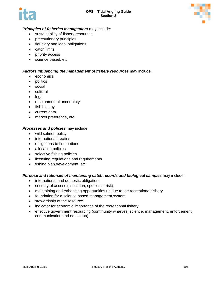



### *Principles of fisheries management* may include:

- sustainability of fishery resources
- precautionary principles
- fiduciary and legal obligations
- catch limits
- priority access
- science based, etc.

### *Factors influencing the management of fishery resources* may include:

- economics
- politics
- social
- cultural
- legal
- environmental uncertainty
- fish biology
- current data
- market preference, etc.

### *Processes and policies* may include:

- wild salmon policy
- international treaties
- obligations to first nations
- allocation policies
- selective fishing policies
- licensing regulations and requirements
- fishing plan development, etc.

### *Purpose and rationale of maintaining catch records and biological samples* may include:

- international and domestic obligations
- security of access (allocation, species at risk)
- maintaining and enhancing opportunities unique to the recreational fishery
- foundation for a science based management system
- stewardship of the resource
- indicator for economic importance of the recreational fishery
- effective government resourcing (community wharves, science, management, enforcement, communication and education)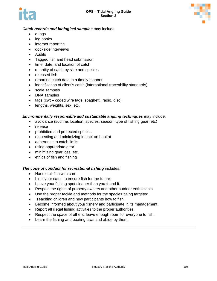



### *Catch records and biological samples* may include:

- e-logs
- log books
- internet reporting
- dockside interviews
- Audits
- Tagged fish and head submission
- time, date, and location of catch
- quantity of catch by size and species
- released fish
- reporting catch data in a timely manner
- identification of client's catch (international traceability standards)
- scale samples
- DNA samples
- tags (cwt coded wire tags, spaghetti, radio, disc)
- lengths, weights, sex, etc.

### *Environmentally responsible and sustainable angling techniques* may include:

- avoidance (such as location, species, season, type of fishing gear, etc)
- release
- prohibited and protected species
- respecting and minimizing impact on habitat
- adherence to catch limits
- using appropriate gear
- minimizing gear loss, etc.
- ethics of fish and fishing

### *The code of conduct for recreational fishing* includes:

- Handle all fish with care.
- Limit your catch to ensure fish for the future.
- Leave your fishing spot cleaner than you found it.
- Respect the rights of property owners and other outdoor enthusiasts.
- Use the proper tackle and methods for the species being targeted.
- Teaching children and new participants how to fish.
- Become informed about your fishery and participate in its management.
- Report all illegal fishing activities to the proper authorities.
- Respect the space of others; leave enough room for everyone to fish.
- Learn the fishing and boating laws and abide by them.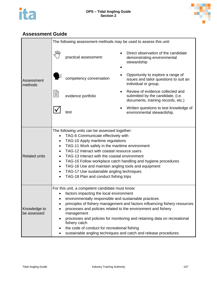



|                             | The following assessment methods may be used to assess this unit:                                                                                                                                                                                                                                                                                                                                                                                                                                                                     |                                                                                                                                                                                                                                                                                                                                                                                                                        |           |                                                                                                             |  |
|-----------------------------|---------------------------------------------------------------------------------------------------------------------------------------------------------------------------------------------------------------------------------------------------------------------------------------------------------------------------------------------------------------------------------------------------------------------------------------------------------------------------------------------------------------------------------------|------------------------------------------------------------------------------------------------------------------------------------------------------------------------------------------------------------------------------------------------------------------------------------------------------------------------------------------------------------------------------------------------------------------------|-----------|-------------------------------------------------------------------------------------------------------------|--|
|                             | $\sqrt{M}$                                                                                                                                                                                                                                                                                                                                                                                                                                                                                                                            | practical assessment:                                                                                                                                                                                                                                                                                                                                                                                                  |           | Direct observation of the candidate<br>demonstrating environmental<br>stewardship                           |  |
| Assessment<br>methods       |                                                                                                                                                                                                                                                                                                                                                                                                                                                                                                                                       | competency conversation                                                                                                                                                                                                                                                                                                                                                                                                |           | Opportunity to explore a range of<br>issues and tailor questions to suit an<br>individual or group.         |  |
|                             |                                                                                                                                                                                                                                                                                                                                                                                                                                                                                                                                       | evidence portfolio                                                                                                                                                                                                                                                                                                                                                                                                     |           | Review of evidence collected and<br>submitted by the candidate, (i.e.<br>documents, training records, etc.) |  |
|                             |                                                                                                                                                                                                                                                                                                                                                                                                                                                                                                                                       | test                                                                                                                                                                                                                                                                                                                                                                                                                   | $\bullet$ | Written questions to test knowledge of<br>environmental stewardship.                                        |  |
|                             |                                                                                                                                                                                                                                                                                                                                                                                                                                                                                                                                       |                                                                                                                                                                                                                                                                                                                                                                                                                        |           |                                                                                                             |  |
| <b>Related units</b>        | $\bullet$<br>٠<br>$\bullet$<br>٠<br>٠<br>$\bullet$                                                                                                                                                                                                                                                                                                                                                                                                                                                                                    | The following units can be assessed together:<br>TAG-6 Communicate effectively with<br>TAG-10 Apply maritime regulations<br>TAG-11 Work safely in the maritime environment<br>TAG-12 Interact with coastal resource users<br>TAG-13 Interact with the coastal environment<br>TAG-16 Use and maintain angling tools and equipment<br>TAG-17 Use sustainable angling techniques<br>TAG-18 Plan and conduct fishing trips |           | TAG-15 Follow workplace catch handling and hygiene procedures                                               |  |
| Knowledge to<br>be assessed | For this unit, a competent candidate must know:<br>factors impacting the local environment<br>environmentally responsible and sustainable practices<br>principles of fishery management and factors influencing fishery resources<br>processes and policies related to the environment and fishery<br>management<br>processes and policies for monitoring and retaining data on recreational<br>fishery catch<br>the code of conduct for recreational fishing<br>sustainable angling techniques and catch and release procedures<br>٠ |                                                                                                                                                                                                                                                                                                                                                                                                                        |           |                                                                                                             |  |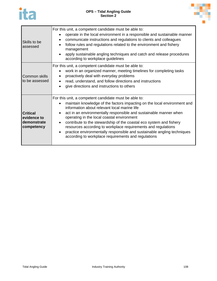

| Skills to be<br>assessed                                    | For this unit, a competent candidate must be able to:<br>operate in the local environment in a responsible and sustainable manner<br>$\bullet$<br>communicate instructions and regulations to clients and colleagues<br>$\bullet$<br>follow rules and regulations related to the environment and fishery<br>$\bullet$<br>management<br>apply sustainable angling techniques and catch and release procedures<br>according to workplace guidelines                                                                                                                                                                                  |
|-------------------------------------------------------------|------------------------------------------------------------------------------------------------------------------------------------------------------------------------------------------------------------------------------------------------------------------------------------------------------------------------------------------------------------------------------------------------------------------------------------------------------------------------------------------------------------------------------------------------------------------------------------------------------------------------------------|
| Common skills<br>to be assessed                             | For this unit, a competent candidate must be able to:<br>work in an organized manner, meeting timelines for completing tasks<br>proactively deal with everyday problems<br>read, understand, and follow directions and instructions<br>$\bullet$<br>give directions and instructions to others<br>$\bullet$                                                                                                                                                                                                                                                                                                                        |
| <b>Critical</b><br>evidence to<br>demonstrate<br>competency | For this unit, a competent candidate must be able to:<br>maintain knowledge of the factors impacting on the local environment and<br>$\bullet$<br>information about relevant local marine life<br>act in an environmentally responsible and sustainable manner when<br>$\bullet$<br>operating in the local coastal environment<br>contribute to the stewardship of the coastal eco system and fishery<br>$\bullet$<br>resources according to workplace requirements and regulations<br>practice environmentally responsible and sustainable angling techniques<br>$\bullet$<br>according to workplace requirements and regulations |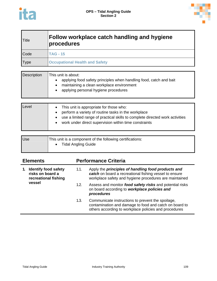

| <b>Title</b> | Follow workplace catch handling and hygiene<br>procedures |
|--------------|-----------------------------------------------------------|
| Code         | <b>TAG - 15</b>                                           |
| <b>Type</b>  | <b>Occupational Health and Safety</b>                     |

| <b>Description</b> | This unit is about:<br>applying food safety principles when handling food, catch and bait<br>maintaining a clean workplace environment<br>applying personal hygiene procedures |
|--------------------|--------------------------------------------------------------------------------------------------------------------------------------------------------------------------------|
|--------------------|--------------------------------------------------------------------------------------------------------------------------------------------------------------------------------|

| Level | This unit is appropriate for those who:<br>perform a variety of routine tasks in the workplace<br>use a limited range of practical skills to complete directed work activities<br>work under direct supervision within time constraints |
|-------|-----------------------------------------------------------------------------------------------------------------------------------------------------------------------------------------------------------------------------------------|
|       |                                                                                                                                                                                                                                         |
| Use   | This unit is a component of the following certifications:                                                                                                                                                                               |

| <b>Use</b> | This unit is a component of the following certifications: |
|------------|-----------------------------------------------------------|
|            | <b>Tidal Angling Guide</b>                                |
|            |                                                           |

| <b>Elements</b> |                                                                         |      | <b>Performance Criteria</b>                                                                                                                                                   |  |  |
|-----------------|-------------------------------------------------------------------------|------|-------------------------------------------------------------------------------------------------------------------------------------------------------------------------------|--|--|
|                 | <b>Identify food safety</b><br>risks on board a<br>recreational fishing | 1.1. | Apply the <b>principles of handling food products and</b><br>catch on board a recreational fishing vessel to ensure<br>workplace safety and hygiene procedures are maintained |  |  |
|                 | vessel                                                                  | 1.2. | Assess and monitor food safety risks and potential risks<br>on board according to workplace policies and<br>procedures                                                        |  |  |
|                 |                                                                         | 1.3. | Communicate instructions to prevent the spoilage,<br>contamination and damage to food and catch on board to<br>others according to workplace policies and procedures          |  |  |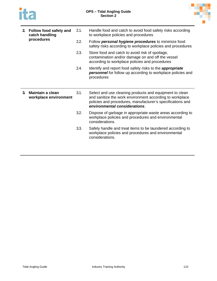



| 2. | Follow food safety and<br>catch handling         | 2.1. | Handle food and catch to avoid food safety risks according<br>to workplace policies and procedures                                                                                                                 |
|----|--------------------------------------------------|------|--------------------------------------------------------------------------------------------------------------------------------------------------------------------------------------------------------------------|
|    | procedures                                       | 2.2. | Follow personal hygiene procedures to minimize food<br>safety risks according to workplace policies and procedures                                                                                                 |
|    |                                                  | 2.3. | Store food and catch to avoid risk of spoilage,<br>contamination and/or damage on and off the vessel<br>according to workplace policies and procedures                                                             |
|    |                                                  | 2.4. | Identify and report food safety risks to the <i>appropriate</i><br>personnel for follow up according to workplace policies and<br>procedures                                                                       |
|    |                                                  |      |                                                                                                                                                                                                                    |
| 3. | <b>Maintain a clean</b><br>workplace environment | 3.1. | Select and use cleaning products and equipment to clean<br>and sanitize the work environment according to workplace<br>policies and procedures, manufacturer's specifications and<br>environmental considerations. |
|    |                                                  | 3.2. | Dispose of garbage in appropriate waste areas according to<br>workplace policies and procedures and environmental<br>considerations.                                                                               |
|    |                                                  | 3.3. | Safely handle and treat items to be laundered according to<br>workplace policies and procedures and environmental<br>considerations.                                                                               |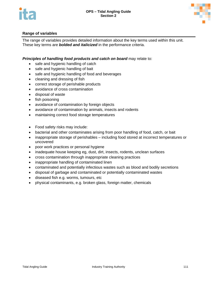



The range of variables provides detailed information about the key terms used within this unit. These key terms are *bolded and italicized* in the performance criteria.

## *Principles of handling food products and catch on board* may relate to:

- safe and hygienic handling of catch
- safe and hygienic handling of bait
- safe and hygienic handling of food and beverages
- cleaning and dressing of fish
- correct storage of perishable products
- avoidance of cross contamination
- disposal of waste
- fish poisoning
- avoidance of contamination by foreign objects
- avoidance of contamination by animals, insects and rodents
- maintaining correct food storage temperatures
- Food safety risks may include:
- bacterial and other contaminates arising from poor handling of food, catch, or bait
- inappropriate storage of perishables including food stored at incorrect temperatures or uncovered
- poor work practices or personal hygiene
- inadequate house keeping eg, dust, dirt, insects, rodents, unclean surfaces
- cross contamination through inappropriate cleaning practices
- inappropriate handling of contaminated linen
- contaminated and potentially infectious wastes such as blood and bodily secretions
- disposal of garbage and contaminated or potentially contaminated wastes
- diseased fish e.g. worms, tumours, etc
- physical contaminants, e.g. broken glass, foreign matter, chemicals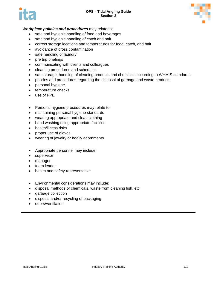## **OPS – Tidal Angling Guide Section 2**





## *Workplace policies and procedures* may relate to:

- safe and hygienic handling of food and beverages
- safe and hygienic handling of catch and bait
- correct storage locations and temperatures for food, catch, and bait
- avoidance of cross contamination
- safe handling of laundry
- pre trip briefings
- communicating with clients and colleagues
- cleaning procedures and schedules
- safe storage, handling of cleaning products and chemicals according to WHMIS standards
- policies and procedures regarding the disposal of garbage and waste products
- personal hygiene
- temperature checks
- use of PPE
- Personal hygiene procedures may relate to:
- maintaining personal hygiene standards
- wearing appropriate and clean clothing
- hand washing using appropriate facilities
- health/illness risks
- proper use of gloves
- wearing of jewelry or bodily adornments
- Appropriate personnel may include:
- supervisor
- manager
- team leader
- health and safety representative
- Environmental considerations may include:
- disposal methods of chemicals, waste from cleaning fish, etc
- garbage collection
- disposal and/or recycling of packaging
- odors/ventilation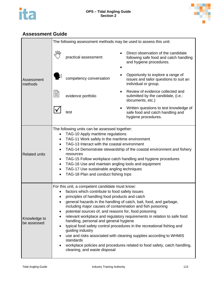



|                             | The following assessment methods may be used to assess this unit:                                                                                                                                                                                                                                                                              |                                                                                                                                                                                                                                                                                                                                                                                                                                          |
|-----------------------------|------------------------------------------------------------------------------------------------------------------------------------------------------------------------------------------------------------------------------------------------------------------------------------------------------------------------------------------------|------------------------------------------------------------------------------------------------------------------------------------------------------------------------------------------------------------------------------------------------------------------------------------------------------------------------------------------------------------------------------------------------------------------------------------------|
|                             | $\mathbb{M}_{\ell}$<br>practical assessment:                                                                                                                                                                                                                                                                                                   | Direct observation of the candidate<br>following safe food and catch handling<br>and hygiene procedures.                                                                                                                                                                                                                                                                                                                                 |
| Assessment<br>methods       | competency conversation                                                                                                                                                                                                                                                                                                                        | Opportunity to explore a range of<br>issues and tailor questions to suit an<br>individual or group.                                                                                                                                                                                                                                                                                                                                      |
|                             | evidence portfolio                                                                                                                                                                                                                                                                                                                             | Review of evidence collected and<br>submitted by the candidate, (i.e.:<br>documents, etc.)                                                                                                                                                                                                                                                                                                                                               |
|                             | test                                                                                                                                                                                                                                                                                                                                           | Written questions to test knowledge of<br>safe food and catch handling and<br>hygiene procedures.                                                                                                                                                                                                                                                                                                                                        |
| <b>Related units</b>        | The following units can be assessed together:<br>TAG-10 Apply maritime regulations<br>TAG-11 Work safely in the maritime environment<br>TAG-13 Interact with the coastal environment<br>resources<br>TAG-16 Use and maintain angling tools and equipment<br>TAG-17 Use sustainable angling techniques<br>TAG-18 Plan and conduct fishing trips | TAG-14 Demonstrate stewardship of the coastal environment and fishery<br>TAG-15 Follow workplace catch handling and hygiene procedures                                                                                                                                                                                                                                                                                                   |
| Knowledge to<br>be assessed | For this unit, a competent candidate must know:<br>factors which contribute to food safety issues<br>principles of handling food products and catch<br>potential sources of, and reasons for, food poisoning<br>handling, personal and general hygiene<br>guiding industry<br>standards<br>cleaning, and waste disposal                        | general hazards in the handling of catch, bait, food, and garbage,<br>including major causes of contamination and fish poisoning<br>relevant workplace and regulatory requirements in relation to safe food<br>typical food safety control procedures in the recreational fishing and<br>use and risks associated with cleaning supplies according to WHMIS<br>workplace policies and procedures related to food safety, catch handling, |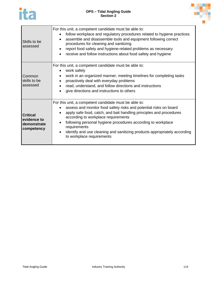

| <b>Skills to be</b><br>assessed                                     | For this unit, a competent candidate must be able to:<br>follow workplace and regulatory procedures related to hygiene practices<br>assemble and disassemble tools and equipment following correct<br>procedures for cleaning and sanitizing<br>report food safety and hygiene-related problems as necessary<br>receive and follow instructions about food safety and hygiene                                                                        |
|---------------------------------------------------------------------|------------------------------------------------------------------------------------------------------------------------------------------------------------------------------------------------------------------------------------------------------------------------------------------------------------------------------------------------------------------------------------------------------------------------------------------------------|
| Common<br>skills to be<br>assessed                                  | For this unit, a competent candidate must be able to:<br>work safely<br>work in an organized manner, meeting timelines for completing tasks<br>proactively deal with everyday problems<br>read, understand, and follow directions and instructions<br>give directions and instructions to others<br>$\bullet$                                                                                                                                        |
| <b>Critical</b><br>evidence to<br><b>Idemonstrate</b><br>competency | For this unit, a competent candidate must be able to:<br>assess and monitor food safety risks and potential risks on board<br>apply safe food, catch, and bait handling principles and procedures<br>according to workplace requirements<br>following personal hygiene procedures according to workplace<br>٠<br>requirements<br>identify and use cleaning and sanitizing products appropriately according<br>$\bullet$<br>to workplace requirements |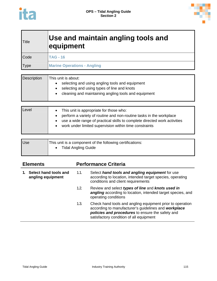Ī



| <b>Title</b> | Use and maintain angling tools and<br>equipment |
|--------------|-------------------------------------------------|
| Code         | <b>TAG - 16</b>                                 |
| <b>Type</b>  | <b>Marine Operations - Angling</b>              |

| <b>Description</b> | This unit is about:<br>selecting and using angling tools and equipment<br>selecting and using types of line and knots<br>cleaning and maintaining angling tools and equipment |
|--------------------|-------------------------------------------------------------------------------------------------------------------------------------------------------------------------------|
|--------------------|-------------------------------------------------------------------------------------------------------------------------------------------------------------------------------|

| Level | • This unit is appropriate for those who:<br>perform a variety of routine and non-routine tasks in the workplace<br>use a wide range of practical skills to complete directed work activities<br>work under limited supervision within time constraints |
|-------|---------------------------------------------------------------------------------------------------------------------------------------------------------------------------------------------------------------------------------------------------------|
|       |                                                                                                                                                                                                                                                         |

| Use | This unit is a component of the following certifications: |
|-----|-----------------------------------------------------------|
|     | <b>Tidal Angling Guide</b>                                |
|     |                                                           |

| <b>Elements</b> |                                            | <b>Performance Criteria</b> |                                                                                                                                                                                                                  |  |
|-----------------|--------------------------------------------|-----------------------------|------------------------------------------------------------------------------------------------------------------------------------------------------------------------------------------------------------------|--|
|                 | Select hand tools and<br>angling equipment | 1.1.                        | Select hand tools and angling equipment for use<br>according to location, intended target species, operating<br>conditions and client requirements                                                               |  |
|                 |                                            | 1.2.                        | Review and select types of line and knots used in<br>angling according to location, intended target species, and<br>operating conditions                                                                         |  |
|                 |                                            | 1.3.                        | Check hand tools and angling equipment prior to operation<br>according to manufacturer's guidelines and workplace<br>policies and procedures to ensure the safety and<br>satisfactory condition of all equipment |  |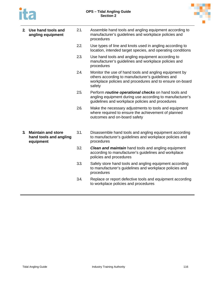



| 2. | Use hand tools and<br>angling equipment                          | 2.1. | Assemble hand tools and angling equipment according to<br>manufacturer's guidelines and workplace policies and<br>procedures                                                      |
|----|------------------------------------------------------------------|------|-----------------------------------------------------------------------------------------------------------------------------------------------------------------------------------|
|    |                                                                  | 2.2. | Use types of line and knots used in angling according to<br>location, intended target species, and operating conditions                                                           |
|    |                                                                  | 2.3. | Use hand tools and angling equipment according to<br>manufacturer's guidelines and workplace policies and<br>procedures                                                           |
|    |                                                                  | 2.4. | Monitor the use of hand tools and angling equipment by<br>others according to manufacturer's guidelines and<br>workplace policies and procedures and to ensure on-board<br>safety |
|    |                                                                  | 2.5. | Perform <i>routine</i> operational checks on hand tools and<br>angling equipment during use according to manufacturer's<br>guidelines and workplace policies and procedures       |
|    |                                                                  | 2.6. | Make the necessary adjustments to tools and equipment<br>where required to ensure the achievement of planned<br>outcomes and on-board safety                                      |
| 3. | <b>Maintain and store</b><br>hand tools and angling<br>equipment | 3.1. | Disassemble hand tools and angling equipment according<br>to manufacturer's guidelines and workplace policies and<br>procedures                                                   |
|    |                                                                  | 3.2. | <b>Clean and maintain</b> hand tools and angling equipment<br>according to manufacturer's guidelines and workplace<br>policies and procedures                                     |
|    |                                                                  | 3.3. | Safely store hand tools and angling equipment according<br>to manufacturer's guidelines and workplace policies and<br>procedures                                                  |
|    |                                                                  | 3.4. | Replace or report defective tools and equipment according<br>to workplace policies and procedures                                                                                 |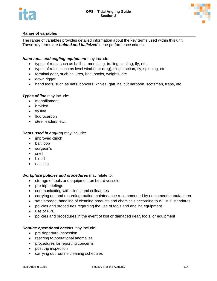



The range of variables provides detailed information about the key terms used within this unit. These key terms are *bolded and italicized* in the performance criteria.

# *Hand tools and angling equipment* may include:

- types of rods, such as halibut, mooching, trolling, casting, fly, etc.
- types of reels, such as level wind (star drag), single action, fly, spinning, etc
- terminal gear, such as lures, bait, hooks, weights, etc
- down rigger
- hand tools, such as nets, bonkers, knives, gaff, halibut harpoon, scotsman, traps, etc.

## *Types of line* may include:

- monofilament
- braided
- fly line
- fluorocarbon
- steel leaders, etc.

## *Knots used in angling* may include:

- improved clinch
- bait loop
- surgeon's
- snell
- blood
- nail, etc.

## *Workplace policies and procedures* may relate to:

- storage of tools and equipment on board vessels
- pre trip briefings
- communicating with clients and colleagues
- carrying out and recording routine maintenance recommended by equipment manufacturer
- safe storage, handling of cleaning products and chemicals according to WHMIS standards
- policies and procedures regarding the use of tools and angling equipment
- use of PPE
- policies and procedures in the event of lost or damaged gear, tools, or equipment

## *Routine operational checks* may include:

- pre departure inspection
- reacting to operational anomalies
- procedures for reporting concerns
- post trip inspection
- carrying out routine cleaning schedules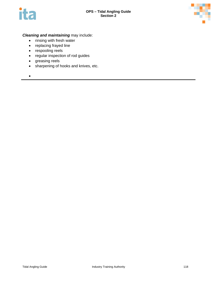



# *Cleaning and maintaining* may include:

- rinsing with fresh water
- replacing frayed line
- respooling reels
- regular inspection of rod guides
- greasing reels
- sharpening of hooks and knives, etc.
- $\bullet$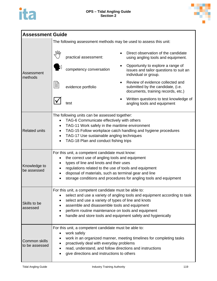



| <b>Assessment Guide</b>                                           |                                                                                                                                                                                                                                                                                                                                                                 |                         |  |                                                                                                             |  |
|-------------------------------------------------------------------|-----------------------------------------------------------------------------------------------------------------------------------------------------------------------------------------------------------------------------------------------------------------------------------------------------------------------------------------------------------------|-------------------------|--|-------------------------------------------------------------------------------------------------------------|--|
| The following assessment methods may be used to assess this unit: |                                                                                                                                                                                                                                                                                                                                                                 |                         |  |                                                                                                             |  |
|                                                                   | M                                                                                                                                                                                                                                                                                                                                                               | practical assessment:   |  | Direct observation of the candidate<br>using angling tools and equipment.                                   |  |
| Assessment<br>methods                                             |                                                                                                                                                                                                                                                                                                                                                                 | competency conversation |  | Opportunity to explore a range of<br>issues and tailor questions to suit an<br>individual or group.         |  |
|                                                                   |                                                                                                                                                                                                                                                                                                                                                                 | evidence portfolio      |  | Review of evidence collected and<br>submitted by the candidate, (i.e.<br>documents, training records, etc.) |  |
|                                                                   |                                                                                                                                                                                                                                                                                                                                                                 | test                    |  | Written questions to test knowledge of<br>angling tools and equipment                                       |  |
| <b>Related units</b>                                              | The following units can be assessed together:<br>TAG-6 Communicate effectively with others<br>TAG-11 Work safely in the maritime environment<br>TAG-15 Follow workplace catch handling and hygiene procedures<br>TAG-17 Use sustainable angling techniques<br>TAG-18 Plan and conduct fishing trips                                                             |                         |  |                                                                                                             |  |
| Knowledge to<br>be assessed                                       | For this unit, a competent candidate must know:<br>the correct use of angling tools and equipment<br>types of line and knots and their uses<br>regulations related to the use of tools and equipment<br>disposal of materials, such as terminal gear and line<br>storage conditions and procedures for angling tools and equipment                              |                         |  |                                                                                                             |  |
| Skills to be<br>assessed                                          | For this unit, a competent candidate must be able to:<br>select and use a variety of angling tools and equipment according to task<br>select and use a variety of types of line and knots<br>assemble and disassemble tools and equipment<br>perform routine maintenance on tools and equipment<br>handle and store tools and equipment safely and hygienically |                         |  |                                                                                                             |  |
| Common skills<br>to be assessed                                   | For this unit, a competent candidate must be able to:<br>work safely<br>work in an organized manner, meeting timelines for completing tasks<br>proactively deal with everyday problems<br>read, understand, and follow directions and instructions<br>give directions and instructions to others                                                                |                         |  |                                                                                                             |  |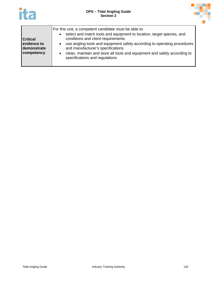

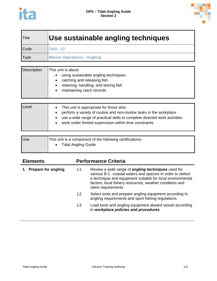

| <b>Title</b> | Use sustainable angling techniques |
|--------------|------------------------------------|
| Code         | <b>TAG - 17</b>                    |
| <b>Type</b>  | <b>Marine Operations - Angling</b> |

| Description | This unit is about:<br>using sustainable angling techniques<br>catching and releasing fish<br>retaining, handling, and storing fish<br>maintaining catch records |
|-------------|------------------------------------------------------------------------------------------------------------------------------------------------------------------|
|-------------|------------------------------------------------------------------------------------------------------------------------------------------------------------------|

| Level | This unit is appropriate for those who:<br>perform a variety of routine and non-routine tasks in the workplace<br>use a wide range of practical skills to complete directed work activities<br>work under limited supervision within time constraints |
|-------|-------------------------------------------------------------------------------------------------------------------------------------------------------------------------------------------------------------------------------------------------------|
|       | 그 그는 그 사람들은 그 사람들을 지원하고 있다. 그 사람들은 아이들에게 사람들을 지원하고 있다. 그 사람들은 아이들에게 사람들을 지원하고 있다.                                                                                                                                                                     |

| <b>Use</b> | This unit is a component of the following certifications: |
|------------|-----------------------------------------------------------|
|            | <b>Tidal Angling Guide</b>                                |
|            |                                                           |

| <b>Elements</b>            |      | <b>Performance Criteria</b>                                                                                                                                                                                                                                              |  |  |
|----------------------------|------|--------------------------------------------------------------------------------------------------------------------------------------------------------------------------------------------------------------------------------------------------------------------------|--|--|
| <b>Prepare for angling</b> | 1.1. | Review a wide range of <i>angling techniques</i> used for<br>various B.C. coastal waters and species in order to slelect<br>a technique and equipment suitable for local environmental<br>factors, local fishery resources, weather conditons and<br>client requirements |  |  |
|                            | 1.2. | Select tools and prepare angling equipment according to<br>angling requirements and sport fishing regulations                                                                                                                                                            |  |  |
|                            | 1.3. | Load tools and angling equipment aboard vessel according<br>to workplace policies and procedures                                                                                                                                                                         |  |  |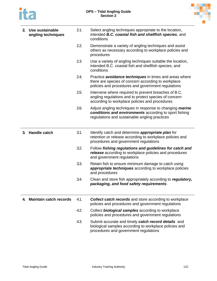



| 2. | Use sustainable<br>angling techniques | 2.1. | Select angling techniques appropriate to the location,<br>intended <b>B.C. coastal fish and shellfish species</b> , and<br>conditions                                       |
|----|---------------------------------------|------|-----------------------------------------------------------------------------------------------------------------------------------------------------------------------------|
|    |                                       | 2.2. | Demonstrate a variety of angling techniques and assist<br>others as necessary according to workplace policies and<br>procedures                                             |
|    |                                       | 2.3. | Use a variety of angling techniques suitable the location,<br>intended B.C. coastal fish and shellfish species, and<br>conditions                                           |
|    |                                       | 2.4. | Practice <b>avoidance techniques</b> in times and areas where<br>there are species of concern according to workplace<br>policies and procedures and government regulations  |
|    |                                       | 2.5. | Intervene where required to prevent breaches of B.C.<br>angling regulations and to protect species of concern<br>according to workplace policies and procedures             |
|    |                                       | 2.6. | Adjust angling techniques in response to changing <i>marine</i><br>conditions and environments according to sport fishing<br>regiulations and sustainable angling practices |
| 3. | <b>Handle catch</b>                   | 3.1. | Identify catch and determine <i>appropriate plan</i> for<br>retention or release according to workplace policies and<br>procedures and government regulations               |
|    |                                       | 3.2. | Follow fishing regulations and guidelines for catch and<br>release according to workplace policies and procedures<br>and government regulations                             |
|    |                                       | 3.3. | Retain fish to ensure minimum damage to catch using<br>appropriate techniques according to workplace policies<br>and procedures                                             |
|    |                                       | 3.4. | Clean and store fish appropriately according to regulatory,<br>packaging, and food safety requirements.                                                                     |
| 4. | <b>Maintain catch records</b>         | 4.1. | <b>Collect catch records</b> and store according to workplace<br>policies and procedures and government regulations                                                         |
|    |                                       | 4.2. | Collect <b>biological samples</b> according to workplace<br>policies and procedures and government regulations                                                              |
|    |                                       | 4.3. | Submit accurate and timely catch record details and<br>biological samples according to workplace policies and<br>procedures and government regulations                      |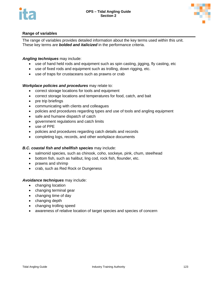



The range of variables provides detailed information about the key terms used within this unit. These key terms are *bolded and italicized* in the performance criteria.

## *Angling techniques* may include:

- use of hand held rods and equipment such as spin casting, jigging, fly casting, etc
- use of fixed rods and equipment such as trolling, down rigging, etc.
- use of traps for crustaceans such as prawns or crab

## *Workplace policies and procedures* may relate to:

- correct storage locations for tools and equipment
- correct storage locations and temperatures for food, catch, and bait
- pre trip briefings
- communicating with clients and colleagues
- policies and procedures regarding types and use of tools and angling equipment
- safe and humane dispatch of catch
- government regulations and catch limits
- use of PPE
- policies and procedures regarding catch details and records
- completing logs, records, and other workplace documents

## *B.C. coastal fish and shellfish species* may include:

- salmonid species, such as chinook, coho, sockeye, pink, chum, steelhead
- bottom fish, such as halibut, ling cod, rock fish, flounder, etc.
- prawns and shrimp
- crab, such as Red Rock or Dungeness

## *Avoidance techniques* may include:

- changing location
- changing terminal gear
- changing time of day
- changing depth
- changing trolling speed
- awareness of relative location of target species and species of concern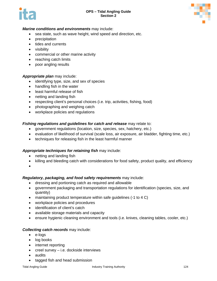#### **OPS – Tidal Angling Guide Section 2**





# *Marine conditions and environments* may include:

- sea state, such as wave height, wind speed and direction, etc.
- precipitation
- tides and currents
- visibility
- commercial or other marine activity
- reaching catch limits
- poor angling results

## *Appropriate plan* may include:

- identifying type, size, and sex of species
- handling fish in the water
- least harmful release of fish
- netting and landing fish
- respecting client's personal choices (i.e. trip, activities, fishing, food)
- photographing and weighing catch
- workplace policies and regulations

## *Fishing regulations and guidelines for catch and release* may relate to:

- government regulations (location, size, species, sex, hatchery, etc.)
- evaluation of likelihood of survival (scale loss, air exposure, air bladder, fighting time, etc.)
- techniques for releasing fish in the least harmful manner

## *Appropriate techniques for retaining fish* may include:

- netting and landing fish
- killing and bleeding catch with considerations for food safety, product quality, and efficiency
- $\bullet$

## *Regulatory, packaging, and food safety requirements* may include:

- dressing and portioning catch as required and allowable
- government packaging and transportation regulations for identification (species, size, and quantity)
- maintaining product temperature within safe guidelines (-1 to 4 C)
- workplace policies and procedures
- identification of client's catch
- available storage materials and capacity
- ensure hygienic cleaning environment and tools (i.e. knives, cleaning tables, cooler, etc.)

## *Collecting catch records* may include:

- e-logs
- log books
- internet reporting
- creel survey i.e. dockside interviews
- audits
- tagged fish and head submission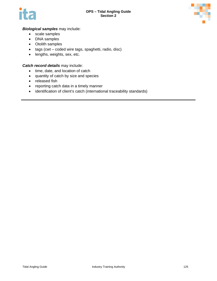

# *Biological samples* may include:

- scale samples
- DNA samples
- Otolith samples
- tags (cwt coded wire tags, spaghetti, radio, disc)
- lengths, weights, sex, etc.

# *Catch record details* may include:

- time, date, and location of catch
- quantity of catch by size and species
- released fish
- reporting catch data in a timely manner
- identification of client's catch (international traceability standards)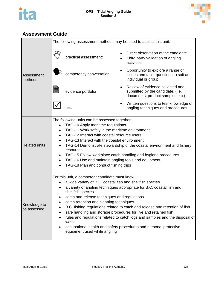



|                             | The following assessment methods may be used to assess this unit:                                                                                                                                                                                                                                                                                                                                                                                                                                                                                                                                                                                                              |                                                                                                                                                                                                                                                                                                                                                                                                                                                                                            |  |                                                                                                           |  |
|-----------------------------|--------------------------------------------------------------------------------------------------------------------------------------------------------------------------------------------------------------------------------------------------------------------------------------------------------------------------------------------------------------------------------------------------------------------------------------------------------------------------------------------------------------------------------------------------------------------------------------------------------------------------------------------------------------------------------|--------------------------------------------------------------------------------------------------------------------------------------------------------------------------------------------------------------------------------------------------------------------------------------------------------------------------------------------------------------------------------------------------------------------------------------------------------------------------------------------|--|-----------------------------------------------------------------------------------------------------------|--|
|                             | M                                                                                                                                                                                                                                                                                                                                                                                                                                                                                                                                                                                                                                                                              | practical assessment:                                                                                                                                                                                                                                                                                                                                                                                                                                                                      |  | Direct observation of the candidate.<br>Third party validation of angling<br>activities.                  |  |
| Assessment<br>methods       |                                                                                                                                                                                                                                                                                                                                                                                                                                                                                                                                                                                                                                                                                | competency conversation                                                                                                                                                                                                                                                                                                                                                                                                                                                                    |  | Opportunity to explore a range of<br>issues and tailor questions to suit an<br>individual or group.       |  |
|                             |                                                                                                                                                                                                                                                                                                                                                                                                                                                                                                                                                                                                                                                                                | evidence portfolio                                                                                                                                                                                                                                                                                                                                                                                                                                                                         |  | Review of evidence collected and<br>submitted by the candidate, (i.e.<br>documents, product samples etc.) |  |
|                             |                                                                                                                                                                                                                                                                                                                                                                                                                                                                                                                                                                                                                                                                                | test                                                                                                                                                                                                                                                                                                                                                                                                                                                                                       |  | Written questions to test knowledge of<br>angling techniques and procedures                               |  |
| <b>Related units</b>        | ٠<br>$\bullet$<br>٠<br>٠<br>$\bullet$                                                                                                                                                                                                                                                                                                                                                                                                                                                                                                                                                                                                                                          | The following units can be assessed together:<br>TAG-10 Apply maritime regulations<br>TAG-11 Work safely in the maritime environment<br>TAG-12 Interact with coastal resource users<br>TAG-13 Interact with the coastal environment<br>TAG-14 Demonstrate stewardship of the coastal environment and fishery<br>resources<br>TAG-15 Follow workplace catch handling and hygiene procedures<br>TAG-16 Use and maintain angling tools and equipment<br>TAG-18 Plan and conduct fishing trips |  |                                                                                                           |  |
| Knowledge to<br>be assessed | For this unit, a competent candidate must know:<br>a wide variety of B.C. coastal fish and shellfish species<br>a variety of angling techniques appropriate for B.C. coastal fish and<br>shellfish species<br>catch and release techniques and regulations<br>catch retention and cleaning techniques<br>$\bullet$<br>B.C. fishing regulations related to catch and release and retention of fish<br>$\bullet$<br>safe handling and storage procedures for live and retained fish<br>rules and regulations related to catch logs and samples and the disposal of<br>waste<br>occupational health and safety procedures and personal protective<br>equipment used while angling |                                                                                                                                                                                                                                                                                                                                                                                                                                                                                            |  |                                                                                                           |  |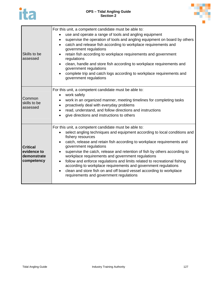

| Skills to be<br>assessed                                    | For this unit, a competent candidate must be able to:<br>use and operate a range of tools and angling equipment<br>supervise the operation of tools and angling equipment on board by others<br>catch and release fish according to workplace requirements and<br>$\bullet$<br>government regulations<br>retain fish according to workplace requirements and government<br>$\bullet$<br>regulations<br>clean, handle and store fish according to workplace requirements and<br>$\bullet$<br>government regulations<br>complete trip and catch logs according to workplace requirements and<br>$\bullet$<br>government regulations                                                                                               |
|-------------------------------------------------------------|---------------------------------------------------------------------------------------------------------------------------------------------------------------------------------------------------------------------------------------------------------------------------------------------------------------------------------------------------------------------------------------------------------------------------------------------------------------------------------------------------------------------------------------------------------------------------------------------------------------------------------------------------------------------------------------------------------------------------------|
| Common<br>skills to be<br>assessed                          | For this unit, a competent candidate must be able to:<br>work safely<br>$\bullet$<br>work in an organized manner, meeting timelines for completing tasks<br>proactively deal with everyday problems<br>read, understand, and follow directions and instructions<br>$\bullet$<br>give directions and instructions to others                                                                                                                                                                                                                                                                                                                                                                                                      |
| <b>Critical</b><br>evidence to<br>demonstrate<br>competency | For this unit, a competent candidate must be able to:<br>select angling techniques and equipment according to local conditions and<br>$\bullet$<br>fishery resources<br>catch, release and retain fish according to workplace requirements and<br>$\bullet$<br>government regulations<br>supervise the catch, release and retention of fish by others according to<br>$\bullet$<br>workplace requirements and government regulations<br>follow and enforce regulations and limits related to recreational fishing<br>$\bullet$<br>according to workplace requirements and government regulations<br>clean and store fish on and off board vessel according to workplace<br>$\bullet$<br>requirements and government regulations |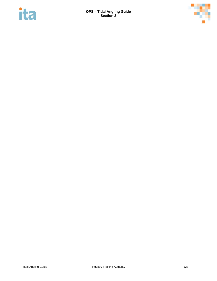

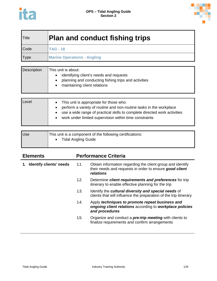

| Title       | <b>Plan and conduct fishing trips</b> |
|-------------|---------------------------------------|
| Code        | <b>TAG - 18</b>                       |
| <b>Type</b> | <b>Marine Operations - Angling</b>    |

| <b>Description</b><br>This unit is about:<br>maintaining client relations | identifying client's needs and requests<br>planning and conducting fishing trips and activities |
|---------------------------------------------------------------------------|-------------------------------------------------------------------------------------------------|
|---------------------------------------------------------------------------|-------------------------------------------------------------------------------------------------|

| perform a variety of routine and non-routine tasks in the workplace<br>• use a wide range of practical skills to complete directed work activities<br>• work under limited supervision within time constraints |
|----------------------------------------------------------------------------------------------------------------------------------------------------------------------------------------------------------------|
|----------------------------------------------------------------------------------------------------------------------------------------------------------------------------------------------------------------|

| Use | This unit is a component of the following certifications: |
|-----|-----------------------------------------------------------|
|     | <b>Tidal Angling Guide</b>                                |
|     |                                                           |

| <b>Elements</b> |                                | <b>Performance Criteria</b> |                                                                                                                                    |  |  |
|-----------------|--------------------------------|-----------------------------|------------------------------------------------------------------------------------------------------------------------------------|--|--|
|                 | <b>Identify clients' needs</b> | 1.1.                        | Obtain information regarding the client group and identify<br>their needs and requests in order to ensure good client<br>relations |  |  |
|                 |                                | 1.2.                        | Determine <i>client requirements and preferences</i> for trip<br>itinerary to enable effective planning for the trip               |  |  |
|                 |                                | 1.3.                        | Identify the cultural diversity and special needs of<br>clients that will influence the preparation of the trip itinerary          |  |  |
|                 |                                | 1.4.                        | Apply techniques to promote repeat business and<br>ongoing client relations according to workplace policies<br>and procedures      |  |  |
|                 |                                | 1.5.                        | Organize and conduct a <b>pre-trip meeting</b> with clients to<br>finalize requirements and confirm arrangements                   |  |  |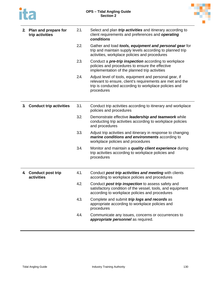

|    | 2. Plan and prepare for<br>trip activities | 2.1. | Select and plan <i>trip activities</i> and itinerary according to<br>client requirements and preferences and operating<br>conditions                                                       |
|----|--------------------------------------------|------|--------------------------------------------------------------------------------------------------------------------------------------------------------------------------------------------|
|    |                                            | 2.2. | Gather and load tools, equipment and personal gear for<br>trip and maintain supply levels according to planned trip<br>activities, workplace policies and procedures                       |
|    |                                            | 2.3. | Conduct a <i>pre-trip inspection</i> according to workplace<br>policies and procedures to ensure the effective<br>implementation of the planned trip activities                            |
|    |                                            | 2.4. | Adjust level of tools, equipment and personal gear, if<br>relevant to ensure, client's requirements are met and the<br>trip is conducted according to workplace policies and<br>procedures |
| 3. | <b>Conduct trip activities</b>             | 3.1. | Conduct trip activities according to itinerary and workplace<br>policies and procedures                                                                                                    |
|    |                                            | 3.2. | Demonstrate effective leadership and teamwork while<br>conducting trip activities according to workplace policies<br>and procedures                                                        |
|    |                                            | 3.3. | Adjust trip activities and itinerary in response to changing<br>marine conditions and environments according to<br>workplace policies and procedures                                       |
|    |                                            | 3.4. | Monitor and maintain a <i>quality client experience</i> during<br>trip activities according to workplace policies and<br>procedures                                                        |
|    | 4. Conduct post trip<br>activities         | 4.1. | Conduct post trip activities and meeting with clients<br>according to workplace policies and procedures                                                                                    |
|    |                                            | 4.2. | Conduct post trip inspection to assess safety and<br>satisfactory condition of the vessel, tools, and equipment<br>according to workplace policies and procedures                          |
|    |                                            | 4.3. | Complete and submit <i>trip logs and records</i> as<br>appropriate according to workplace policies and<br>procedures                                                                       |
|    |                                            | 4.4. | Communicate any issues, concerns or occurrences to<br>appropriate personnel as required.                                                                                                   |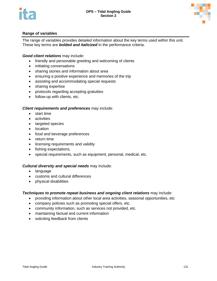



The range of variables provides detailed information about the key terms used within this unit. These key terms are *bolded and italicized* in the performance criteria.

*Good client relations* may include:

- friendly and personable greeting and welcoming of clients
- initiating conversations
- sharing stories and information about area
- ensuring a positive experience and memories of the trip
- assisting and accommodating special requests
- sharing expertise
- protocols regarding accepting gratuities
- follow-up with clients, etc.

## *Client requirements and preferences* may include:

- start time
- activities
- targeted species
- location
- food and beverage preferences
- return time
- licensing requirements and validity
- fishing expectations,
- special requirements, such as equipment, personal, medical, etc.

## *Cultural diversity and special needs* may include:

- language
- customs and cultural differences
- physical disabilities

## *Techniques to promote repeat business and ongoing client relations* may include:

- providing information about other local area activities, seasonal opportunities, etc
- company policies such as promoting special offers, etc.
- community information, such as services not provided, etc.
- maintaining factual and current information
- soliciting feedback from clients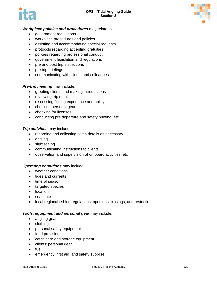



## *Workplace policies and procedures* may relate to:

- government regulations
- workplace procedures and policies
- assisting and accommodating special requests
- protocols regarding accepting gratuities
- policies regarding professional conduct
- government legislation and regulations
- pre and post trip inspections
- pre trip briefings
- communicating with clients and colleagues

## *Pre-trip meeting* may include:

- greeting clients and making introductions
- reviewing trip details
- discussing fishing experience and ability
- checking personal gear
- checking for licenses
- conducting pre departure and safety briefing, etc.

## *Trip activities* may include:

- recording and collecting catch details as necessary
- angling
- sightseeing
- communicating instructions to clients
- observation and supervision of on board activities, etc

## *Operating conditions* may include:

- weather conditions
- tides and currents
- time of season
- targeted species
- location
- sea state
- local regional fishing regulations, openings, closings, and restrictions

## *Tools, equipment and personal gear* may include:

- angling gear
- clothing
- personal safety equipment
- food provisions
- catch care and storage equipment
- clients' personal gear
- fuel
- emergency, first aid, and safety supplies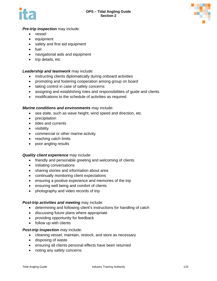

# *Pre-trip inspection* may include:

- vessel
- equipment
- safety and first aid equipment
- $\bullet$  fuel
- navigational aids and equipment
- trip details, etc

## *Leadership and teamwork* may include:

- instructing clients diplomatically during onboard activities
- promoting and fostering cooperation among group on board
- taking control in case of safety concerns
- assigning and establishing roles and responsibilities of guide and clients
- modifications to the schedule of activities as required

## *Marine conditions and environments* may include:

- sea state, such as wave height, wind speed and direction, etc.
- precipitation
- tides and currents
- visibility
- commercial or other marine activity
- reaching catch limits
- poor angling results

## *Quality client experience* may include:

- friendly and personable greeting and welcoming of clients
- initiating conversations
- sharing stories and information about area
- continually monitoring client expectations
- ensuring a positive experience and memories of the trip
- ensuring well being and comfort of clients
- photography and video records of trip

## *Post-trip activities and meeting* may include:

- determining and following client's instructions for handling of catch
- discussing future plans where appropriate
- providing opportunity for feedback
- follow up with clients

## *Post-trip inspection* may include:

- cleaning vessel, maintain, restock, and store as necessary
- disposing of waste
- ensuring all clients personal effects have been returned
- noting any safety concerns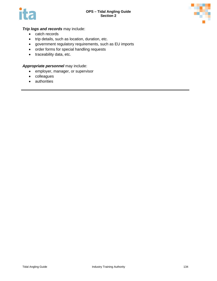



# *Trip logs and records* may include:

- catch records
- trip details, such as location, duration, etc.
- government regulatory requirements, such as EU imports
- order forms for special handling requests
- traceability data, etc.

## *Appropriate personnel* may include:

- employer, manager, or supervisor
- colleagues
- authorities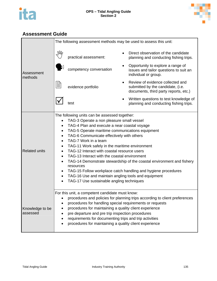



|                             | The following assessment methods may be used to assess this unit:                                                                                                                                                                                                                                                                                                                                                                                                                                                                                                                                                                                                                                                                                                                                                             |                         |  |                                                                                                                |  |  |
|-----------------------------|-------------------------------------------------------------------------------------------------------------------------------------------------------------------------------------------------------------------------------------------------------------------------------------------------------------------------------------------------------------------------------------------------------------------------------------------------------------------------------------------------------------------------------------------------------------------------------------------------------------------------------------------------------------------------------------------------------------------------------------------------------------------------------------------------------------------------------|-------------------------|--|----------------------------------------------------------------------------------------------------------------|--|--|
|                             | $\mathbb{W}_{2}$                                                                                                                                                                                                                                                                                                                                                                                                                                                                                                                                                                                                                                                                                                                                                                                                              | practical assessment:   |  | Direct observation of the candidate<br>planning and conducting fishing trips.                                  |  |  |
| Assessment<br>methods       |                                                                                                                                                                                                                                                                                                                                                                                                                                                                                                                                                                                                                                                                                                                                                                                                                               | competency conversation |  | Opportunity to explore a range of<br>issues and tailor questions to suit an<br>individual or group.            |  |  |
|                             | ≣⊫                                                                                                                                                                                                                                                                                                                                                                                                                                                                                                                                                                                                                                                                                                                                                                                                                            | evidence portfolio      |  | Review of evidence collected and<br>submitted by the candidate, (i.e.<br>documents, third party reports, etc.) |  |  |
|                             |                                                                                                                                                                                                                                                                                                                                                                                                                                                                                                                                                                                                                                                                                                                                                                                                                               | test                    |  | Written questions to test knowledge of<br>planning and conducting fishing trips.                               |  |  |
| <b>Related units</b>        | The following units can be assessed together:<br>TAG-3 Operate a non pleasure small vessel<br>$\bullet$<br>TAG-4 Plan and execute a near coastal voyage<br>$\bullet$<br>TAG-5 Operate maritime communications equipment<br>$\bullet$<br>TAG-6 Communicate effectively with others<br>$\bullet$<br>TAG-7 Work in a team<br>$\bullet$<br>TAG-11 Work safely in the maritime environment<br>$\bullet$<br>TAG-12 Interact with coastal resource users<br>$\bullet$<br>TAG-13 Interact with the coastal environment<br>$\bullet$<br>TAG-14 Demonstrate stewardship of the coastal environment and fishery<br>$\bullet$<br>resources<br>TAG-15 Follow workplace catch handling and hygiene procedures<br>$\bullet$<br>TAG-16 Use and maintain angling tools and equipment<br>$\bullet$<br>TAG-17 Use sustainable angling techniques |                         |  |                                                                                                                |  |  |
| Knowledge to be<br>assessed | For this unit, a competent candidate must know:<br>procedures and policies for planning trips according to client preferences<br>procedures for handling special requirements or requests<br>procedures for maintaining a quality client experience<br>pre departure and pre trip inspection procedures<br>requirements for documenting trips and trip activities<br>procedures for maintaining a quality client experience                                                                                                                                                                                                                                                                                                                                                                                                   |                         |  |                                                                                                                |  |  |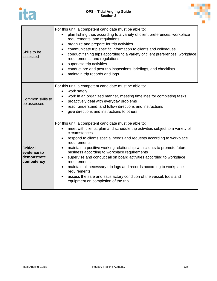

| Skills to be<br>assessed                                    | For this unit, a competent candidate must be able to:<br>plan fishing trips according to a variety of client preferences, workplace<br>requirements, and regulations<br>organize and prepare for trip activities<br>$\bullet$<br>communicate trip specific information to clients and colleagues<br>$\bullet$<br>conduct fishing trips according to a variety of client preferences, workplace<br>$\bullet$<br>requirements, and regulations<br>supervise trip activities<br>$\bullet$<br>conduct pre and post trip inspections, briefings, and checklists<br>$\bullet$<br>maintain trip records and logs<br>$\bullet$                                                                                                                               |
|-------------------------------------------------------------|------------------------------------------------------------------------------------------------------------------------------------------------------------------------------------------------------------------------------------------------------------------------------------------------------------------------------------------------------------------------------------------------------------------------------------------------------------------------------------------------------------------------------------------------------------------------------------------------------------------------------------------------------------------------------------------------------------------------------------------------------|
| Common skills to<br>be assessed                             | For this unit, a competent candidate must be able to:<br>work safely<br>$\bullet$<br>work in an organized manner, meeting timelines for completing tasks<br>٠<br>proactively deal with everyday problems<br>$\bullet$<br>read, understand, and follow directions and instructions<br>$\bullet$<br>give directions and instructions to others                                                                                                                                                                                                                                                                                                                                                                                                         |
| <b>Critical</b><br>evidence to<br>demonstrate<br>competency | For this unit, a competent candidate must be able to:<br>meet with clients, plan and schedule trip activities subject to a variety of<br>$\bullet$<br>circumstances<br>respond to clients special needs and requests according to workplace<br>$\bullet$<br>requirements<br>maintain a positive working relationship with clients to promote future<br>$\bullet$<br>business according to workplace requirements<br>supervise and conduct all on board activities according to workplace<br>$\bullet$<br>requirements<br>maintain all necessary trip logs and records according to workplace<br>$\bullet$<br>requirements<br>assess the safe and satisfactory condition of the vessel, tools and<br>$\bullet$<br>equipment on completion of the trip |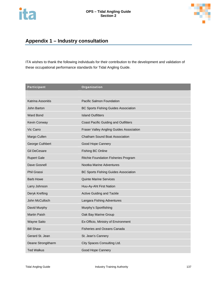

# **Appendix 1 – Industry consultation**

ITA wishes to thank the following individuals for their contribution to the development and validation of these occupational performance standards for Tidal Angling Guide.

| <b>Participant</b>  | Organization                                |
|---------------------|---------------------------------------------|
|                     |                                             |
| Katrina Assonitis   | Pacific Salmon Foundation                   |
| John Barton         | <b>BC Sports Fishing Guides Association</b> |
| Ward Bond           | <b>Island Outfitters</b>                    |
| Kevin Conway        | <b>Coast Pacific Guiding and Outfitters</b> |
| Vic Carro           | Fraser Valley Angling Guides Association    |
| Margo Cullen        | Chatham Sound Boat Association              |
| George Cuthbert     | Good Hope Cannery                           |
| <b>Gil DeCesare</b> | Fishing BC Online                           |
| <b>Rupert Gale</b>  | Ritchie Foundation Fisheries Program        |
| Dave Gosnell        | Nootka Marine Adventures                    |
| <b>Phil Grassi</b>  | <b>BC Sports Fishing Guides Association</b> |
| <b>Barb Howe</b>    | <b>Quinte Marine Services</b>               |
| Larry Johnson       | Huu-Ay-Aht First Nation                     |
| Deryk Krefting      | <b>Active Guiding and Tackle</b>            |
| John McCulloch      | Langara Fishing Adventures                  |
| David Murphy        | Murphy's Sportfishing                       |
| <b>Martin Paish</b> | Oak Bay Marine Group                        |
| <b>Wayne Saito</b>  | Ex-Officio, Ministry of Environment         |
| <b>Bill Shaw</b>    | <b>Fisheries and Oceans Canada</b>          |
| Gerard St. Jean     | St. Jean's Cannery                          |
| Deane Strongitharm  | City Spaces Consulting Ltd.                 |
| <b>Ted Walkus</b>   | Good Hope Cannery                           |